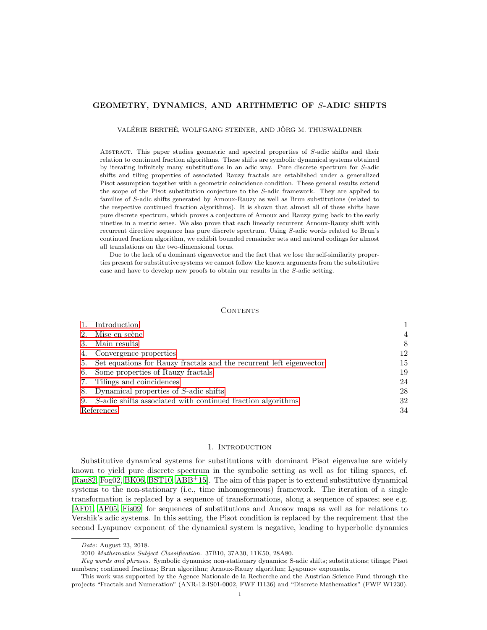# GEOMETRY, DYNAMICS, AND ARITHMETIC OF S-ADIC SHIFTS

VALÉRIE BERTHÉ, WOLFGANG STEINER, AND JÖRG M. THUSWALDNER

Abstract. This paper studies geometric and spectral properties of S-adic shifts and their relation to continued fraction algorithms. These shifts are symbolic dynamical systems obtained by iterating infinitely many substitutions in an adic way. Pure discrete spectrum for S-adic shifts and tiling properties of associated Rauzy fractals are established under a generalized Pisot assumption together with a geometric coincidence condition. These general results extend the scope of the Pisot substitution conjecture to the S-adic framework. They are applied to families of S-adic shifts generated by Arnoux-Rauzy as well as Brun substitutions (related to the respective continued fraction algorithms). It is shown that almost all of these shifts have pure discrete spectrum, which proves a conjecture of Arnoux and Rauzy going back to the early nineties in a metric sense. We also prove that each linearly recurrent Arnoux-Rauzy shift with recurrent directive sequence has pure discrete spectrum. Using S-adic words related to Brun's continued fraction algorithm, we exhibit bounded remainder sets and natural codings for almost all translations on the two-dimensional torus.

Due to the lack of a dominant eigenvector and the fact that we lose the self-similarity properties present for substitutive systems we cannot follow the known arguments from the substitutive case and have to develop new proofs to obtain our results in the S-adic setting.

## CONTENTS

|            | Introduction                                                           |    |
|------------|------------------------------------------------------------------------|----|
| 2.         | Mise en scène                                                          | 4  |
|            | Main results                                                           | 8  |
| 4.         | Convergence properties                                                 | 12 |
|            | 5. Set equations for Rauzy fractals and the recurrent left eigenvector | 15 |
|            | 6. Some properties of Rauzy fractals                                   | 19 |
| 7.         | Tilings and coincidences                                               | 24 |
|            | 8. Dynamical properties of S-adic shifts                               | 28 |
|            | 9. S-adic shifts associated with continued fraction algorithms         | 32 |
| References |                                                                        | 34 |

### 1. INTRODUCTION

<span id="page-0-0"></span>Substitutive dynamical systems for substitutions with dominant Pisot eigenvalue are widely known to yield pure discrete spectrum in the symbolic setting as well as for tiling spaces, cf. [\[Rau82,](#page-35-0) [Fog02,](#page-35-1) [BK06,](#page-34-0) [BST10,](#page-34-1) [ABB](#page-33-1)<sup>+</sup>15]. The aim of this paper is to extend substitutive dynamical systems to the non-stationary (i.e., time inhomogeneous) framework. The iteration of a single transformation is replaced by a sequence of transformations, along a sequence of spaces; see e.g. [\[AF01,](#page-33-2) [AF05,](#page-33-3) [Fis09\]](#page-35-2) for sequences of substitutions and Anosov maps as well as for relations to Vershik's adic systems. In this setting, the Pisot condition is replaced by the requirement that the second Lyapunov exponent of the dynamical system is negative, leading to hyperbolic dynamics

Date: August 23, 2018.

<sup>2010</sup> Mathematics Subject Classification. 37B10, 37A30, 11K50, 28A80.

Key words and phrases. Symbolic dynamics; non-stationary dynamics; S-adic shifts; substitutions; tilings; Pisot numbers; continued fractions; Brun algorithm; Arnoux-Rauzy algorithm; Lyapunov exponents.

This work was supported by the Agence Nationale de la Recherche and the Austrian Science Fund through the projects "Fractals and Numeration" (ANR-12-IS01-0002, FWF I1136) and "Discrete Mathematics" (FWF W1230).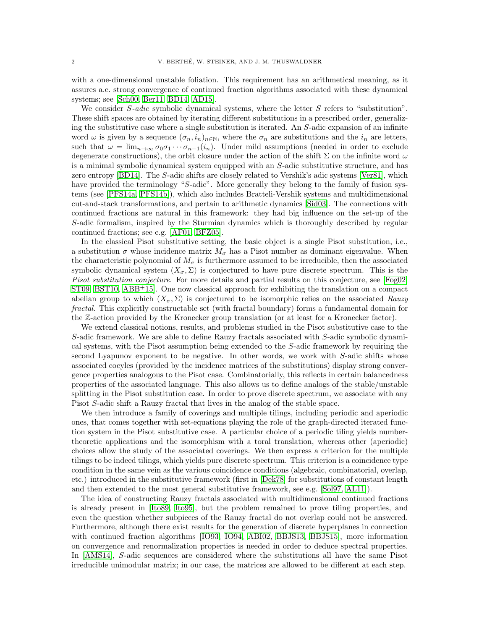with a one-dimensional unstable foliation. This requirement has an arithmetical meaning, as it assures a.e. strong convergence of continued fraction algorithms associated with these dynamical systems; see [\[Sch00,](#page-36-0) [Ber11,](#page-34-2) [BD14,](#page-34-3) [AD15\]](#page-33-4).

We consider  $S$ -adic symbolic dynamical systems, where the letter  $S$  refers to "substitution". These shift spaces are obtained by iterating different substitutions in a prescribed order, generalizing the substitutive case where a single substitution is iterated. An S-adic expansion of an infinite word  $\omega$  is given by a sequence  $(\sigma_n, i_n)_{n \in \mathbb{N}}$ , where the  $\sigma_n$  are substitutions and the  $i_n$  are letters, such that  $\omega = \lim_{n \to \infty} \sigma_0 \sigma_1 \cdots \sigma_{n-1}(i_n)$ . Under mild assumptions (needed in order to exclude degenerate constructions), the orbit closure under the action of the shift  $\Sigma$  on the infinite word  $\omega$ is a minimal symbolic dynamical system equipped with an S-adic substitutive structure, and has zero entropy [\[BD14\]](#page-34-3). The S-adic shifts are closely related to Vershik's adic systems [\[Ver81\]](#page-36-1), which have provided the terminology "S-adic". More generally they belong to the family of fusion systems (see [\[PFS14a,](#page-35-3) [PFS14b\]](#page-35-4)), which also includes Bratteli-Vershik systems and multidimensional cut-and-stack transformations, and pertain to arithmetic dynamics [\[Sid03\]](#page-36-2). The connections with continued fractions are natural in this framework: they had big influence on the set-up of the S-adic formalism, inspired by the Sturmian dynamics which is thoroughly described by regular continued fractions; see e.g. [\[AF01,](#page-33-2) [BFZ05\]](#page-34-4).

In the classical Pisot substitutive setting, the basic object is a single Pisot substitution, i.e., a substitution  $\sigma$  whose incidence matrix  $M_{\sigma}$  has a Pisot number as dominant eigenvalue. When the characteristic polynomial of  $M_{\sigma}$  is furthermore assumed to be irreducible, then the associated symbolic dynamical system  $(X_{\sigma}, \Sigma)$  is conjectured to have pure discrete spectrum. This is the Pisot substitution conjecture. For more details and partial results on this conjecture, see [\[Fog02,](#page-35-1) [ST09,](#page-36-3) [BST10,](#page-34-1) [ABB](#page-33-1)+15]. One now classical approach for exhibiting the translation on a compact abelian group to which  $(X_{\sigma}, \Sigma)$  is conjectured to be isomorphic relies on the associated Rauzy fractal. This explicitly constructable set (with fractal boundary) forms a fundamental domain for the Z-action provided by the Kronecker group translation (or at least for a Kronecker factor).

We extend classical notions, results, and problems studied in the Pisot substitutive case to the S-adic framework. We are able to define Rauzy fractals associated with S-adic symbolic dynamical systems, with the Pisot assumption being extended to the S-adic framework by requiring the second Lyapunov exponent to be negative. In other words, we work with S-adic shifts whose associated cocyles (provided by the incidence matrices of the substitutions) display strong convergence properties analogous to the Pisot case. Combinatorially, this reflects in certain balancedness properties of the associated language. This also allows us to define analogs of the stable/unstable splitting in the Pisot substitution case. In order to prove discrete spectrum, we associate with any Pisot S-adic shift a Rauzy fractal that lives in the analog of the stable space.

We then introduce a family of coverings and multiple tilings, including periodic and aperiodic ones, that comes together with set-equations playing the role of the graph-directed iterated function system in the Pisot substitutive case. A particular choice of a periodic tiling yields numbertheoretic applications and the isomorphism with a toral translation, whereas other (aperiodic) choices allow the study of the associated coverings. We then express a criterion for the multiple tilings to be indeed tilings, which yields pure discrete spectrum. This criterion is a coincidence type condition in the same vein as the various coincidence conditions (algebraic, combinatorial, overlap, etc.) introduced in the substitutive framework (first in [\[Dek78\]](#page-34-5) for substitutions of constant length and then extended to the most general substitutive framework, see e.g. [\[Sol97,](#page-36-4) [AL11\]](#page-33-5)).

The idea of constructing Rauzy fractals associated with multidimensional continued fractions is already present in [\[Ito89,](#page-35-5) [Ito95\]](#page-35-6), but the problem remained to prove tiling properties, and even the question whether subpieces of the Rauzy fractal do not overlap could not be answered. Furthermore, although there exist results for the generation of discrete hyperplanes in connection with continued fraction algorithms [\[IO93,](#page-35-7) [IO94,](#page-35-8) [ABI02,](#page-33-6) [BBJS13,](#page-34-6) [BBJS15\]](#page-34-7), more information on convergence and renormalization properties is needed in order to deduce spectral properties. In [\[AMS14\]](#page-33-7), S-adic sequences are considered where the substitutions all have the same Pisot irreducible unimodular matrix; in our case, the matrices are allowed to be different at each step.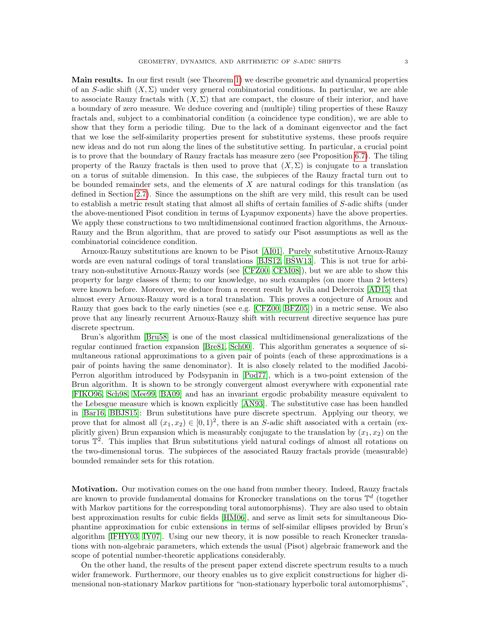Main results. In our first result (see Theorem [1\)](#page-7-1) we describe geometric and dynamical properties of an S-adic shift  $(X, \Sigma)$  under very general combinatorial conditions. In particular, we are able to associate Rauzy fractals with  $(X, \Sigma)$  that are compact, the closure of their interior, and have a boundary of zero measure. We deduce covering and (multiple) tiling properties of these Rauzy fractals and, subject to a combinatorial condition (a coincidence type condition), we are able to show that they form a periodic tiling. Due to the lack of a dominant eigenvector and the fact that we lose the self-similarity properties present for substitutive systems, these proofs require new ideas and do not run along the lines of the substitutive setting. In particular, a crucial point is to prove that the boundary of Rauzy fractals has measure zero (see Proposition [6.7\)](#page-22-0). The tiling property of the Rauzy fractals is then used to prove that  $(X, \Sigma)$  is conjugate to a translation on a torus of suitable dimension. In this case, the subpieces of the Rauzy fractal turn out to be bounded remainder sets, and the elements of  $X$  are natural codings for this translation (as defined in Section [2.7\)](#page-5-0). Since the assumptions on the shift are very mild, this result can be used to establish a metric result stating that almost all shifts of certain families of S-adic shifts (under the above-mentioned Pisot condition in terms of Lyapunov exponents) have the above properties. We apply these constructions to two multidimensional continued fraction algorithms, the Arnoux-Rauzy and the Brun algorithm, that are proved to satisfy our Pisot assumptions as well as the combinatorial coincidence condition.

Arnoux-Rauzy substitutions are known to be Pisot [\[AI01\]](#page-33-8). Purely substitutive Arnoux-Rauzy words are even natural codings of toral translations [\[BJS12,](#page-34-8) BŠW13]. This is not true for arbitrary non-substitutive Arnoux-Rauzy words (see [\[CFZ00,](#page-34-10) [CFM08\]](#page-34-11)), but we are able to show this property for large classes of them; to our knowledge, no such examples (on more than 2 letters) were known before. Moreover, we deduce from a recent result by Avila and Delecroix [\[AD15\]](#page-33-4) that almost every Arnoux-Rauzy word is a toral translation. This proves a conjecture of Arnoux and Rauzy that goes back to the early nineties (see e.g. [\[CFZ00,](#page-34-10) [BFZ05\]](#page-34-4)) in a metric sense. We also prove that any linearly recurrent Arnoux-Rauzy shift with recurrent directive sequence has pure discrete spectrum.

Brun's algorithm [\[Bru58\]](#page-34-12) is one of the most classical multidimensional generalizations of the regular continued fraction expansion [\[Bre81,](#page-34-13) [Sch00\]](#page-36-0). This algorithm generates a sequence of simultaneous rational approximations to a given pair of points (each of these approximations is a pair of points having the same denominator). It is also closely related to the modified Jacobi-Perron algorithm introduced by Podsypanin in [\[Pod77\]](#page-35-9), which is a two-point extension of the Brun algorithm. It is shown to be strongly convergent almost everywhere with exponential rate [\[FIKO96,](#page-35-10) [Sch98,](#page-36-5) [Mee99,](#page-35-11) [BA09\]](#page-34-14) and has an invariant ergodic probability measure equivalent to the Lebesgue measure which is known explicitly [\[AN93\]](#page-34-15). The substitutive case has been handled in [\[Bar16,](#page-34-16) [BBJS15\]](#page-34-7): Brun substitutions have pure discrete spectrum. Applying our theory, we prove that for almost all  $(x_1, x_2) \in [0, 1)^2$ , there is an S-adic shift associated with a certain (explicitly given) Brun expansion which is measurably conjugate to the translation by  $(x_1, x_2)$  on the torus  $\mathbb{T}^2$ . This implies that Brun substitutions yield natural codings of almost all rotations on the two-dimensional torus. The subpieces of the associated Rauzy fractals provide (measurable) bounded remainder sets for this rotation.

Motivation. Our motivation comes on the one hand from number theory. Indeed, Rauzy fractals are known to provide fundamental domains for Kronecker translations on the torus  $\mathbb{T}^d$  (together with Markov partitions for the corresponding toral automorphisms). They are also used to obtain best approximation results for cubic fields [\[HM06\]](#page-35-12), and serve as limit sets for simultaneous Diophantine approximation for cubic extensions in terms of self-similar ellipses provided by Brun's algorithm [\[IFHY03,](#page-35-13) [IY07\]](#page-35-14). Using our new theory, it is now possible to reach Kronecker translations with non-algebraic parameters, which extends the usual (Pisot) algebraic framework and the scope of potential number-theoretic applications considerably.

On the other hand, the results of the present paper extend discrete spectrum results to a much wider framework. Furthermore, our theory enables us to give explicit constructions for higher dimensional non-stationary Markov partitions for "non-stationary hyperbolic toral automorphisms",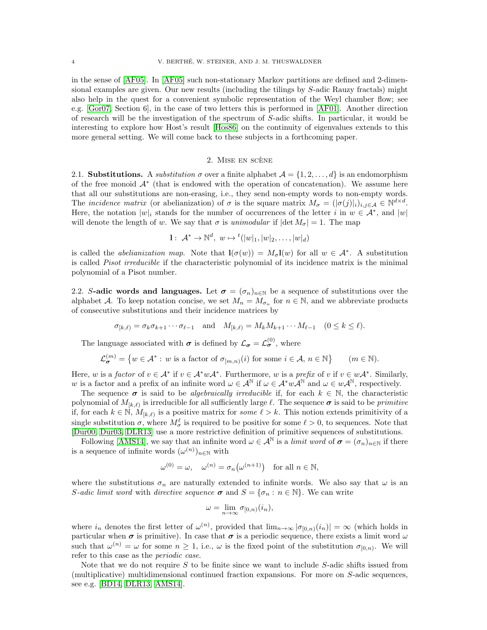in the sense of [\[AF05\]](#page-33-3). In [\[AF05\]](#page-33-3) such non-stationary Markov partitions are defined and 2-dimensional examples are given. Our new results (including the tilings by S-adic Rauzy fractals) might also help in the quest for a convenient symbolic representation of the Weyl chamber flow; see e.g. [\[Gor07,](#page-35-15) Section 6], in the case of two letters this is performed in [\[AF01\]](#page-33-2). Another direction of research will be the investigation of the spectrum of S-adic shifts. In particular, it would be interesting to explore how Host's result [\[Hos86\]](#page-35-16) on the continuity of eigenvalues extends to this more general setting. We will come back to these subjects in a forthcoming paper.

# 2. MISE EN SCÈNE

<span id="page-3-0"></span>2.1. Substitutions. A substitution  $\sigma$  over a finite alphabet  $\mathcal{A} = \{1, 2, ..., d\}$  is an endomorphism of the free monoid A<sup>∗</sup> (that is endowed with the operation of concatenation). We assume here that all our substitutions are non-erasing, i.e., they send non-empty words to non-empty words. The *incidence matrix* (or abelianization) of  $\sigma$  is the square matrix  $M_{\sigma} = (|\sigma(j)|_i)_{i,j \in \mathcal{A}} \in \mathbb{N}^{d \times d}$ . Here, the notation  $|w|_i$  stands for the number of occurrences of the letter i in  $w \in A^*$ , and  $|w|$ will denote the length of w. We say that  $\sigma$  is unimodular if  $|\det M_{\sigma}| = 1$ . The map

$$
1: \mathcal{A}^* \to \mathbb{N}^d, w \mapsto {}^t(|w|_1, |w|_2, \dots, |w|_d)
$$

is called the *abelianization map*. Note that  $\mathbf{l}(\sigma(w)) = M_{\sigma} \mathbf{l}(w)$  for all  $w \in A^*$ . A substitution is called *Pisot irreducible* if the characteristic polynomial of its incidence matrix is the minimal polynomial of a Pisot number.

2.2. S-adic words and languages. Let  $\sigma = (\sigma_n)_{n \in \mathbb{N}}$  be a sequence of substitutions over the alphabet A. To keep notation concise, we set  $M_n = M_{\sigma_n}$  for  $n \in \mathbb{N}$ , and we abbreviate products of consecutive substitutions and their incidence matrices by

$$
\sigma_{[k,\ell)} = \sigma_k \sigma_{k+1} \cdots \sigma_{\ell-1} \quad \text{and} \quad M_{[k,\ell)} = M_k M_{k+1} \cdots M_{\ell-1} \quad (0 \le k \le \ell).
$$

The language associated with  $\sigma$  is defined by  $\mathcal{L}_{\sigma} = \mathcal{L}_{\sigma}^{(0)}$ , where

$$
\mathcal{L}_{\sigma}^{(m)} = \left\{ w \in \mathcal{A}^* : w \text{ is a factor of } \sigma_{[m,n)}(i) \text{ for some } i \in \mathcal{A}, n \in \mathbb{N} \right\} \qquad (m \in \mathbb{N}).
$$

Here, w is a factor of  $v \in A^*$  if  $v \in A^*wA^*$ . Furthermore, w is a prefix of v if  $v \in wA^*$ . Similarly, w is a factor and a prefix of an infinite word  $\omega \in A^{\mathbb{N}}$  if  $\omega \in A^*wA^{\mathbb{N}}$  and  $\omega \in wA^{\mathbb{N}}$ , respectively.

The sequence  $\sigma$  is said to be *algebraically irreducible* if, for each  $k \in \mathbb{N}$ , the characteristic polynomial of  $M_{[k,\ell)}$  is irreducible for all sufficiently large  $\ell$ . The sequence  $\sigma$  is said to be *primitive* if, for each  $k \in \mathbb{N}$ ,  $M_{[k,\ell)}$  is a positive matrix for some  $\ell > k$ . This notion extends primitivity of a single substitution  $\sigma$ , where  $M^{\ell}_{\sigma}$  is required to be positive for some  $\ell > 0$ , to sequences. Note that [\[Dur00,](#page-34-17) [Dur03,](#page-35-17) [DLR13\]](#page-34-18) use a more restrictive definition of primitive sequences of substitutions.

Following [\[AMS14\]](#page-33-7), we say that an infinite word  $\omega \in A^{\mathbb{N}}$  is a limit word of  $\sigma = (\sigma_n)_{n \in \mathbb{N}}$  if there is a sequence of infinite words  $(\omega^{(n)})_{n\in\mathbb{N}}$  with

$$
\omega^{(0)} = \omega, \quad \omega^{(n)} = \sigma_n(\omega^{(n+1)}) \quad \text{for all } n \in \mathbb{N},
$$

where the substitutions  $\sigma_n$  are naturally extended to infinite words. We also say that  $\omega$  is an S-adic limit word with directive sequence  $\sigma$  and  $S = {\sigma_n : n \in \mathbb{N}}$ . We can write

$$
\omega = \lim_{n \to \infty} \sigma_{[0,n)}(i_n),
$$

where  $i_n$  denotes the first letter of  $\omega^{(n)}$ , provided that  $\lim_{n\to\infty} |\sigma_{[0,n)}(i_n)| = \infty$  (which holds in particular when  $\sigma$  is primitive). In case that  $\sigma$  is a periodic sequence, there exists a limit word  $\omega$ such that  $\omega^{(n)} = \omega$  for some  $n \geq 1$ , i.e.,  $\omega$  is the fixed point of the substitution  $\sigma_{[0,n)}$ . We will refer to this case as the periodic case.

Note that we do not require  $S$  to be finite since we want to include  $S$ -adic shifts issued from (multiplicative) multidimensional continued fraction expansions. For more on S-adic sequences, see e.g. [\[BD14,](#page-34-3) [DLR13,](#page-34-18) [AMS14\]](#page-33-7).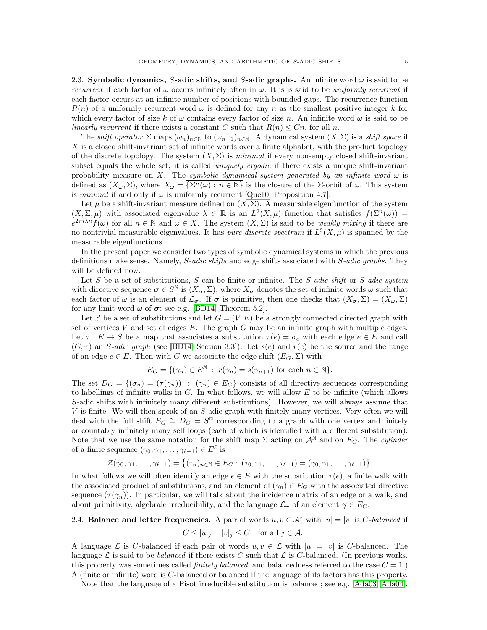2.3. Symbolic dynamics, S-adic shifts, and S-adic graphs. An infinite word  $\omega$  is said to be recurrent if each factor of  $\omega$  occurs infinitely often in  $\omega$ . It is is said to be uniformly recurrent if each factor occurs at an infinite number of positions with bounded gaps. The recurrence function  $R(n)$  of a uniformly recurrent word  $\omega$  is defined for any n as the smallest positive integer k for which every factor of size k of  $\omega$  contains every factor of size n. An infinite word  $\omega$  is said to be linearly recurrent if there exists a constant C such that  $R(n) \leq C_n$ , for all n.

The shift operator  $\Sigma$  maps  $(\omega_n)_{n\in\mathbb{N}}$  to  $(\omega_{n+1})_{n\in\mathbb{N}}$ . A dynamical system  $(X,\Sigma)$  is a shift space if X is a closed shift-invariant set of infinite words over a finite alphabet, with the product topology of the discrete topology. The system  $(X, \Sigma)$  is minimal if every non-empty closed shift-invariant subset equals the whole set; it is called *uniquely ergodic* if there exists a unique shift-invariant probability measure on X. The symbolic dynamical system generated by an infinite word  $\omega$  is defined as  $(X_\omega, \Sigma)$ , where  $X_\omega = \overline{\{\Sigma^n(\omega) : n \in \mathbb{N}\}}$  is the closure of the  $\Sigma$ -orbit of  $\omega$ . This system is minimal if and only if  $\omega$  is uniformly recurrent [\[Que10,](#page-35-18) Proposition 4.7].

Let  $\mu$  be a shift-invariant measure defined on  $(X, \Sigma)$ . A measurable eigenfunction of the system  $(X, \Sigma, \mu)$  with associated eigenvalue  $\lambda \in \mathbb{R}$  is an  $L^2(X, \mu)$  function that satisfies  $f(\Sigma^n(\omega)) =$  $e^{2\pi i\lambda n}f(\omega)$  for all  $n \in \mathbb{N}$  and  $\omega \in X$ . The system  $(X, \Sigma)$  is said to be weakly mixing if there are no nontrivial measurable eigenvalues. It has *pure discrete spectrum* if  $L^2(X,\mu)$  is spanned by the measurable eigenfunctions.

In the present paper we consider two types of symbolic dynamical systems in which the previous definitions make sense. Namely, S-adic shifts and edge shifts associated with S-adic graphs. They will be defined now.

Let S be a set of substitutions, S can be finite or infinite. The S-adic shift or S-adic system with directive sequence  $\sigma \in S^{\mathbb{N}}$  is  $(X_{\sigma}, \Sigma)$ , where  $X_{\sigma}$  denotes the set of infinite words  $\omega$  such that each factor of  $\omega$  is an element of  $\mathcal{L}_{\sigma}$ . If  $\sigma$  is primitive, then one checks that  $(X_{\sigma}, \Sigma) = (X_{\omega}, \Sigma)$ for any limit word  $\omega$  of  $\sigma$ ; see e.g. [\[BD14,](#page-34-3) Theorem 5.2].

Let S be a set of substitutions and let  $G = (V, E)$  be a strongly connected directed graph with set of vertices V and set of edges  $E$ . The graph  $G$  may be an infinite graph with multiple edges. Let  $\tau : E \to S$  be a map that associates a substitution  $\tau(e) = \sigma_e$  with each edge  $e \in E$  and call  $(G, \tau)$  an *S-adic graph* (see [\[BD14,](#page-34-3) Section 3.3]). Let  $s(e)$  and  $r(e)$  be the source and the range of an edge  $e \in E$ . Then with G we associate the edge shift  $(E_G, \Sigma)$  with

$$
E_G = \{ (\gamma_n) \in E^{\mathbb{N}} : r(\gamma_n) = s(\gamma_{n+1}) \text{ for each } n \in \mathbb{N} \}.
$$

The set  $D_G = \{(\sigma_n) = (\tau(\gamma_n)) : (\gamma_n) \in E_G\}$  consists of all directive sequences corresponding to labellings of infinite walks in  $G$ . In what follows, we will allow  $E$  to be infinite (which allows S-adic shifts with infinitely many different substitutions). However, we will always assume that V is finite. We will then speak of an S-adic graph with finitely many vertices. Very often we will deal with the full shift  $E_G \cong D_G = S^{\mathbb{N}}$  corresponding to a graph with one vertex and finitely or countably infinitely many self loops (each of which is identified with a different substitution). Note that we use the same notation for the shift map  $\Sigma$  acting on  $\mathcal{A}^{\mathbb{N}}$  and on  $E_G$ . The cylinder of a finite sequence  $(\gamma_0, \gamma_1, \ldots, \gamma_{\ell-1}) \in E^{\ell}$  is

$$
\mathcal{Z}(\gamma_0,\gamma_1,\ldots,\gamma_{\ell-1})=\big\{(\tau_n)_{n\in\mathbb{N}}\in E_G:\,(\tau_0,\tau_1,\ldots,\tau_{\ell-1})=(\gamma_0,\gamma_1,\ldots,\gamma_{\ell-1})\big\}.
$$

In what follows we will often identify an edge  $e \in E$  with the substitution  $\tau(e)$ , a finite walk with the associated product of substitutions, and an element of  $(\gamma_n) \in E_G$  with the associated directive sequence  $(\tau(\gamma_n))$ . In particular, we will talk about the incidence matrix of an edge or a walk, and about primitivity, algebraic irreducibility, and the language  $\mathcal{L}_{\gamma}$  of an element  $\gamma \in E_G$ .

# 2.4. Balance and letter frequencies. A pair of words  $u, v \in A^*$  with  $|u| = |v|$  is C-balanced if  $-C \leq |u|_j - |v|_j \leq C$  for all  $j \in \mathcal{A}$ .

A language L is C-balanced if each pair of words  $u, v \in \mathcal{L}$  with  $|u| = |v|$  is C-balanced. The language  $\mathcal L$  is said to be *balanced* if there exists C such that  $\mathcal L$  is C-balanced. (In previous works, this property was sometimes called *finitely balanced*, and balancedness referred to the case  $C = 1$ .) A (finite or infinite) word is C-balanced or balanced if the language of its factors has this property.

Note that the language of a Pisot irreducible substitution is balanced; see e.g. [\[Ada03,](#page-33-9) [Ada04\]](#page-33-10).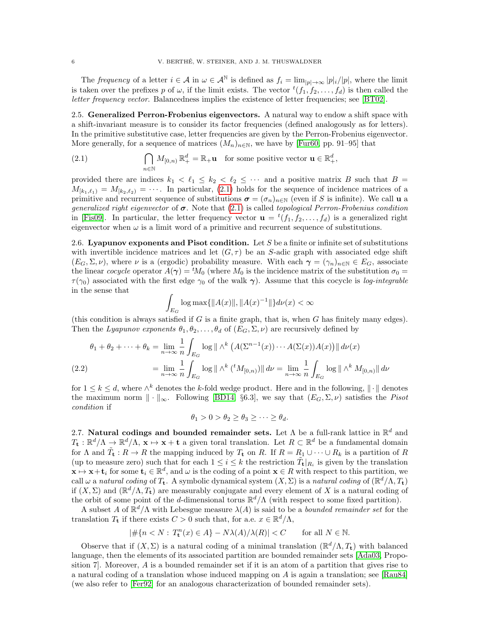The frequency of a letter  $i \in \mathcal{A}$  in  $\omega \in \mathcal{A}^{\mathbb{N}}$  is defined as  $f_i = \lim_{|p| \to \infty} |p|_i / |p|$ , where the limit is taken over the prefixes p of  $\omega$ , if the limit exists. The vector  ${}^t(f_1, f_2, \ldots, f_d)$  is then called the letter frequency vector. Balancedness implies the existence of letter frequencies; see [\[BT02\]](#page-34-19).

<span id="page-5-2"></span>2.5. **Generalized Perron-Frobenius eigenvectors.** A natural way to endow a shift space with a shift-invariant measure is to consider its factor frequencies (defined analogously as for letters). In the primitive substitutive case, letter frequencies are given by the Perron-Frobenius eigenvector. More generally, for a sequence of matrices  $(M_n)_{n\in\mathbb{N}}$ , we have by [\[Fur60,](#page-35-19) pp. 91–95] that

<span id="page-5-1"></span>(2.1) 
$$
\bigcap_{n\in\mathbb{N}}M_{[0,n)}\mathbb{R}^d_+ = \mathbb{R}_+\mathbf{u} \text{ for some positive vector } \mathbf{u}\in\mathbb{R}^d_+,
$$

provided there are indices  $k_1 < \ell_1 \leq k_2 < \ell_2 \leq \cdots$  and a positive matrix B such that  $B =$  $M_{[k_1,\ell_1)} = M_{[k_2,\ell_2)} = \cdots$ . In particular, [\(2.1\)](#page-5-1) holds for the sequence of incidence matrices of a primitive and recurrent sequence of substitutions  $\sigma = (\sigma_n)_{n \in \mathbb{N}}$  (even if S is infinite). We call u a generalized right eigenvector of  $\sigma$ . Note that [\(2.1\)](#page-5-1) is called topological Perron-Frobenius condition in [\[Fis09\]](#page-35-2). In particular, the letter frequency vector  $\mathbf{u} = {}^{t}(f_1, f_2, \ldots, f_d)$  is a generalized right eigenvector when  $\omega$  is a limit word of a primitive and recurrent sequence of substitutions.

<span id="page-5-3"></span>2.6. Lyapunov exponents and Pisot condition. Let S be a finite or infinite set of substitutions with invertible incidence matrices and let  $(G, \tau)$  be an S-adic graph with associated edge shift  $(E_G, \Sigma, \nu)$ , where  $\nu$  is a (ergodic) probability measure. With each  $\gamma = (\gamma_n)_{n \in \mathbb{N}} \in E_G$ , associate the linear cocycle operator  $A(\gamma) = {}^{t}M_0$  (where  $M_0$  is the incidence matrix of the substitution  $\sigma_0 =$  $\tau(\gamma_0)$  associated with the first edge  $\gamma_0$  of the walk  $\gamma$ ). Assume that this cocycle is log-integrable in the sense that

$$
\int_{E_G} \log \max\{\|A(x)\|, \|A(x)^{-1}\|\} d\nu(x) < \infty
$$

(this condition is always satisfied if  $G$  is a finite graph, that is, when  $G$  has finitely many edges). Then the Lyapunov exponents  $\theta_1, \theta_2, \ldots, \theta_d$  of  $(E_G, \Sigma, \nu)$  are recursively defined by

<span id="page-5-4"></span>
$$
\theta_1 + \theta_2 + \dots + \theta_k = \lim_{n \to \infty} \frac{1}{n} \int_{E_G} \log \|\wedge^k \left( A(\Sigma^{n-1}(x)) \cdots A(\Sigma(x)) A(x) \right) \| d\nu(x)
$$
  

$$
= \lim_{n \to \infty} \frac{1}{n} \int_{E_G} \log \|\wedge^k ({}^t M_{[0,n)}) \| d\nu = \lim_{n \to \infty} \frac{1}{n} \int_{E_G} \log \|\wedge^k M_{[0,n)} \| d\nu
$$

for  $1 \leq k \leq d$ , where  $\wedge^k$  denotes the k-fold wedge product. Here and in the following,  $\|\cdot\|$  denotes the maximum norm  $\|\cdot\|_{\infty}$ . Following [\[BD14,](#page-34-3) §6.3], we say that  $(E_G, \Sigma, \nu)$  satisfies the *Pisot* condition if

$$
\theta_1 > 0 > \theta_2 \ge \theta_3 \ge \cdots \ge \theta_d.
$$

<span id="page-5-0"></span>2.7. Natural codings and bounded remainder sets. Let  $\Lambda$  be a full-rank lattice in  $\mathbb{R}^d$  and  $T_{\mathbf{t}} : \mathbb{R}^d/\Lambda \to \mathbb{R}^d/\Lambda$ ,  $\mathbf{x} \mapsto \mathbf{x} + \mathbf{t}$  a given toral translation. Let  $R \subset \mathbb{R}^d$  be a fundamental domain for  $\Lambda$  and  $\tilde{T}_t : R \to R$  the mapping induced by  $T_t$  on R. If  $R = R_1 \cup \cdots \cup R_k$  is a partition of R (up to measure zero) such that for each  $1 \leq i \leq k$  the restriction  $\tilde{T}_{\mathbf{t}}|_{R_i}$  is given by the translation  $\mathbf{x} \mapsto \mathbf{x} + \mathbf{t}_i$  for some  $\mathbf{t}_i \in \mathbb{R}^d$ , and  $\omega$  is the coding of a point  $\mathbf{x} \in R$  with respect to this partition, we call  $\omega$  a natural coding of  $T_t$ . A symbolic dynamical system  $(X, \Sigma)$  is a natural coding of  $(\mathbb{R}^d/\Lambda, T_t)$ if  $(X, \Sigma)$  and  $(\mathbb{R}^d/\Lambda, T_t)$  are measurably conjugate and every element of X is a natural coding of the orbit of some point of the d-dimensional torus  $\mathbb{R}^d/\Lambda$  (with respect to some fixed partition).

A subset A of  $\mathbb{R}^d/\Lambda$  with Lebesgue measure  $\lambda(A)$  is said to be a *bounded remainder set* for the translation  $T_t$  if there exists  $C > 0$  such that, for a.e.  $x \in \mathbb{R}^d/\Lambda$ ,

$$
|\#\{n < N:\, T_\mathbf{t}^n(x) \in A\} - N\lambda(A)/\lambda(R)| < C \qquad \text{for all } N \in \mathbb{N}.
$$

Observe that if  $(X, \Sigma)$  is a natural coding of a minimal translation  $(\mathbb{R}^d/\Lambda, T_t)$  with balanced language, then the elements of its associated partition are bounded remainder sets [\[Ada03,](#page-33-9) Proposition 7]. Moreover, A is a bounded remainder set if it is an atom of a partition that gives rise to a natural coding of a translation whose induced mapping on A is again a translation; see [\[Rau84\]](#page-35-20) (we also refer to [\[Fer92\]](#page-35-21) for an analogous characterization of bounded remainder sets).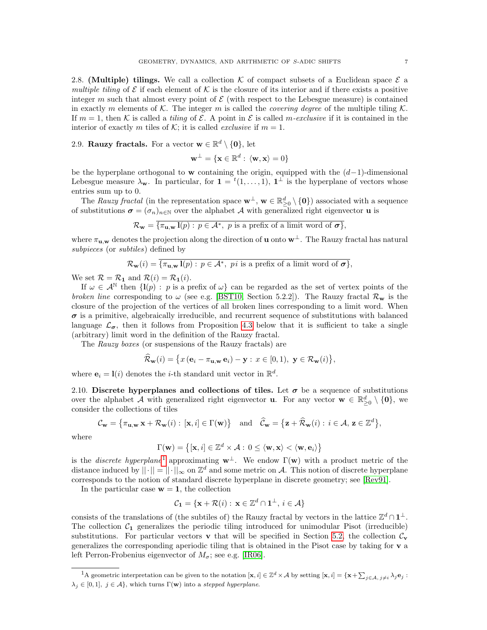<span id="page-6-2"></span>2.8. (Multiple) tilings. We call a collection  $K$  of compact subsets of a Euclidean space  $\mathcal E$  a multiple tiling of  $\mathcal E$  if each element of  $\mathcal K$  is the closure of its interior and if there exists a positive integer m such that almost every point of  $\mathcal E$  (with respect to the Lebesgue measure) is contained in exactly m elements of K. The integer m is called the *covering degree* of the multiple tiling K. If  $m = 1$ , then K is called a tiling of E. A point in E is called m-exclusive if it is contained in the interior of exactly m tiles of K; it is called *exclusive* if  $m = 1$ .

<span id="page-6-1"></span>2.9. Rauzy fractals. For a vector  $\mathbf{w} \in \mathbb{R}^d \setminus \{\mathbf{0}\}\text{, let }$ 

$$
\mathbf{w}^\perp = \{\mathbf{x} \in \mathbb{R}^d: \, \langle \mathbf{w}, \mathbf{x} \rangle = 0\}
$$

be the hyperplane orthogonal to w containing the origin, equipped with the  $(d-1)$ -dimensional Lebesgue measure  $\lambda_{\mathbf{w}}$ . In particular, for  $\mathbf{1} = {}^{t}(1,\ldots,1), \mathbf{1}^{\perp}$  is the hyperplane of vectors whose entries sum up to 0.

The Rauzy fractal (in the representation space  $\mathbf{w}^{\perp}$ ,  $\mathbf{w} \in \mathbb{R}_{\geq 0}^d \setminus \{\mathbf{0}\}\)$  associated with a sequence of substitutions  $\boldsymbol{\sigma} = (\sigma_n)_{n \in \mathbb{N}}$  over the alphabet A with generalized right eigenvector **u** is

$$
\mathcal{R}_{\mathbf{w}} = \overline{\{\pi_{\mathbf{u},\mathbf{w}}\mathbf{l}(p) : p \in \mathcal{A}^*, \ p \text{ is a prefix of a limit word of } \boldsymbol{\sigma}\}},
$$

where  $\pi_{u,w}$  denotes the projection along the direction of u onto  $w^{\perp}$ . The Rauzy fractal has natural subpieces (or *subtiles*) defined by

$$
\mathcal{R}_{\mathbf{w}}(i) = \{ \pi_{\mathbf{u},\mathbf{w}} \mathbf{l}(p) : p \in \mathcal{A}^*, \text{ } p \text{ is a prefix of a limit word of } \boldsymbol{\sigma} \},
$$

We set  $\mathcal{R} = \mathcal{R}_1$  and  $\mathcal{R}(i) = \mathcal{R}_1(i)$ .

If  $\omega \in A^{\mathbb{N}}$  then  $\{I(p) : p \text{ is a prefix of } \omega\}$  can be regarded as the set of vertex points of the broken line corresponding to  $\omega$  (see e.g. [\[BST10,](#page-34-1) Section 5.2.2]). The Rauzy fractal  $\mathcal{R}_{\mathbf{w}}$  is the closure of the projection of the vertices of all broken lines corresponding to a limit word. When  $\sigma$  is a primitive, algebraically irreducible, and recurrent sequence of substitutions with balanced language  $\mathcal{L}_{\sigma}$ , then it follows from Proposition [4.3](#page-12-0) below that it is sufficient to take a single (arbitrary) limit word in the definition of the Rauzy fractal.

The Rauzy boxes (or suspensions of the Rauzy fractals) are

$$
\widehat{\mathcal{R}}_{\mathbf{w}}(i) = \big\{ x \left( \mathbf{e}_i - \pi_{\mathbf{u}, \mathbf{w}} \mathbf{e}_i \right) - \mathbf{y} : x \in [0, 1), \ \mathbf{y} \in \mathcal{R}_{\mathbf{w}}(i) \big\},
$$

where  $\mathbf{e}_i = \mathbf{l}(i)$  denotes the *i*-th standard unit vector in  $\mathbb{R}^d$ .

2.10. Discrete hyperplanes and collections of tiles. Let  $\sigma$  be a sequence of substitutions over the alphabet A with generalized right eigenvector **u**. For any vector  $\mathbf{w} \in \mathbb{R}_{\geq 0}^d \setminus \{\mathbf{0}\},\$ consider the collections of tiles

$$
\mathcal{C}_{\mathbf{w}} = \left\{ \pi_{\mathbf{u}, \mathbf{w}} \mathbf{x} + \mathcal{R}_{\mathbf{w}}(i) : [\mathbf{x}, i] \in \Gamma(\mathbf{w}) \right\} \quad \text{and} \quad \widehat{\mathcal{C}}_{\mathbf{w}} = \left\{ \mathbf{z} + \widehat{\mathcal{R}}_{\mathbf{w}}(i) : i \in \mathcal{A}, \, \mathbf{z} \in \mathbb{Z}^d \right\},
$$

where

$$
\Gamma(\mathbf{w}) = \left\{ [\mathbf{x}, i] \in \mathbb{Z}^d \times \mathcal{A} : 0 \le \langle \mathbf{w}, \mathbf{x} \rangle < \langle \mathbf{w}, \mathbf{e}_i \rangle \right\}
$$

is the *discrete hyperplane*<sup>[1](#page-6-0)</sup> approximating  $w^{\perp}$ . We endow  $\Gamma(w)$  with a product metric of the distance induced by  $||\cdot|| = ||\cdot||_{\infty}$  on  $\mathbb{Z}^d$  and some metric on A. This notion of discrete hyperplane corresponds to the notion of standard discrete hyperplane in discrete geometry; see [\[Rev91\]](#page-35-22).

In the particular case  $w = 1$ , the collection

$$
\mathcal{C}_\mathbf{1} = \{ \mathbf{x} + \mathcal{R}(i) : \, \mathbf{x} \in \mathbb{Z}^d \cap \mathbf{1}^\perp, \, i \in \mathcal{A} \}
$$

consists of the translations of (the subtiles of) the Rauzy fractal by vectors in the lattice  $\mathbb{Z}^d \cap \mathbf{1}^{\perp}$ . The collection  $C_1$  generalizes the periodic tiling introduced for unimodular Pisot (irreducible) substitutions. For particular vectors **v** that will be specified in Section [5.2,](#page-16-0) the collection  $C_v$ generalizes the corresponding aperiodic tiling that is obtained in the Pisot case by taking for  $\bf{v}$  a left Perron-Frobenius eigenvector of  $M_{\sigma}$ ; see e.g. [\[IR06\]](#page-35-23).

<span id="page-6-0"></span><sup>&</sup>lt;sup>1</sup>A geometric interpretation can be given to the notation  $[\mathbf{x}, i] \in \mathbb{Z}^d \times \mathcal{A}$  by setting  $[\mathbf{x}, i] = {\mathbf{x} + \sum_{j \in \mathcal{A}, j \neq i} \lambda_j \mathbf{e}_j : \lambda_j = \lambda_j \mathbf{e}_j}$  $\lambda_j \in [0,1], j \in \mathcal{A}\},$  which turns  $\Gamma(\mathbf{w})$  into a stepped hyperplane.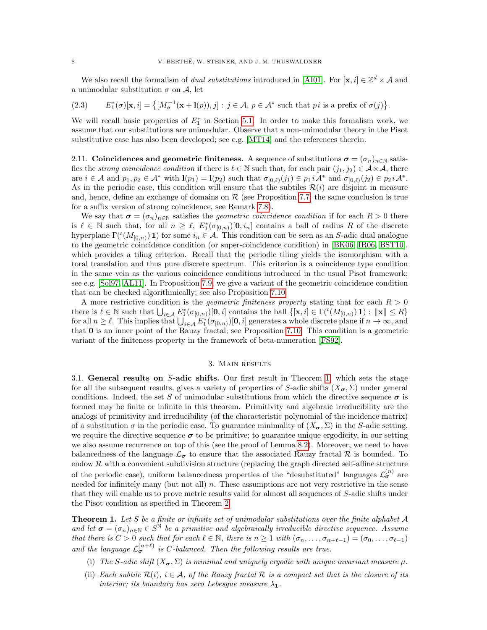We also recall the formalism of *dual substitutions* introduced in [\[AI01\]](#page-33-8). For  $[\mathbf{x}, i] \in \mathbb{Z}^d \times A$  and a unimodular substitution  $\sigma$  on A, let

<span id="page-7-3"></span>
$$
(2.3) \qquad E_1^*(\sigma)[\mathbf{x},i] = \left\{ [M_\sigma^{-1}(\mathbf{x}+\mathbf{l}(p)),j] : j \in \mathcal{A}, \ p \in \mathcal{A}^* \text{ such that } pi \text{ is a prefix of } \sigma(j) \right\}.
$$

We will recall basic properties of  $E_1^*$  in Section [5.1.](#page-14-1) In order to make this formalism work, we assume that our substitutions are unimodular. Observe that a non-unimodular theory in the Pisot substitutive case has also been developed; see e.g. [\[MT14\]](#page-35-24) and the references therein.

2.11. Coincidences and geometric finiteness. A sequence of substitutions  $\sigma = (\sigma_n)_{n \in \mathbb{N}}$  satisfies the strong coincidence condition if there is  $\ell \in \mathbb{N}$  such that, for each pair  $(j_1, j_2) \in \mathcal{A} \times \mathcal{A}$ , there are  $i \in \mathcal{A}$  and  $p_1, p_2 \in \mathcal{A}^*$  with  $\mathbf{l}(p_1) = \mathbf{l}(p_2)$  such that  $\sigma_{[0,\ell)}(j_1) \in p_1 i \mathcal{A}^*$  and  $\sigma_{[0,\ell)}(j_2) \in p_2 i \mathcal{A}^*$ . As in the periodic case, this condition will ensure that the subtiles  $\mathcal{R}(i)$  are disjoint in measure and, hence, define an exchange of domains on  $R$  (see Proposition [7.7;](#page-26-0) the same conclusion is true for a suffix version of strong coincidence, see Remark [7.8\)](#page-26-1).

We say that  $\sigma = (\sigma_n)_{n \in \mathbb{N}}$  satisfies the *geometric coincidence condition* if for each  $R > 0$  there is  $\ell \in \mathbb{N}$  such that, for all  $n \geq \ell$ ,  $E_1^*(\sigma_{[0,n)})[0, i_n]$  contains a ball of radius R of the discrete hyperplane  $\Gamma({}^t(M_{[0,n)})$  1) for some  $i_n \in \mathcal{A}$ . This condition can be seen as an S-adic dual analogue to the geometric coincidence condition (or super-coincidence condition) in [\[BK06,](#page-34-0) [IR06,](#page-35-23) [BST10\]](#page-34-1), which provides a tiling criterion. Recall that the periodic tiling yields the isomorphism with a toral translation and thus pure discrete spectrum. This criterion is a coincidence type condition in the same vein as the various coincidence conditions introduced in the usual Pisot framework; see e.g. [\[Sol97,](#page-36-4) [AL11\]](#page-33-5). In Proposition [7.9,](#page-26-2) we give a variant of the geometric coincidence condition that can be checked algorithmically; see also Proposition [7.10.](#page-27-1)

A more restrictive condition is the *geometric finiteness property* stating that for each  $R > 0$ there is  $\ell \in \mathbb{N}$  such that  $\bigcup_{i \in \mathcal{A}} E_1^*(\sigma_{[0,n)})[0, i]$  contains the ball  $\{[\mathbf{x}, i] \in \Gamma(\ell(M_{[0,n)}) \mathbf{1}) : ||\mathbf{x}|| \leq R\}$ for all  $n \geq \ell$ . This implies that  $\bigcup_{i \in \mathcal{A}} E_1^*(\sigma_{[0,n)})[\mathbf{0},i]$  generates a whole discrete plane if  $n \to \infty$ , and that 0 is an inner point of the Rauzy fractal; see Proposition [7.10.](#page-27-1) This condition is a geometric variant of the finiteness property in the framework of beta-numeration [\[FS92\]](#page-35-25).

# 3. Main results

<span id="page-7-0"></span>3.1. General results on S-adic shifts. Our first result in Theorem [1,](#page-7-1) which sets the stage for all the subsequent results, gives a variety of properties of S-adic shifts  $(X_{\sigma}, \Sigma)$  under general conditions. Indeed, the set S of unimodular substitutions from which the directive sequence  $\sigma$  is formed may be finite or infinite in this theorem. Primitivity and algebraic irreducibility are the analogs of primitivity and irreducibility (of the characteristic polynomial of the incidence matrix) of a substitution  $\sigma$  in the periodic case. To guarantee minimality of  $(X_{\sigma}, \Sigma)$  in the S-adic setting, we require the directive sequence  $\sigma$  to be primitive; to guarantee unique ergodicity, in our setting we also assume recurrence on top of this (see the proof of Lemma [8.2\)](#page-28-0). Moreover, we need to have balancedness of the language  $\mathcal{L}_{\sigma}$  to ensure that the associated Rauzy fractal R is bounded. To endow  $R$  with a convenient subdivision structure (replacing the graph directed self-affine structure of the periodic case), uniform balancedness properties of the "desubstituted" languages  $\mathcal{L}_{\sigma}^{(n)}$  are needed for infinitely many (but not all)  $n$ . These assumptions are not very restrictive in the sense that they will enable us to prove metric results valid for almost all sequences of S-adic shifts under the Pisot condition as specified in Theorem [2.](#page-8-0)

<span id="page-7-1"></span>**Theorem 1.** Let  $S$  be a finite or infinite set of unimodular substitutions over the finite alphabet  $A$ and let  $\sigma = (\sigma_n)_{n \in \mathbb{N}} \in S^{\mathbb{N}}$  be a primitive and algebraically irreducible directive sequence. Assume that there is  $C > 0$  such that for each  $\ell \in \mathbb{N}$ , there is  $n \geq 1$  with  $(\sigma_n, \ldots, \sigma_{n+\ell-1}) = (\sigma_0, \ldots, \sigma_{\ell-1})$ and the language  $\mathcal{L}_{\sigma}^{(n+\ell)}$  is C-balanced. Then the following results are true.

- <span id="page-7-2"></span>(i) The S-adic shift  $(X_{\sigma}, \Sigma)$  is minimal and uniquely ergodic with unique invariant measure  $\mu$ .
- <span id="page-7-4"></span>(ii) Each subtile  $\mathcal{R}(i)$ ,  $i \in \mathcal{A}$ , of the Rauzy fractal  $\mathcal R$  is a compact set that is the closure of its interior; its boundary has zero Lebesque measure  $\lambda_1$ .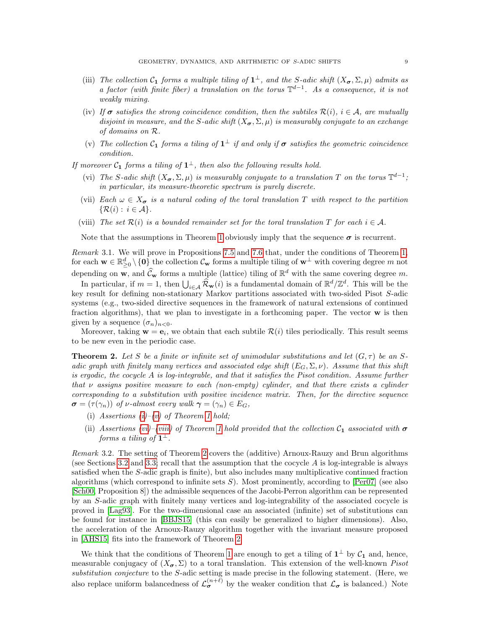- <span id="page-8-4"></span>(iii) The collection  $C_1$  forms a multiple tiling of  $1^{\perp}$ , and the S-adic shift  $(X_{\sigma}, \Sigma, \mu)$  admits as a factor (with finite fiber) a translation on the torus  $\mathbb{T}^{d-1}$ . As a consequence, it is not weakly mixing.
- <span id="page-8-5"></span>(iv) If  $\sigma$  satisfies the strong coincidence condition, then the subtiles  $\mathcal{R}(i)$ ,  $i \in \mathcal{A}$ , are mutually disjoint in measure, and the S-adic shift  $(X_{\sigma}, \Sigma, \mu)$  is measurably conjugate to an exchange of domains on R.
- <span id="page-8-1"></span>(v) The collection  $C_1$  forms a tiling of  $1^{\perp}$  if and only if  $\sigma$  satisfies the geometric coincidence condition.

<span id="page-8-2"></span>If moreover  $C_1$  forms a tiling of  $1^{\perp}$ , then also the following results hold.

- (vi) The S-adic shift  $(X_{\sigma}, \Sigma, \mu)$  is measurably conjugate to a translation T on the torus  $\mathbb{T}^{d-1}$ ; in particular, its measure-theoretic spectrum is purely discrete.
- <span id="page-8-6"></span>(vii) Each  $\omega \in X_{\sigma}$  is a natural coding of the toral translation T with respect to the partition  $\{\mathcal{R}(i): i \in \mathcal{A}\}.$
- <span id="page-8-3"></span>(viii) The set  $\mathcal{R}(i)$  is a bounded remainder set for the toral translation T for each  $i \in \mathcal{A}$ .

Note that the assumptions in Theorem [1](#page-7-1) obviously imply that the sequence  $\sigma$  is recurrent.

Remark 3.1. We will prove in Propositions [7.5](#page-24-0) and [7.6](#page-25-0) that, under the conditions of Theorem [1,](#page-7-1) for each  $\mathbf{w} \in \mathbb{R}_{\geq 0}^d \setminus \{\mathbf{0}\}\$  the collection  $\mathcal{C}_{\mathbf{w}}$  forms a multiple tiling of  $\mathbf{w}^{\perp}$  with covering degree m not depending on **w**, and  $\hat{C}_{\mathbf{w}}$  forms a multiple (lattice) tiling of  $\mathbb{R}^d$  with the same covering degree m.

In particular, if  $m = 1$ , then  $\bigcup_{i \in A} \widehat{\mathcal{R}}_{\mathbf{w}}(i)$  is a fundamental domain of  $\mathbb{R}^d/\mathbb{Z}^d$ . This will be the key result for defining non-stationary Markov partitions associated with two-sided Pisot S-adic systems (e.g., two-sided directive sequences in the framework of natural extensions of continued fraction algorithms), that we plan to investigate in a forthcoming paper. The vector  $\bf{w}$  is then given by a sequence  $(\sigma_n)_{n\leq 0}$ .

Moreover, taking  $\mathbf{w} = \mathbf{e}_i$ , we obtain that each subtile  $\mathcal{R}(i)$  tiles periodically. This result seems to be new even in the periodic case.

<span id="page-8-0"></span>**Theorem 2.** Let S be a finite or infinite set of unimodular substitutions and let  $(G, \tau)$  be an Sadic graph with finitely many vertices and associated edge shift  $(E_G, \Sigma, \nu)$ . Assume that this shift is ergodic, the cocycle A is log-integrable, and that it satisfies the Pisot condition. Assume further that  $\nu$  assigns positive measure to each (non-empty) cylinder, and that there exists a cylinder corresponding to a substitution with positive incidence matrix. Then, for the directive sequence  $\sigma = (\tau(\gamma_n))$  of v-almost every walk  $\gamma = (\gamma_n) \in E_G$ ,

- [\(i\)](#page-7-2) Assertions  $(i)-(v)$  $(i)-(v)$  of Theorem [1](#page-7-1) hold;
- (ii) Assertions [\(vi\)](#page-8-2)–[\(viii\)](#page-8-3) of Theorem [1](#page-7-1) hold provided that the collection  $C_1$  associated with  $\sigma$ forms a tiling of  $\mathbf{1}^{\perp}$ .

Remark 3.2. The setting of Theorem [2](#page-8-0) covers the (additive) Arnoux-Rauzy and Brun algorithms (see Sections [3.2](#page-9-0) and [3.3;](#page-10-0) recall that the assumption that the cocycle  $A$  is log-integrable is always satisfied when the S-adic graph is finite), but also includes many multiplicative continued fraction algorithms (which correspond to infinite sets  $S$ ). Most prominently, according to  $\lceil \text{Per07} \rceil$  (see also [\[Sch00,](#page-36-0) Proposition 8]) the admissible sequences of the Jacobi-Perron algorithm can be represented by an S-adic graph with finitely many vertices and log-integrability of the associated cocycle is proved in [\[Lag93\]](#page-35-27). For the two-dimensional case an associated (infinite) set of substitutions can be found for instance in [\[BBJS15\]](#page-34-7) (this can easily be generalized to higher dimensions). Also, the acceleration of the Arnoux-Rauzy algorithm together with the invariant measure proposed in [\[AHS15\]](#page-33-11) fits into the framework of Theorem [2.](#page-8-0)

We think that the conditions of Theorem [1](#page-7-1) are enough to get a tiling of  $1^{\perp}$  by  $\mathcal{C}_1$  and, hence, measurable conjugacy of  $(X_{\sigma}, \Sigma)$  to a toral translation. This extension of the well-known *Pisot* substitution conjecture to the S-adic setting is made precise in the following statement. (Here, we also replace uniform balancedness of  $\mathcal{L}_{\sigma}^{(n+\ell)}$  by the weaker condition that  $\mathcal{L}_{\sigma}$  is balanced.) Note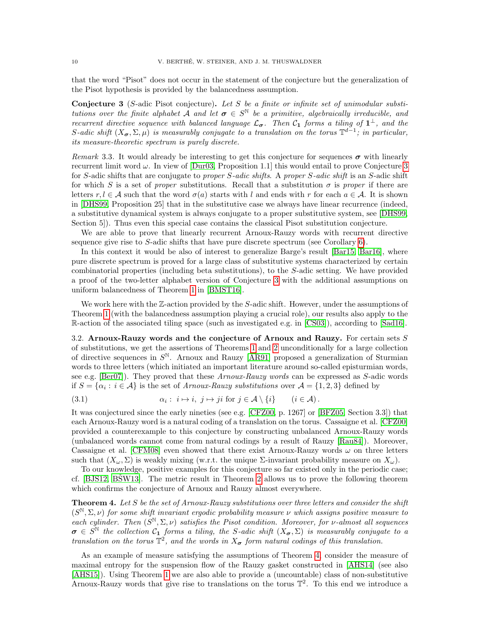that the word "Pisot" does not occur in the statement of the conjecture but the generalization of the Pisot hypothesis is provided by the balancedness assumption.

<span id="page-9-1"></span>**Conjecture 3** (S-adic Pisot conjecture). Let S be a finite or infinite set of unimodular substitutions over the finite alphabet  $\mathcal{A}$  and let  $\sigma \in S^{\mathbb{N}}$  be a primitive, algebraically irreducible, and recurrent directive sequence with balanced language  $\mathcal{L}_{\sigma}$ . Then  $\mathcal{C}_1$  forms a tiling of  $1^{\perp}$ , and the S-adic shift  $(X_{\sigma}, \Sigma, \mu)$  is measurably conjugate to a translation on the torus  $\mathbb{T}^{d-1}$ ; in particular, its measure-theoretic spectrum is purely discrete.

Remark 3.3. It would already be interesting to get this conjecture for sequences  $\sigma$  with linearly recurrent limit word  $\omega$ . In view of [\[Dur03,](#page-35-17) Proposition 1.1] this would entail to prove Conjecture [3](#page-9-1) for S-adic shifts that are conjugate to proper S-adic shifts. A proper S-adic shift is an S-adic shift for which S is a set of proper substitutions. Recall that a substitution  $\sigma$  is proper if there are letters  $r, l \in \mathcal{A}$  such that the word  $\sigma(a)$  starts with l and ends with r for each  $a \in \mathcal{A}$ . It is shown in [\[DHS99,](#page-34-20) Proposition 25] that in the substitutive case we always have linear recurrence (indeed, a substitutive dynamical system is always conjugate to a proper substitutive system, see [\[DHS99,](#page-34-20) Section 5]). Thus even this special case contains the classical Pisot substitution conjecture.

We are able to prove that linearly recurrent Arnoux-Rauzy words with recurrent directive sequence give rise to S-adic shifts that have pure discrete spectrum (see Corollary [6\)](#page-10-1).

In this context it would be also of interest to generalize Barge's result [\[Bar15,](#page-34-21) [Bar16\]](#page-34-16), where pure discrete spectrum is proved for a large class of substitutive systems characterized by certain combinatorial properties (including beta substitutions), to the S-adic setting. We have provided a proof of the two-letter alphabet version of Conjecture [3](#page-9-1) with the additional assumptions on uniform balancedness of Theorem [1](#page-7-1) in [\[BMST16\]](#page-34-22).

We work here with the  $\mathbb{Z}$ -action provided by the S-adic shift. However, under the assumptions of Theorem [1](#page-7-1) (with the balancedness assumption playing a crucial role), our results also apply to the R-action of the associated tiling space (such as investigated e.g. in [\[CS03\]](#page-34-23)), according to [\[Sad16\]](#page-36-6).

<span id="page-9-0"></span>3.2. Arnoux-Rauzy words and the conjecture of Arnoux and Rauzy. For certain sets  $S$ of substitutions, we get the assertions of Theorems [1](#page-7-1) and [2](#page-8-0) unconditionally for a large collection of directive sequences in  $S^{\mathbb{N}}$ . Arnoux and Rauzy [\[AR91\]](#page-34-24) proposed a generalization of Sturmian words to three letters (which initiated an important literature around so-called episturmian words, see e.g. [\[Ber07\]](#page-34-25)). They proved that these Arnoux-Rauzy words can be expressed as S-adic words if  $S = {\alpha_i : i \in \mathcal{A}}$  is the set of Arnoux-Rauzy substitutions over  $\mathcal{A} = \{1, 2, 3\}$  defined by

<span id="page-9-3"></span>(3.1) 
$$
\alpha_i: i \mapsto i, j \mapsto ji \text{ for } j \in \mathcal{A} \setminus \{i\} \qquad (i \in \mathcal{A}).
$$

It was conjectured since the early nineties (see e.g. [\[CFZ00,](#page-34-10) p. 1267] or [\[BFZ05,](#page-34-4) Section 3.3]) that each Arnoux-Rauzy word is a natural coding of a translation on the torus. Cassaigne et al. [\[CFZ00\]](#page-34-10) provided a counterexample to this conjecture by constructing unbalanced Arnoux-Rauzy words (unbalanced words cannot come from natural codings by a result of Rauzy [\[Rau84\]](#page-35-20)). Moreover, Cassaigne et al. [\[CFM08\]](#page-34-11) even showed that there exist Arnoux-Rauzy words  $\omega$  on three letters such that  $(X_\omega, \Sigma)$  is weakly mixing (w.r.t. the unique  $\Sigma$ -invariant probability measure on  $X_\omega$ ).

To our knowledge, positive examples for this conjecture so far existed only in the periodic case; cf. [\[BJS12,](#page-34-8) [BSW13\]](#page-34-9). The metric result in Theorem [2](#page-8-0) allows us to prove the following theorem which confirms the conjecture of Arnoux and Rauzy almost everywhere.

<span id="page-9-2"></span>**Theorem 4.** Let S be the set of Arnoux-Rauzy substitutions over three letters and consider the shift  $(S^{\mathbb{N}}, \Sigma, \nu)$  for some shift invariant ergodic probability measure v which assigns positive measure to each cylinder. Then  $(S^{\mathbb{N}}, \Sigma, \nu)$  satisfies the Pisot condition. Moreover, for v-almost all sequences  $\sigma \in S^{\mathbb{N}}$  the collection  $\mathcal{C}_1$  forms a tiling, the S-adic shift  $(X_{\sigma}, \Sigma)$  is measurably conjugate to a translation on the torus  $\mathbb{T}^2$ , and the words in  $X_{\sigma}$  form natural codings of this translation.

As an example of measure satisfying the assumptions of Theorem [4,](#page-9-2) consider the measure of maximal entropy for the suspension flow of the Rauzy gasket constructed in [\[AHS14\]](#page-33-12) (see also [\[AHS15\]](#page-33-11)). Using Theorem [1](#page-7-1) we are also able to provide a (uncountable) class of non-substitutive Arnoux-Rauzy words that give rise to translations on the torus  $\mathbb{T}^2$ . To this end we introduce a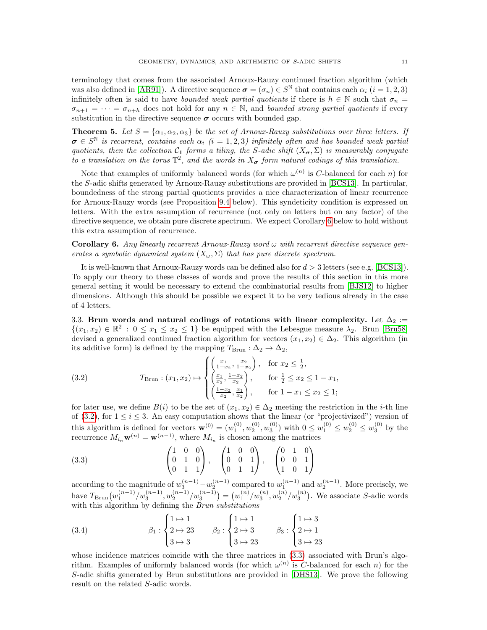terminology that comes from the associated Arnoux-Rauzy continued fraction algorithm (which was also defined in [\[AR91\]](#page-34-24)). A directive sequence  $\sigma = (\sigma_n) \in S^{\mathbb{N}}$  that contains each  $\alpha_i$   $(i = 1, 2, 3)$ infinitely often is said to have *bounded weak partial quotients* if there is  $h \in \mathbb{N}$  such that  $\sigma_n =$  $\sigma_{n+1} = \cdots = \sigma_{n+h}$  does not hold for any  $n \in \mathbb{N}$ , and bounded strong partial quotients if every substitution in the directive sequence  $\sigma$  occurs with bounded gap.

<span id="page-10-4"></span>**Theorem 5.** Let  $S = {\alpha_1, \alpha_2, \alpha_3}$  be the set of Arnoux-Rauzy substitutions over three letters. If  $\sigma \in S^{\mathbb{N}}$  is recurrent, contains each  $\alpha_i$  (i = 1, 2, 3) infinitely often and has bounded weak partial quotients, then the collection  $C_1$  forms a tiling, the S-adic shift  $(X_{\sigma}, \Sigma)$  is measurably conjugate to a translation on the torus  $\mathbb{T}^2$ , and the words in  $X_{\sigma}$  form natural codings of this translation.

Note that examples of uniformly balanced words (for which  $\omega^{(n)}$  is C-balanced for each n) for the S-adic shifts generated by Arnoux-Rauzy substitutions are provided in [\[BCS13\]](#page-34-26). In particular, boundedness of the strong partial quotients provides a nice characterization of linear recurrence for Arnoux-Rauzy words (see Proposition [9.4](#page-32-0) below). This syndeticity condition is expressed on letters. With the extra assumption of recurrence (not only on letters but on any factor) of the directive sequence, we obtain pure discrete spectrum. We expect Corollary [6](#page-10-1) below to hold without this extra assumption of recurrence.

<span id="page-10-1"></span>**Corollary 6.** Any linearly recurrent Arnoux-Rauzy word  $\omega$  with recurrent directive sequence generates a symbolic dynamical system  $(X_{\omega}, \Sigma)$  that has pure discrete spectrum.

It is well-known that Arnoux-Rauzy words can be defined also for  $d > 3$  letters (see e.g. [\[BCS13\]](#page-34-26)). To apply our theory to these classes of words and prove the results of this section in this more general setting it would be necessary to extend the combinatorial results from [\[BJS12\]](#page-34-8) to higher dimensions. Although this should be possible we expect it to be very tedious already in the case of 4 letters.

<span id="page-10-0"></span>3.3. Brun words and natural codings of rotations with linear complexity. Let  $\Delta_2$  :=  $\{(x_1, x_2) \in \mathbb{R}^2 : 0 \le x_1 \le x_2 \le 1\}$  be equipped with the Lebesgue measure  $\lambda_2$ . Brun [\[Bru58\]](#page-34-12) devised a generalized continued fraction algorithm for vectors  $(x_1, x_2) \in \Delta_2$ . This algorithm (in its additive form) is defined by the mapping  $T_{\text{Brun}} : \Delta_2 \to \Delta_2$ ,

<span id="page-10-2"></span>(3.2) 
$$
T_{\text{Brun}}: (x_1, x_2) \mapsto \begin{cases} \left(\frac{x_1}{1-x_2}, \frac{x_2}{1-x_2}\right), & \text{for } x_2 \le \frac{1}{2},\\ \left(\frac{x_1}{x_2}, \frac{1-x_2}{x_2}\right), & \text{for } \frac{1}{2} \le x_2 \le 1-x_1,\\ \left(\frac{1-x_2}{x_2}, \frac{x_1}{x_2}\right), & \text{for } 1-x_1 \le x_2 \le 1; \end{cases}
$$

for later use, we define  $B(i)$  to be the set of  $(x_1, x_2) \in \Delta_2$  meeting the restriction in the *i*-th line of [\(3.2\)](#page-10-2), for  $1 \le i \le 3$ . An easy computation shows that the linear (or "projectivized") version of this algorithm is defined for vectors  $\mathbf{w}^{(0)} = (w_1^{(0)}, w_2^{(0)}, w_3^{(0)})$  with  $0 \leq w_1^{(0)} \leq w_2^{(0)} \leq w_3^{(0)}$  by the recurrence  $M_{i_n} \mathbf{w}^{(n)} = \mathbf{w}^{(n-1)}$ , where  $M_{i_n}$  is chosen among the matrices

<span id="page-10-3"></span>
$$
(3.3) \qquad \begin{pmatrix} 1 & 0 & 0 \\ 0 & 1 & 0 \\ 0 & 1 & 1 \end{pmatrix}, \quad \begin{pmatrix} 1 & 0 & 0 \\ 0 & 0 & 1 \\ 0 & 1 & 1 \end{pmatrix}, \quad \begin{pmatrix} 0 & 1 & 0 \\ 0 & 0 & 1 \\ 1 & 0 & 1 \end{pmatrix}
$$

according to the magnitude of  $w_3^{(n-1)} - w_2^{(n-1)}$  compared to  $w_1^{(n-1)}$  and  $w_2^{(n-1)}$ . More precisely, we have  $T_{\text{Brun}}(w_1^{(n-1)}/w_3^{(n-1)}, w_2^{(n-1)}/w_3^{(n-1)}) = (w_1^{(n)}/w_3^{(n)}, w_2^{(n)}/w_3^{(n)})$ . We associate S-adic words with this algorithm by defining the Brun substitutions

<span id="page-10-5"></span>(3.4) 
$$
\beta_1 : \begin{cases} 1 \mapsto 1 \\ 2 \mapsto 23 \\ 3 \mapsto 3 \end{cases} \qquad \beta_2 : \begin{cases} 1 \mapsto 1 \\ 2 \mapsto 3 \\ 3 \mapsto 23 \end{cases} \qquad \beta_3 : \begin{cases} 1 \mapsto 3 \\ 2 \mapsto 1 \\ 3 \mapsto 23 \end{cases}
$$

whose incidence matrices coincide with the three matrices in  $(3.3)$  associated with Brun's algorithm. Examples of uniformly balanced words (for which  $\omega^{(n)}$  is C-balanced for each n) for the S-adic shifts generated by Brun substitutions are provided in [\[DHS13\]](#page-34-27). We prove the following result on the related S-adic words.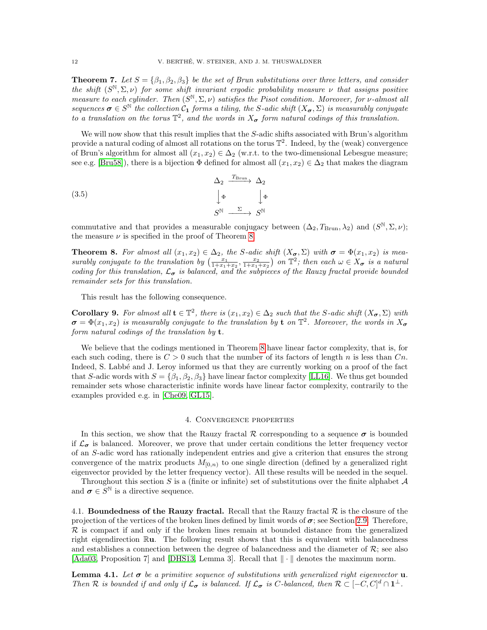<span id="page-11-3"></span>**Theorem 7.** Let  $S = \{\beta_1, \beta_2, \beta_3\}$  be the set of Brun substitutions over three letters, and consider the shift  $(S^{\mathbb{N}}, \Sigma, \nu)$  for some shift invariant ergodic probability measure v that assigns positive measure to each cylinder. Then  $(S^{\mathbb{N}}, \Sigma, \nu)$  satisfies the Pisot condition. Moreover, for v-almost all sequences  $\sigma \in S^{\mathbb{N}}$  the collection  $\mathcal{C}_1$  forms a tiling, the S-adic shift  $(X_{\sigma}, \Sigma)$  is measurably conjugate to a translation on the torus  $\mathbb{T}^2$ , and the words in  $X_{\sigma}$  form natural codings of this translation.

We will now show that this result implies that the S-adic shifts associated with Brun's algorithm provide a natural coding of almost all rotations on the torus  $\mathbb{T}^2$ . Indeed, by the (weak) convergence of Brun's algorithm for almost all  $(x_1, x_2) \in \Delta_2$  (w.r.t. to the two-dimensional Lebesgue measure; see e.g. [\[Bru58\]](#page-34-12)), there is a bijection  $\Phi$  defined for almost all  $(x_1, x_2) \in \Delta_2$  that makes the diagram

<span id="page-11-4"></span>(3.5)  
\n
$$
\begin{array}{ccc}\n\Delta_2 & \xrightarrow{T_{\text{Brun}}} & \Delta_2 \\
\downarrow \Phi & & \downarrow \Phi \\
S^{\mathbb{N}} & \xrightarrow{\Sigma} & S^{\mathbb{N}}\n\end{array}
$$

commutative and that provides a measurable conjugacy between  $(\Delta_2, T_{\text{Brun}}, \lambda_2)$  and  $(S^{\mathbb{N}}, \Sigma, \nu);$ the measure  $\nu$  is specified in the proof of Theorem [8.](#page-11-1)

<span id="page-11-1"></span>**Theorem 8.** For almost all  $(x_1, x_2) \in \Delta_2$ , the S-adic shift  $(X_{\sigma}, \Sigma)$  with  $\sigma = \Phi(x_1, x_2)$  is measurably conjugate to the translation by  $\left(\frac{x_1}{1+x_1+x_2}, \frac{x_2}{1+x_1+x_2}\right)$  on  $\mathbb{T}^2$ ; then each  $\omega \in X_{\sigma}$  is a natural coding for this translation,  $\mathcal{L}_{\sigma}$  is balanced, and the subpieces of the Rauzy fractal provide bounded remainder sets for this translation.

This result has the following consequence.

<span id="page-11-5"></span>**Corollary 9.** For almost all  $\mathbf{t} \in \mathbb{T}^2$ , there is  $(x_1, x_2) \in \Delta_2$  such that the S-adic shift  $(X_{\sigma}, \Sigma)$  with  $\sigma = \Phi(x_1, x_2)$  is measurably conjugate to the translation by **t** on  $\mathbb{T}^2$ . Moreover, the words in  $X_{\sigma}$ form natural codings of the translation by  $t$ .

We believe that the codings mentioned in Theorem [8](#page-11-1) have linear factor complexity, that is, for each such coding, there is  $C > 0$  such that the number of its factors of length n is less than  $C_n$ . Indeed, S. Labbé and J. Leroy informed us that they are currently working on a proof of the fact that S-adic words with  $S = \{\beta_1, \beta_2, \beta_3\}$  have linear factor complexity [\[LL16\]](#page-35-28). We thus get bounded remainder sets whose characteristic infinite words have linear factor complexity, contrarily to the examples provided e.g. in [\[Che09,](#page-34-28) [GL15\]](#page-35-29).

#### 4. Convergence properties

<span id="page-11-0"></span>In this section, we show that the Rauzy fractal R corresponding to a sequence  $\sigma$  is bounded if  $\mathcal{L}_{\sigma}$  is balanced. Moreover, we prove that under certain conditions the letter frequency vector of an S-adic word has rationally independent entries and give a criterion that ensures the strong convergence of the matrix products  $M_{[0,n)}$  to one single direction (defined by a generalized right eigenvector provided by the letter frequency vector). All these results will be needed in the sequel.

Throughout this section S is a (finite or infinite) set of substitutions over the finite alphabet  $A$ and  $\sigma \in \widetilde{S}^{\mathbb{N}}$  is a directive sequence.

4.1. Boundedness of the Rauzy fractal. Recall that the Rauzy fractal  $\mathcal R$  is the closure of the projection of the vertices of the broken lines defined by limit words of  $\sigma$ ; see Section [2.9.](#page-6-1) Therefore,  $\mathcal R$  is compact if and only if the broken lines remain at bounded distance from the generalized right eigendirection  $\mathbb{R}$ **u**. The following result shows that this is equivalent with balancedness and establishes a connection between the degree of balancedness and the diameter of  $\mathcal{R}$ ; see also [\[Ada03,](#page-33-9) Proposition 7] and [\[DHS13,](#page-34-27) Lemma 3]. Recall that  $\|\cdot\|$  denotes the maximum norm.

<span id="page-11-2"></span>**Lemma 4.1.** Let  $\sigma$  be a primitive sequence of substitutions with generalized right eigenvector **u**. Then R is bounded if and only if  $\mathcal{L}_{\sigma}$  is balanced. If  $\mathcal{L}_{\sigma}$  is C-balanced, then  $\mathcal{R} \subset [-C, C]^d \cap \mathbf{1}^{\perp}$ .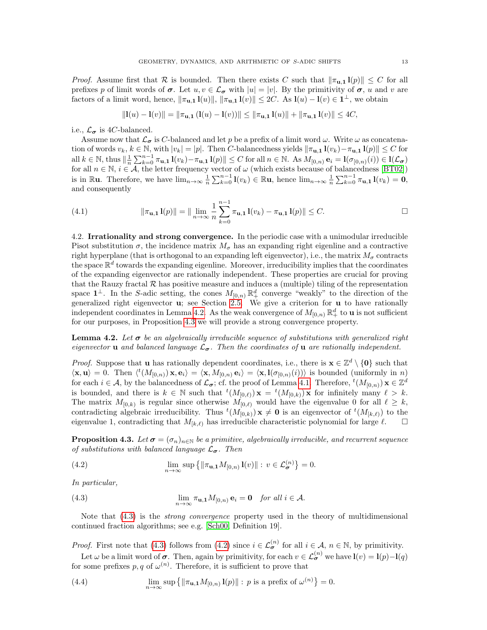*Proof.* Assume first that R is bounded. Then there exists C such that  $\|\pi_{u,1}\|_{p}\|\leq C$  for all prefixes p of limit words of  $\sigma$ . Let  $u, v \in \mathcal{L}_{\sigma}$  with  $|u| = |v|$ . By the primitivity of  $\sigma$ , u and v are factors of a limit word, hence,  $\|\pi_{\mathbf{u},\mathbf{1}}\mathbf{l}(u)\|$ ,  $\|\pi_{\mathbf{u},\mathbf{1}}\mathbf{l}(v)\| \leq 2C$ . As  $\mathbf{l}(u) - \mathbf{l}(v) \in \mathbf{1}^{\perp}$ , we obtain

$$
||\mathbf{l}(u) - \mathbf{l}(v)|| = ||\pi_{\mathbf{u},\mathbf{1}}(\mathbf{l}(u) - \mathbf{l}(v))|| \le ||\pi_{\mathbf{u},\mathbf{1}}\mathbf{l}(u)|| + ||\pi_{\mathbf{u},\mathbf{1}}\mathbf{l}(v)|| \le 4C,
$$

i.e.,  $\mathcal{L}_{\sigma}$  is 4C-balanced.

Assume now that  $\mathcal{L}_{\sigma}$  is C-balanced and let p be a prefix of a limit word  $\omega$ . Write  $\omega$  as concatenation of words  $v_k, k \in \mathbb{N}$ , with  $|v_k| = |p|$ . Then C-balancedness yields  $\|\pi_{\mathbf{u},\mathbf{1}}\mathbf{1}(v_k)-\pi_{\mathbf{u},\mathbf{1}}\mathbf{1}(p)\| \leq C$  for all  $k \in \mathbb{N}$ , thus  $\|\frac{1}{n}\sum_{k=0}^{n-1} \pi_{\mathbf{u},\mathbf{1}} \mathbf{1}(v_k) - \pi_{\mathbf{u},\mathbf{1}} \mathbf{1}(p)\| \leq C$  for all  $n \in \mathbb{N}$ . As  $M_{[0,n)} \mathbf{e}_i = \mathbf{1}(\sigma_{[0,n)}(i)) \in \mathbf{l}(\mathcal{L}_{\sigma})$ for all  $n \in \mathbb{N}$ ,  $i \in \mathcal{A}$ , the letter frequency vector of  $\omega$  (which exists because of balancedness [\[BT02\]](#page-34-19)) is in Ru. Therefore, we have  $\lim_{n\to\infty} \frac{1}{n} \sum_{k=0}^{n-1} \mathbf{l}(v_k) \in \mathbb{R}$ u, hence  $\lim_{n\to\infty} \frac{1}{n} \sum_{k=0}^{n-1} \pi_{u,1} \mathbf{l}(v_k) = \mathbf{0}$ , and consequently

<span id="page-12-4"></span>(4.1) 
$$
\|\pi_{\mathbf{u},\mathbf{1}}\mathbf{1}(p)\| = \|\lim_{n\to\infty}\frac{1}{n}\sum_{k=0}^{n-1}\pi_{\mathbf{u},\mathbf{1}}\mathbf{1}(v_k) - \pi_{\mathbf{u},\mathbf{1}}\mathbf{1}(p)\| \leq C.
$$

4.2. Irrationality and strong convergence. In the periodic case with a unimodular irreducible Pisot substitution  $\sigma$ , the incidence matrix  $M_{\sigma}$  has an expanding right eigenline and a contractive right hyperplane (that is orthogonal to an expanding left eigenvector), i.e., the matrix  $M_{\sigma}$  contracts the space  $\mathbb{R}^d$  towards the expanding eigenline. Moreover, irreducibility implies that the coordinates of the expanding eigenvector are rationally independent. These properties are crucial for proving that the Rauzy fractal  $R$  has positive measure and induces a (multiple) tiling of the representation space  $1^{\perp}$ . In the S-adic setting, the cones  $M_{[0,n)} \mathbb{R}^d_+$  converge "weakly" to the direction of the generalized right eigenvector u; see Section [2.5.](#page-5-2) We give a criterion for u to have rationally independent coordinates in Lemma [4.2.](#page-12-1) As the weak convergence of  $M_{[0,n)} \mathbb{R}^d_+$  to **u** is not sufficient for our purposes, in Proposition [4.3](#page-12-0) we will provide a strong convergence property.

<span id="page-12-1"></span>**Lemma 4.2.** Let  $\sigma$  be an algebraically irreducible sequence of substitutions with generalized right eigenvector **u** and balanced language  $\mathcal{L}_{\sigma}$ . Then the coordinates of **u** are rationally independent.

*Proof.* Suppose that **u** has rationally dependent coordinates, i.e., there is  $\mathbf{x} \in \mathbb{Z}^d \setminus \{\mathbf{0}\}\)$  such that  $\langle \mathbf{x}, \mathbf{u} \rangle = 0$ . Then  $\langle {}^t(M_{[0,n)}) \mathbf{x}, \mathbf{e}_i \rangle = \langle \mathbf{x}, M_{[0,n)} \mathbf{e}_i \rangle = \langle \mathbf{x}, \mathbf{l}(\sigma_{[0,n)}(i)) \rangle$  is bounded (uniformly in n) for each  $i \in \mathcal{A}$ , by the balancedness of  $\mathcal{L}_{\sigma}$ ; cf. the proof of Lemma [4.1.](#page-11-2) Therefore,  ${}^{t}(M_{[0,n)})\mathbf{x} \in \mathbb{Z}^d$ is bounded, and there is  $k \in \mathbb{N}$  such that  ${}^t(M_{[0,\ell)}) \mathbf{x} = {}^t(M_{[0,k)}) \mathbf{x}$  for infinitely many  $\ell > k$ . The matrix  $M_{[0,k)}$  is regular since otherwise  $M_{[0,\ell)}$  would have the eigenvalue 0 for all  $\ell \geq k$ , contradicting algebraic irreducibility. Thus  ${}^t(M_{[0,k)}) \times \neq \mathbf{0}$  is an eigenvector of  ${}^t(M_{[k,\ell)})$  to the eigenvalue 1, contradicting that  $M_{[k,\ell)}$  has irreducible characteristic polynomial for large  $\ell$ .

<span id="page-12-0"></span>**Proposition 4.3.** Let  $\sigma = (\sigma_n)_{n \in \mathbb{N}}$  be a primitive, algebraically irreducible, and recurrent sequence of substitutions with balanced language  $\mathcal{L}_{\sigma}$ . Then

<span id="page-12-3"></span>(4.2) 
$$
\lim_{n\to\infty}\sup\left\{\|\pi_{\mathbf{u},\mathbf{1}}M_{[0,n)}\mathbf{1}(v)\|:\,v\in\mathcal{L}_{\boldsymbol{\sigma}}^{(n)}\right\}=0.
$$

In particular,

<span id="page-12-2"></span>(4.3) 
$$
\lim_{n \to \infty} \pi_{\mathbf{u},\mathbf{1}} M_{[0,n)} \mathbf{e}_i = \mathbf{0} \quad \text{for all } i \in \mathcal{A}.
$$

Note that  $(4.3)$  is the *strong convergence* property used in the theory of multidimensional continued fraction algorithms; see e.g. [\[Sch00,](#page-36-0) Definition 19].

*Proof.* First note that [\(4.3\)](#page-12-2) follows from [\(4.2\)](#page-12-3) since  $i \in \mathcal{L}_{\sigma}^{(n)}$  for all  $i \in \mathcal{A}, n \in \mathbb{N}$ , by primitivity.

Let  $\omega$  be a limit word of  $\sigma$ . Then, again by primitivity, for each  $v \in \mathcal{L}_{\sigma}^{(n)}$  we have  $\mathbf{l}(v) = \mathbf{l}(p) - \mathbf{l}(q)$ for some prefixes p, q of  $\omega^{(n)}$ . Therefore, it is sufficient to prove that

<span id="page-12-5"></span>(4.4) 
$$
\lim_{n\to\infty}\sup\left\{\|\pi_{\mathbf{u},\mathbf{1}}M_{[0,n)}\mathbf{1}(p)\|: p \text{ is a prefix of } \omega^{(n)}\right\}=0.
$$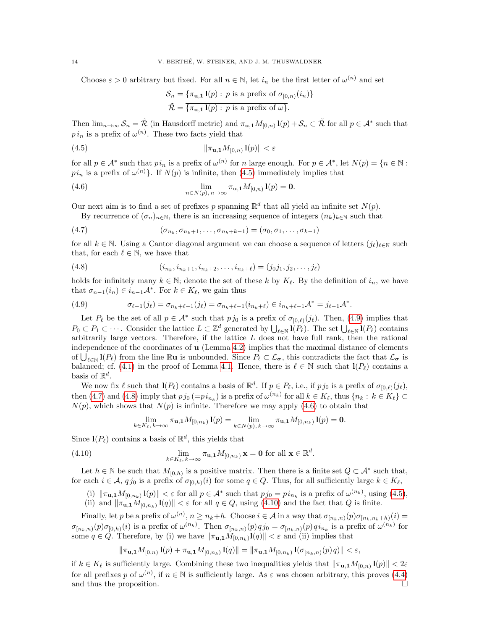Choose  $\varepsilon > 0$  arbitrary but fixed. For all  $n \in \mathbb{N}$ , let  $i_n$  be the first letter of  $\omega^{(n)}$  and set

<span id="page-13-4"></span><span id="page-13-0"></span>
$$
\mathcal{S}_n = \{\pi_{\mathbf{u},\mathbf{1}}\mathbf{1}(p) : p \text{ is a prefix of } \sigma_{[0,n)}(i_n)\}
$$

$$
\tilde{\mathcal{R}} = \{\pi_{\mathbf{u},\mathbf{1}}\mathbf{1}(p) : p \text{ is a prefix of } \omega\}.
$$

Then  $\lim_{n\to\infty} S_n = \tilde{\mathcal{R}}$  (in Hausdorff metric) and  $\pi_{\mathbf{u},\mathbf{1}} M_{[0,n)}\mathbf{1}(p) + \mathcal{S}_n \subset \tilde{\mathcal{R}}$  for all  $p \in \mathcal{A}^*$  such that  $p i_n$  is a prefix of  $\omega^{(n)}$ . These two facts yield that

$$
(4.5) \t\t\t\t\t \|\pi_{\mathbf{u},\mathbf{1}}M_{[0,n)}\mathbf{l}(p)\| < \varepsilon
$$

for all  $p \in A^*$  such that  $p i_n$  is a prefix of  $\omega^{(n)}$  for n large enough. For  $p \in A^*$ , let  $N(p) = \{n \in \mathbb{N} :$  $pi_n$  is a prefix of  $\omega^{(n)}$ . If  $N(p)$  is infinite, then [\(4.5\)](#page-13-0) immediately implies that

(4.6) 
$$
\lim_{n \in N(p), n \to \infty} \pi_{\mathbf{u}, \mathbf{1}} M_{[0,n)} \mathbf{1}(p) = \mathbf{0}.
$$

Our next aim is to find a set of prefixes p spanning  $\mathbb{R}^d$  that all yield an infinite set  $N(p)$ .

<span id="page-13-2"></span>By recurrence of  $(\sigma_n)_{n\in\mathbb{N}}$ , there is an increasing sequence of integers  $(n_k)_{k\in\mathbb{N}}$  such that

(4.7) 
$$
(\sigma_{n_k}, \sigma_{n_k+1}, \ldots, \sigma_{n_k+k-1}) = (\sigma_0, \sigma_1, \ldots, \sigma_{k-1})
$$

for all  $k \in \mathbb{N}$ . Using a Cantor diagonal argument we can choose a sequence of letters  $(j_\ell)_{\ell \in \mathbb{N}}$  such that, for each  $\ell \in \mathbb{N}$ , we have that

<span id="page-13-3"></span>(4.8) 
$$
(i_{n_k}, i_{n_k+1}, i_{n_k+2}, \dots, i_{n_k+\ell}) = (j_0 j_1, j_2, \dots, j_\ell)
$$

holds for infinitely many  $k \in \mathbb{N}$ ; denote the set of these k by  $K_{\ell}$ . By the definition of  $i_n$ , we have that  $\sigma_{n-1}(i_n) \in i_{n-1}A^*$ . For  $k \in K_{\ell}$ , we gain thus

<span id="page-13-1"></span>(4.9) 
$$
\sigma_{\ell-1}(j_{\ell}) = \sigma_{n_k+\ell-1}(j_{\ell}) = \sigma_{n_k+\ell-1}(i_{n_k+\ell}) \in i_{n_k+\ell-1} \mathcal{A}^* = j_{\ell-1} \mathcal{A}^*.
$$

Let  $P_\ell$  be the set of all  $p \in A^*$  such that  $p_{j_0}$  is a prefix of  $\sigma_{[0,\ell)}(j_\ell)$ . Then, [\(4.9\)](#page-13-1) implies that  $P_0 \subset P_1 \subset \cdots$ . Consider the lattice  $L \subset \mathbb{Z}^d$  generated by  $\bigcup_{\ell \in \mathbb{N}} I(P_\ell)$ . The set  $\bigcup_{\ell \in \mathbb{N}} I(P_\ell)$  contains arbitrarily large vectors. Therefore, if the lattice  $L$  does not have full rank, then the rational independence of the coordinates of  $\bf{u}$  (Lemma [4.2\)](#page-12-1) implies that the maximal distance of elements of  $\bigcup_{\ell \in \mathbb{N}} I(P_{\ell})$  from the line  $\mathbb{R}u$  is unbounded. Since  $P_{\ell} \subset \mathcal{L}_{\sigma}$ , this contradicts the fact that  $\mathcal{L}_{\sigma}$  is balanced; cf. [\(4.1\)](#page-12-4) in the proof of Lemma [4.1.](#page-11-2) Hence, there is  $\ell \in \mathbb{N}$  such that  $\mathbf{l}(P_{\ell})$  contains a basis of  $\mathbb{R}^d$ .

We now fix  $\ell$  such that  $\mathbf{l}(P_{\ell})$  contains a basis of  $\mathbb{R}^{d}$ . If  $p \in P_{\ell}$ , i.e., if  $p j_0$  is a prefix of  $\sigma_{[0,\ell)}(j_{\ell}),$ then [\(4.7\)](#page-13-2) and [\(4.8\)](#page-13-3) imply that  $pj_0 (=pi_{n_k})$  is a prefix of  $\omega^{(n_k)}$  for all  $k \in K_\ell$ , thus  $\{n_k : k \in K_\ell\} \subset$  $N(p)$ , which shows that  $N(p)$  is infinite. Therefore we may apply [\(4.6\)](#page-13-4) to obtain that

<span id="page-13-5"></span>
$$
\lim_{k \in K_{\ell}, k \to \infty} \pi_{\mathbf{u}, \mathbf{1}} M_{[0,n_k)} \mathbf{1}(p) = \lim_{k \in N(p), k \to \infty} \pi_{\mathbf{u}, \mathbf{1}} M_{[0,n_k)} \mathbf{1}(p) = \mathbf{0}.
$$

Since  $\mathbf{l}(P_{\ell})$  contains a basis of  $\mathbb{R}^{d}$ , this yields that

(4.10) 
$$
\lim_{k \in K_{\ell}, k \to \infty} \pi_{\mathbf{u},\mathbf{1}} M_{[0,n_k)} \mathbf{x} = \mathbf{0} \text{ for all } \mathbf{x} \in \mathbb{R}^d.
$$

Let  $h \in \mathbb{N}$  be such that  $M_{[0,h)}$  is a positive matrix. Then there is a finite set  $Q \subset A^*$  such that, for each  $i \in \mathcal{A}$ ,  $q_{j_0}$  is a prefix of  $\sigma_{[0,h)}(i)$  for some  $q \in Q$ . Thus, for all sufficiently large  $k \in K_{\ell}$ ,

- (i)  $\|\pi_{\mathbf{u},\mathbf{1}}M_{[0,n_k)}\mathbf{1}(p)\| < \varepsilon$  for all  $p \in \mathcal{A}^*$  such that  $pj_0 = pi_{n_k}$  is a prefix of  $\omega^{(n_k)}$ , using  $(4.5)$ ,
- (ii) and  $\|\pi_{\mathbf{u},\mathbf{1}}M_{[0,n_k)}\mathbf{l}(q)\| < \varepsilon$  for all  $q \in Q$ , using [\(4.10\)](#page-13-5) and the fact that Q is finite.

Finally, let p be a prefix of  $\omega^{(n)}$ ,  $n \ge n_k + h$ . Choose  $i \in \mathcal{A}$  in a way that  $\sigma_{[n_k,n)}(p)\sigma_{[n_k,n_k+h)}(i)$  $\sigma_{[n_k,n)}(p)\sigma_{[0,h)}(i)$  is a prefix of  $\omega^{(n_k)}$ . Then  $\sigma_{[n_k,n)}(p)qj_0 = \sigma_{[n_k,n)}(p)qi_{n_k}$  is a prefix of  $\omega^{(n_k)}$  for some  $q \in Q$ . Therefore, by (i) we have  $\|\pi_{\mathbf{u},\mathbf{1}}M_{[0,n_k)}\mathbf{l}(q)\| < \varepsilon$  and (ii) implies that

$$
\|\pi_{\mathbf{u},\mathbf{1}}M_{[0,n)}\mathbf{l}(p) + \pi_{\mathbf{u},\mathbf{1}}M_{[0,n_k)}\mathbf{l}(q)\| = \|\pi_{\mathbf{u},\mathbf{1}}M_{[0,n_k)}\mathbf{l}(\sigma_{[n_k,n)}(p)q)\| < \varepsilon,
$$

if  $k \in K_\ell$  is sufficiently large. Combining these two inequalities yields that  $\|\pi_{\mathbf{u},\mathbf{1}}M_{[0,n)}\mathbf{1}(p)\| < 2\varepsilon$ for all prefixes p of  $\omega^{(n)}$ , if  $n \in \mathbb{N}$  is sufficiently large. As  $\varepsilon$  was chosen arbitrary, this proves [\(4.4\)](#page-12-5) and thus the proposition.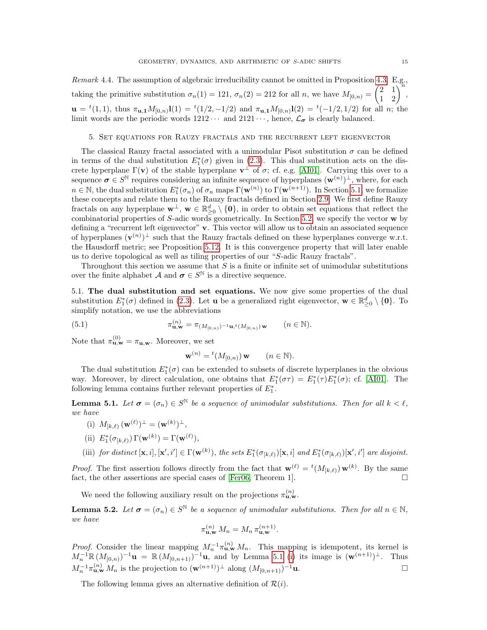Remark 4.4. The assumption of algebraic irreducibility cannot be omitted in Proposition [4.3.](#page-12-0) E.g., taking the primitive substitution  $\sigma_n(1) = 121$ ,  $\sigma_n(2) = 212$  for all n, we have  $M_{[0,n)} = \begin{pmatrix} 2 & 1 \\ 1 & 2 \end{pmatrix}^n$ ,  $\mathbf{u} = {}^{t}(1,1)$ , thus  $\pi_{\mathbf{u},\mathbf{1}} M_{[0,n)}(1) = {}^{t}(1/2,-1/2)$  and  $\pi_{\mathbf{u},\mathbf{1}} M_{[0,n)}(2) = {}^{t}(-1/2,1/2)$  for all n; the limit words are the periodic words  $1212 \cdots$  and  $2121 \cdots$ , hence,  $\mathcal{L}_{\sigma}$  is clearly balanced.

#### <span id="page-14-0"></span>5. Set equations for Rauzy fractals and the recurrent left eigenvector

The classical Rauzy fractal associated with a unimodular Pisot substitution  $\sigma$  can be defined in terms of the dual substitution  $E_1^*(\sigma)$  given in [\(2.3\)](#page-7-3). This dual substitution acts on the discrete hyperplane  $\Gamma(\mathbf{v})$  of the stable hyperplane  $\mathbf{v}^{\perp}$  of  $\sigma$ ; cf. e.g. [\[AI01\]](#page-33-8). Carrying this over to a sequence  $\sigma \in S^{\mathbb{N}}$  requires considering an infinite sequence of hyperplanes  $(\mathbf{w}^{(n)})^{\perp}$ , where, for each  $n \in \mathbb{N}$ , the dual substitution  $E_1^*(\sigma_n)$  of  $\sigma_n$  maps  $\Gamma(\mathbf{w}^{(n)})$  to  $\Gamma(\mathbf{w}^{(n+1)})$ . In Section [5.1,](#page-14-1) we formalize these concepts and relate them to the Rauzy fractals defined in Section [2.9.](#page-6-1) We first define Rauzy fractals on any hyperplane  $\mathbf{w}^{\perp}$ ,  $\mathbf{w} \in \mathbb{R}_{\geq 0}^d \setminus \{\mathbf{0}\}$ , in order to obtain set equations that reflect the combinatorial properties of  $S$ -adic words geometrically. In Section [5.2,](#page-16-0) we specify the vector  $\bf{w}$  by defining a "recurrent left eigenvector" v. This vector will allow us to obtain an associated sequence of hyperplanes  $(\mathbf{v}^{(n)})^{\perp}$  such that the Rauzy fractals defined on these hyperplanes converge w.r.t. the Hausdorff metric; see Proposition [5.12.](#page-18-1) It is this convergence property that will later enable us to derive topological as well as tiling properties of our "S-adic Rauzy fractals".

Throughout this section we assume that  $S$  is a finite or infinite set of unimodular substitutions over the finite alphabet A and  $\sigma \in S^{\mathbb{N}}$  is a directive sequence.

<span id="page-14-1"></span>5.1. The dual substitution and set equations. We now give some properties of the dual substitution  $E_1^*(\sigma)$  defined in [\(2.3\)](#page-7-3). Let **u** be a generalized right eigenvector,  $\mathbf{w} \in \mathbb{R}_{\geq 0}^d \setminus \{\mathbf{0}\}\$ . To simplify notation, we use the abbreviations

(5.1) 
$$
\pi_{\mathbf{u}, \mathbf{w}}^{(n)} = \pi_{(M_{[0,n)})^{-1}\mathbf{u}, t(M_{[0,n)})\mathbf{w}} \qquad (n \in \mathbb{N}).
$$

Note that  $\pi_{\mathbf{u},\mathbf{w}}^{(0)} = \pi_{\mathbf{u},\mathbf{w}}$ . Moreover, we set

<span id="page-14-5"></span>
$$
\mathbf{w}^{(n)} = {}^{t}(M_{[0,n)}) \mathbf{w} \qquad (n \in \mathbb{N}).
$$

The dual substitution  $E_1^*(\sigma)$  can be extended to subsets of discrete hyperplanes in the obvious way. Moreover, by direct calculation, one obtains that  $E_1^*(\sigma \tau) = E_1^*(\tau)E_1^*(\sigma)$ ; cf. [\[AI01\]](#page-33-8). The following lemma contains further relevant properties of  $E_1^*$ .

<span id="page-14-2"></span>**Lemma 5.1.** Let  $\sigma = (\sigma_n) \in S^{\mathbb{N}}$  be a sequence of unimodular substitutions. Then for all  $k < \ell$ , we have

<span id="page-14-3"></span>(i) 
$$
M_{[k,\ell)}(\mathbf{w}^{(\ell)})^{\perp} = (\mathbf{w}^{(k)})^{\perp}
$$
,

<span id="page-14-6"></span>(ii) 
$$
E_1^*(\sigma_{[k,\ell)}) \Gamma(\mathbf{w}^{(k)}) = \Gamma(\mathbf{w}^{(\ell)}),
$$

<span id="page-14-7"></span>(iii) for distinct  $[\mathbf{x}, i], [\mathbf{x}', i'] \in \Gamma(\mathbf{w}^{(k)})$ , the sets  $E_1^*(\sigma_{[k,\ell)})[\mathbf{x}, i]$  and  $E_1^*(\sigma_{[k,\ell)})[\mathbf{x}', i']$  are disjoint.

*Proof.* The first assertion follows directly from the fact that  $\mathbf{w}^{(\ell)} = {}^{t}(M_{[k,\ell)}) \mathbf{w}^{(k)}$ . By the same fact, the other assertions are special cases of [\[Fer06,](#page-35-30) Theorem 1].  $\Box$ 

We need the following auxiliary result on the projections  $\pi_{\mathbf{u},\mathbf{w}}^{(n)}$ .

<span id="page-14-4"></span>**Lemma 5.2.** Let  $\sigma = (\sigma_n) \in S^{\mathbb{N}}$  be a sequence of unimodular substitutions. Then for all  $n \in \mathbb{N}$ , we have

$$
\pi_{\mathbf{u},\mathbf{w}}^{(n)} M_n = M_n \, \pi_{\mathbf{u},\mathbf{w}}^{(n+1)}.
$$

*Proof.* Consider the linear mapping  $M_n^{-1} \pi_{\mathbf{u},\mathbf{w}}^{(n)} M_n$ . This mapping is idempotent, its kernel is  $M_n^{-1} \mathbb{R} (M_{[0,n)})^{-1}$ **u** =  $\mathbb{R} (M_{[0,n+1)})^{-1}$ **u**, and by Lemma [5.1](#page-14-2) [\(i\)](#page-14-3) its image is  $(\mathbf{w}^{(n+1)})^{\perp}$ . Thus  $M_n^{-1} \pi_{\mathbf{u},\mathbf{w}}^{(n)} M_n$  is the projection to  $(\mathbf{w}^{(n+1)})^{\perp}$  along  $(M_{[0,n+1)})^{-1} \mathbf{u}$ .

The following lemma gives an alternative definition of  $\mathcal{R}(i)$ .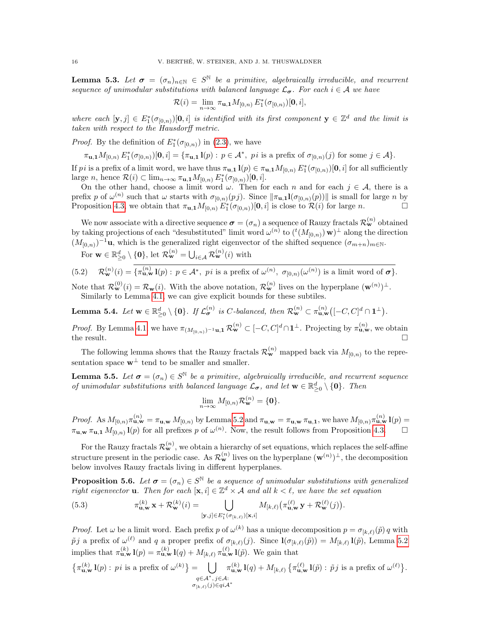**Lemma 5.3.** Let  $\sigma = (\sigma_n)_{n \in \mathbb{N}} \in S^{\mathbb{N}}$  be a primitive, algebraically irreducible, and recurrent sequence of unimodular substitutions with balanced language  $\mathcal{L}_{\sigma}$ . For each  $i \in \mathcal{A}$  we have

$$
\mathcal{R}(i) = \lim_{n \to \infty} \pi_{\mathbf{u},\mathbf{1}} M_{[0,n)} E_1^*(\sigma_{[0,n)})[\mathbf{0},i],
$$

where each  $[\mathbf{y},j] \in E_1^*(\sigma_{[0,n)})[\mathbf{0},i]$  is identified with its first component  $\mathbf{y} \in \mathbb{Z}^d$  and the limit is taken with respect to the Hausdorff metric.

*Proof.* By the definition of  $E_1^*(\sigma_{[0,n)})$  in [\(2.3\)](#page-7-3), we have

 $\pi_{\mathbf{u},\mathbf{1}}M_{[0,n)} E_1^*(\sigma_{[0,n)})[\mathbf{0},i] = {\pi_{\mathbf{u},\mathbf{1}}\mathbf{l}(p) : p \in \mathcal{A}^*, \text{ } p\text{ is a prefix of } \sigma_{[0,n)}(j) \text{ for some } j \in \mathcal{A}}.$ 

If pi is a prefix of a limit word, we have thus  $\pi_{\mathbf{u},\mathbf{1}}\mathbf{1}(p) \in \pi_{\mathbf{u},\mathbf{1}}M_{[0,n)} E^*_{\mathbf{1}}(\sigma_{[0,n)})[\mathbf{0},i]$  for all sufficiently large *n*, hence  $\mathcal{R}(i) \subset \lim_{n \to \infty} \pi_{\mathbf{u},\mathbf{1}} M_{[0,n)} E_1^*(\sigma_{[0,n)})[\mathbf{0},i].$ 

On the other hand, choose a limit word  $\omega$ . Then for each n and for each  $j \in \mathcal{A}$ , there is a prefix p of  $\omega^{(n)}$  such that  $\omega$  starts with  $\sigma_{[0,n)}(p_j)$ . Since  $\|\pi_{\mathbf{u},\mathbf{1}}\mathbf{l}(\sigma_{[0,n)}(p))\|$  is small for large n by Proposition [4.3,](#page-12-0) we obtain that  $\pi_{\mathbf{u},\mathbf{1}} M_{[0,n)} E_{\mathbf{1}}^*(\sigma_{[0,n)})[\mathbf{0},i]$  is close to  $\mathcal{R}(i)$  for large *n*.

We now associate with a directive sequence  $\sigma = (\sigma_n)$  a sequence of Rauzy fractals  $\mathcal{R}_{\bf w}^{(n)}$  obtained by taking projections of each "desubstituted" limit word  $\omega^{(n)}$  to  $({}^{t}(M_{[0,n)})\mathbf{w})^{\perp}$  along the direction  $(M_{[0,n)})^{-1}$ **u**, which is the generalized right eigenvector of the shifted sequence  $(\sigma_{m+n})_{m\in\mathbb{N}}$ .

<span id="page-15-3"></span>For  $\mathbf{w} \in \mathbb{R}_{\geq 0}^d \setminus \{\mathbf{0}\},\$ let  $\mathcal{R}_{\mathbf{w}}^{(n)} = \bigcup_{i \in \mathcal{A}} \mathcal{R}_{\mathbf{w}}^{(n)}(i)$  with

(5.2) 
$$
\mathcal{R}_{\mathbf{w}}^{(n)}(i) = \{\pi_{\mathbf{u},\mathbf{w}}^{(n)}\mathbf{l}(p) : p \in \mathcal{A}^*, \text{ } p i \text{ is a prefix of } \omega^{(n)}, \sigma_{[0,n)}(\omega^{(n)}) \text{ is a limit word of } \sigma\}.
$$

Note that  $\mathcal{R}_{\mathbf{w}}^{(0)}(i) = \mathcal{R}_{\mathbf{w}}(i)$ . With the above notation,  $\mathcal{R}_{\mathbf{w}}^{(n)}$  lives on the hyperplane  $(\mathbf{w}^{(n)})^{\perp}$ . Similarly to Lemma [4.1,](#page-11-2) we can give explicit bounds for these subtiles.

<span id="page-15-2"></span>**Lemma 5.4.** Let  $\mathbf{w} \in \mathbb{R}_{\geq 0}^d \setminus \{\mathbf{0}\}\$ . If  $\mathcal{L}_{\sigma}^{(n)}$  is C-balanced, then  $\mathcal{R}_{\mathbf{w}}^{(n)} \subset \pi_{\mathbf{u},\mathbf{w}}^{(n)}([-C,C]^d \cap \mathbf{1}^{\perp})$ .

*Proof.* By Lemma [4.1,](#page-11-2) we have  $\pi_{(M_{[0,n)})^{-1}\mathbf{u},\mathbf{1}} \mathcal{R}_{\mathbf{w}}^{(n)} \subset [-C, C]^d \cap \mathbf{1}^{\perp}$ . Projecting by  $\pi_{\mathbf{u},\mathbf{w}}^{(n)}$ , we obtain the result.  $\Box$ 

The following lemma shows that the Rauzy fractals  $\mathcal{R}_{\mathbf{w}}^{(n)}$  mapped back via  $M_{[0,n)}$  to the representation space  $\mathbf{w}^{\perp}$  tend to be smaller and smaller.

<span id="page-15-1"></span>**Lemma 5.5.** Let  $\boldsymbol{\sigma} = (\sigma_n) \in S^{\mathbb{N}}$  be a primitive, algebraically irreducible, and recurrent sequence of unimodular substitutions with balanced language  $\mathcal{L}_{\sigma}$ , and let  $\mathbf{w} \in \mathbb{R}_{\geq 0}^d \setminus \{\mathbf{0}\}$ . Then

$$
\lim_{n\to\infty}M_{[0,n)}\mathcal{R}_{\mathbf{w}}^{(n)}=\{\mathbf{0}\}.
$$

*Proof.* As  $M_{[0,n)} \pi_{\mathbf{u},\mathbf{w}}^{(n)} = \pi_{\mathbf{u},\mathbf{w}} M_{[0,n)}$  by Lemma [5.2](#page-14-4) and  $\pi_{\mathbf{u},\mathbf{w}} = \pi_{\mathbf{u},\mathbf{w}} \pi_{\mathbf{u},\mathbf{1}}$ , we have  $M_{[0,n)} \pi_{\mathbf{u},\mathbf{w}}^{(n)} \mathbf{1}(p) =$  $\pi_{\mathbf{u},\mathbf{w}} \pi_{\mathbf{u},\mathbf{1}} M_{[0,n)}(p)$  for all prefixes p of  $\omega^{(n)}$ . Now, the result follows from Proposition [4.3.](#page-12-0)

For the Rauzy fractals  $\mathcal{R}_{\mathbf{w}}^{(n)}$ , we obtain a hierarchy of set equations, which replaces the self-affine structure present in the periodic case. As  $\mathcal{R}_{\mathbf{w}}^{(n)}$  lives on the hyperplane  $(\mathbf{w}^{(n)})^{\perp}$ , the decomposition below involves Rauzy fractals living in different hyperplanes.

<span id="page-15-4"></span>**Proposition 5.6.** Let  $\boldsymbol{\sigma} = (\sigma_n) \in S^{\mathbb{N}}$  be a sequence of unimodular substitutions with generalized right eigenvector **u**. Then for each  $[\mathbf{x}, i] \in \mathbb{Z}^d \times \mathcal{A}$  and all  $k \leq \ell$ , we have the set equation

<span id="page-15-0"></span>(5.3) 
$$
\pi_{\mathbf{u},\mathbf{w}}^{(k)} \mathbf{x} + \mathcal{R}_{\mathbf{w}}^{(k)}(i) = \bigcup_{[\mathbf{y},j] \in E_1^*(\sigma_{[k,\ell)})[\mathbf{x},i]} M_{[k,\ell)}(\pi_{\mathbf{u},\mathbf{w}}^{(\ell)} \mathbf{y} + \mathcal{R}_{\mathbf{w}}^{(\ell)}(j)).
$$

*Proof.* Let  $\omega$  be a limit word. Each prefix p of  $\omega^{(k)}$  has a unique decomposition  $p = \sigma_{[k,\ell)}(\tilde{p}) q$  with  $\tilde{p}j$  a prefix of  $\omega^{(\ell)}$  and q a proper prefix of  $\sigma_{[k,\ell)}(j)$ . Since  $\mathbf{l}(\sigma_{[k,\ell)}(\tilde{p})) = M_{[k,\ell)}\mathbf{l}(\tilde{p})$ , Lemma [5.2](#page-14-4) implies that  $\pi_{\mathbf{u},\mathbf{w}}^{(k)}\mathbf{l}(p) = \pi_{\mathbf{u},\mathbf{w}}^{(k)}\mathbf{l}(q) + M_{[k,\ell)}\pi_{\mathbf{u},\mathbf{w}}^{(\ell)}\mathbf{l}(\tilde{p})$ . We gain that

$$
\{\pi_{\mathbf{u},\mathbf{w}}^{(k)}\mathbf{l}(p) : \text{ } p\text{ is a prefix of } \omega^{(k)}\} = \bigcup_{\substack{q \in \mathcal{A}^*,\,j\in\mathcal{A}:\\ \sigma_{[k,\ell)}(j)\in q\text{i}\mathcal{A}^*}} \pi_{\mathbf{u},\mathbf{w}}^{(k)}\mathbf{l}(q) + M_{[k,\ell)}\left\{\pi_{\mathbf{u},\mathbf{w}}^{(\ell)}\mathbf{l}(\tilde{p}) : \tilde{p}\text{ }j\text{ is a prefix of }\omega^{(\ell)}\right\}.
$$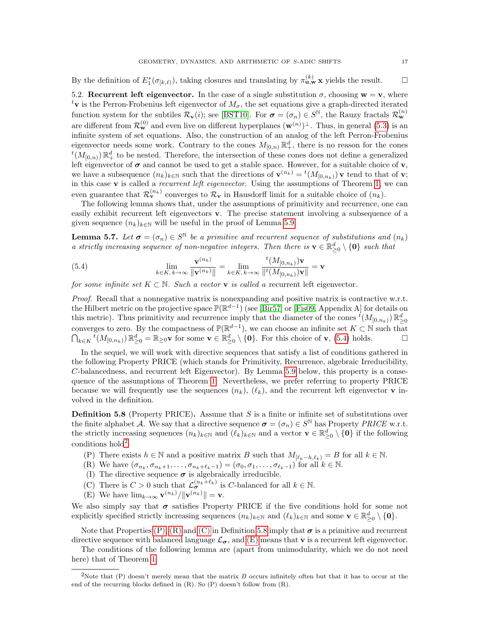By the definition of  $E_1^*(\sigma_{[k,\ell)})$ , taking closures and translating by  $\pi_{\mathbf{u},\mathbf{w}}^{(k)}$  x yields the result.

<span id="page-16-0"></span>5.2. Recurrent left eigenvector. In the case of a single substitution  $\sigma$ , choosing  $\mathbf{w} = \mathbf{v}$ , where <sup>t</sup>v is the Perron-Frobenius left eigenvector of  $M_{\sigma}$ , the set equations give a graph-directed iterated function system for the subtiles  $\mathcal{R}_{\mathbf{v}}(i)$ ; see [\[BST10\]](#page-34-1). For  $\boldsymbol{\sigma} = (\sigma_n) \in S^{\mathbb{N}}$ , the Rauzy fractals  $\mathcal{R}_{\mathbf{w}}^{(n)}$ are different from  $\mathcal{R}_{\mathbf{w}}^{(0)}$  and even live on different hyperplanes  $(\mathbf{w}^{(n)})^{\perp}$ . Thus, in general [\(5.3\)](#page-15-0) is an infinite system of set equations. Also, the construction of an analog of the left Perron-Frobenius eigenvector needs some work. Contrary to the cones  $M_{[0,n)} \mathbb{R}^d_+$ , there is no reason for the cones  $^t(M_{[0,n)})\mathbb{R}_+^d$  to be nested. Therefore, the intersection of these cones does not define a generalized left eigenvector of  $\sigma$  and cannot be used to get a stable space. However, for a suitable choice of  $\mathbf{v}$ , we have a subsequence  $(n_k)_{k\in\mathbb{N}}$  such that the directions of  $\mathbf{v}^{(n_k)} = {}^t(M_{[0,n_k)})\mathbf{v}$  tend to that of  $\mathbf{v}$ ; in this case  $\bf{v}$  is called a *recurrent left eigenvector*. Using the assumptions of Theorem [1,](#page-7-1) we can even guarantee that  $\mathcal{R}_{\mathbf{v}}^{(n_k)}$  converges to  $\mathcal{R}_{\mathbf{v}}$  in Hausdorff limit for a suitable choice of  $(n_k)$ .

The following lemma shows that, under the assumptions of primitivity and recurrence, one can easily exhibit recurrent left eigenvectors v. The precise statement involving a subsequence of a given sequence  $(n_k)_{k\in\mathbb{N}}$  will be useful in the proof of Lemma [5.9.](#page-17-0)

<span id="page-16-4"></span>**Lemma 5.7.** Let  $\boldsymbol{\sigma} = (\sigma_n) \in S^{\mathbb{N}}$  be a primitive and recurrent sequence of substitutions and  $(n_k)$ a strictly increasing sequence of non-negative integers. Then there is  $\mathbf{v} \in \mathbb{R}_{\geq 0}^d \setminus \{\mathbf{0}\}\$  such that

<span id="page-16-1"></span>(5.4) 
$$
\lim_{k \in K, k \to \infty} \frac{\mathbf{v}^{(n_k)}}{\|\mathbf{v}^{(n_k)}\|} = \lim_{k \in K, k \to \infty} \frac{t(M_{[0,n_k)})\mathbf{v}}{\|t(M_{[0,n_k)})\mathbf{v}\|} = \mathbf{v}
$$

for some infinite set  $K \subset \mathbb{N}$ . Such a vector **v** is called a recurrent left eigenvector.

Proof. Recall that a nonnegative matrix is nonexpanding and positive matrix is contractive w.r.t. the Hilbert metric on the projective space  $\mathbb{P}(\mathbb{R}^{d-1})$  (see [\[Bir57\]](#page-34-29) or [\[Fis09,](#page-35-2) Appendix A] for details on this metric). Thus primitivity and recurrence imply that the diameter of the cones  ${}^t(M_{[0,n_k)})\mathbb{R}^d_{\geq 0}$ converges to zero. By the compactness of  $\mathbb{P}(\mathbb{R}^{d-1})$ , we can choose an infinite set  $K \subset \mathbb{N}$  such that  $\bigcap_{k\in K} \overline{t}(M_{[0,n_k)}) \mathbb{R}_{\geq 0}^d = \mathbb{R}_{\geq 0}$  v for some  $\mathbf{v} \in \mathbb{R}_{\geq 0}^d \setminus \{\mathbf{0}\}\$ . For this choice of  $\mathbf{v}$ , [\(5.4\)](#page-16-1) holds.

In the sequel, we will work with directive sequences that satisfy a list of conditions gathered in the following Property PRICE (which stands for Primitivity, Recurrence, algebraic Irreducibility, C-balancedness, and recurrent left Eigenvector). By Lemma [5.9](#page-17-0) below, this property is a consequence of the assumptions of Theorem [1.](#page-7-1) Nevertheless, we prefer referring to property PRICE because we will frequently use the sequences  $(n_k)$ ,  $(\ell_k)$ , and the recurrent left eigenvector **v** involved in the definition.

<span id="page-16-3"></span>**Definition 5.8** (Property PRICE). Assume that  $S$  is a finite or infinite set of substitutions over the finite alphabet A. We say that a directive sequence  $\sigma = (\sigma_n) \in S^{\mathbb{N}}$  has Property PRICE w.r.t. the strictly increasing sequences  $(n_k)_{k\in\mathbb{N}}$  and  $(\ell_k)_{k\in\mathbb{N}}$  and a vector  $\mathbf{v} \in \mathbb{R}_{\geq 0}^d \setminus \{\mathbf{0}\}$  if the following conditions hold<sup>[2](#page-16-2)</sup>.

- (P) There exists  $h \in \mathbb{N}$  and a positive matrix B such that  $M_{\lbrack \ell_k-h,\ell_k \rbrack} = B$  for all  $k \in \mathbb{N}$ .
- (R) We have  $(\sigma_{n_k}, \sigma_{n_k+1}, \ldots, \sigma_{n_k+\ell_k-1}) = (\sigma_0, \sigma_1, \ldots, \sigma_{\ell_k-1})$  for all  $k \in \mathbb{N}$ .
- (I) The directive sequence  $\sigma$  is algebraically irreducible.
- (C) There is  $C > 0$  such that  $\mathcal{L}_{\sigma}^{(n_k + \ell_k)}$  is C-balanced for all  $k \in \mathbb{N}$ .
- (E) We have  $\lim_{k\to\infty} \mathbf{v}^{(n_k)}/\|\mathbf{v}^{(n_k)}\| = \mathbf{v}.$

We also simply say that  $\sigma$  satisfies Property PRICE if the five conditions hold for some not explicitly specified strictly increasing sequences  $(n_k)_{k \in \mathbb{N}}$  and  $(\ell_k)_{k \in \mathbb{N}}$  and some  $\mathbf{v} \in \mathbb{R}^d_{\geq 0} \setminus \{\mathbf{0}\}.$ 

Note that Properties [\(P\), \(R\)](#page-16-3) and [\(C\)](#page-16-3) in Definition [5.8](#page-16-3) imply that  $\sigma$  is a primitive and recurrent directive sequence with balanced language  $\mathcal{L}_{\sigma}$ , and [\(E\)](#page-16-3) means that **v** is a recurrent left eigenvector.

The conditions of the following lemma are (apart from unimodularity, which we do not need here) that of Theorem [1.](#page-7-1)

<span id="page-16-2"></span><sup>&</sup>lt;sup>2</sup>Note that (P) doesn't merely mean that the matrix B occurs infinitely often but that it has to occur at the end of the recurring blocks defined in (R). So (P) doesn't follow from (R).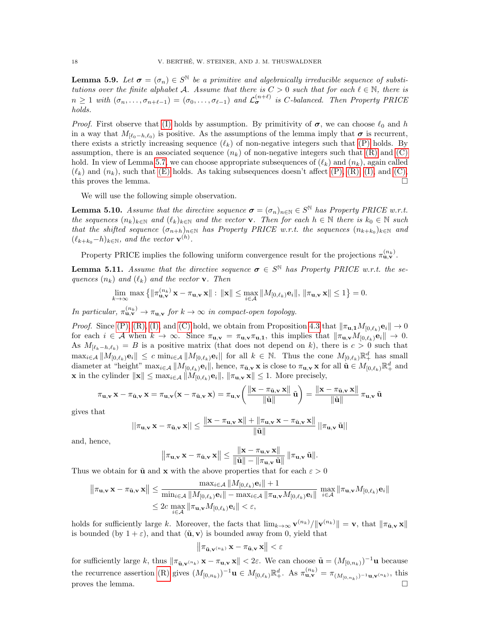<span id="page-17-0"></span>**Lemma 5.9.** Let  $\sigma = (\sigma_n) \in S^{\mathbb{N}}$  be a primitive and algebraically irreducible sequence of substitutions over the finite alphabet A. Assume that there is  $C > 0$  such that for each  $\ell \in \mathbb{N}$ , there is  $n \geq 1$  with  $(\sigma_n, \ldots, \sigma_{n+\ell-1}) = (\sigma_0, \ldots, \sigma_{\ell-1})$  and  $\mathcal{L}_{\sigma}^{(n+\ell)}$  is C-balanced. Then Property PRICE holds.

*Proof.* First observe that [\(I\)](#page-16-3) holds by assumption. By primitivity of  $\sigma$ , we can choose  $\ell_0$  and h in a way that  $M_{[\ell_0-h,\ell_0)}$  is positive. As the assumptions of the lemma imply that  $\sigma$  is recurrent, there exists a strictly increasing sequence  $(\ell_k)$  of non-negative integers such that [\(P\)](#page-16-3) holds. By assumption, there is an associated sequence  $(n_k)$  of non-negative integers such that  $(R)$  and  $(C)$ hold. In view of Lemma [5.7,](#page-16-4) we can choose appropriate subsequences of  $(\ell_k)$  and  $(n_k)$ , again called  $(\ell_k)$  and  $(n_k)$ , such that  $(E)$  holds. As taking subsequences doesn't affect  $(P)$ ,  $(R)$ ,  $(I)$ , and  $(C)$ , this proves the lemma.

We will use the following simple observation.

<span id="page-17-2"></span>**Lemma 5.10.** Assume that the directive sequence  $\sigma = (\sigma_n)_{n \in \mathbb{N}} \in S^{\mathbb{N}}$  has Property PRICE w.r.t. the sequences  $(n_k)_{k\in\mathbb{N}}$  and  $(\ell_k)_{k\in\mathbb{N}}$  and the vector **v**. Then for each  $h \in \mathbb{N}$  there is  $k_0 \in \mathbb{N}$  such that the shifted sequence  $(\sigma_{n+h})_{n\in\mathbb{N}}$  has Property PRICE w.r.t. the sequences  $(n_{k+k_0})_{k\in\mathbb{N}}$  and  $(\ell_{k+k_0}-h)_{k\in\mathbb{N}}$ , and the vector  $\mathbf{v}^{(h)}$ .

Property PRICE implies the following uniform convergence result for the projections  $\pi_{\mathbf{u},\mathbf{v}}^{(n_k)}$ .

<span id="page-17-1"></span>**Lemma 5.11.** Assume that the directive sequence  $\sigma \in S^{\mathbb{N}}$  has Property PRICE w.r.t. the sequences  $(n_k)$  and  $(\ell_k)$  and the vector **v**. Then

$$
\lim_{k\to\infty} \max\left\{\|\pi_{\mathbf{u},\mathbf{v}}^{(n_k)}\mathbf{x} - \pi_{\mathbf{u},\mathbf{v}}\mathbf{x}\| : \|\mathbf{x}\| \le \max_{i\in\mathcal{A}} \|M_{[0,\ell_k)}\mathbf{e}_i\|, \|\pi_{\mathbf{u},\mathbf{v}}\mathbf{x}\| \le 1\right\} = 0.
$$

In particular,  $\pi_{\mathbf{u},\mathbf{v}}^{(n_k)} \to \pi_{\mathbf{u},\mathbf{v}}$  for  $k \to \infty$  in compact-open topology.

*Proof.* Since [\(P\), \(R\), \(I\),](#page-16-3) and [\(C\)](#page-16-3) hold, we obtain from Proposition [4.3](#page-12-0) that  $\|\pi_{\mathbf{u},\mathbf{1}}M_{[0,\ell_k)}\mathbf{e}_i\| \to 0$ for each  $i \in \mathcal{A}$  when  $k \to \infty$ . Since  $\pi_{\mathbf{u},\mathbf{v}} = \pi_{\mathbf{u},\mathbf{v}} \pi_{\mathbf{u},\mathbf{1}}$ , this implies that  $\|\pi_{\mathbf{u},\mathbf{v}} M_{[0,\ell_k)}\mathbf{e}_i\| \to 0$ . As  $M_{[\ell_k-h,\ell_k)} = B$  is a positive matrix (that does not depend on k), there is  $c > 0$  such that  $\max_{i\in\mathcal{A}}\|M_{[0,\ell_k)}\mathbf{e}_i\| \leq c \min_{i\in\mathcal{A}}\|M_{[0,\ell_k)}\mathbf{e}_i\|$  for all  $k\in\mathbb{N}$ . Thus the cone  $M_{[0,\ell_k)}\mathbb{R}^d_+$  has small diameter at "height"  $\max_{i \in \mathcal{A}} ||M_{[0,\ell_k)}\mathbf{e}_i||$ , hence,  $\pi_{\mathbf{u},\mathbf{v}} \mathbf{x}$  is close to  $\pi_{\mathbf{u},\mathbf{v}} \mathbf{x}$  for all  $\mathbf{u} \in M_{[0,\ell_k)} \mathbb{R}^d_+$  and **x** in the cylinder  $\|\mathbf{x}\| \leq \max_{i \in \mathcal{A}} \|M_{[0,\ell_k)}\mathbf{e}_i\|, \|\pi_{\mathbf{u},\mathbf{v}}\mathbf{x}\| \leq 1$ . More precisely,

$$
\pi_{\mathbf{u},\mathbf{v}}\mathbf{x} - \pi_{\tilde{\mathbf{u}},\mathbf{v}}\mathbf{x} = \pi_{\mathbf{u},\mathbf{v}}(\mathbf{x} - \pi_{\tilde{\mathbf{u}},\mathbf{v}}\mathbf{x}) = \pi_{\mathbf{u},\mathbf{v}}\left(\frac{\|\mathbf{x} - \pi_{\tilde{\mathbf{u}},\mathbf{v}}\mathbf{x}\|}{\|\tilde{\mathbf{u}}\|}\tilde{\mathbf{u}}\right) = \frac{\|\mathbf{x} - \pi_{\tilde{\mathbf{u}},\mathbf{v}}\mathbf{x}\|}{\|\tilde{\mathbf{u}}\|}\pi_{\mathbf{u},\mathbf{v}}\tilde{\mathbf{u}}
$$

gives that

$$
||\pi_{\mathbf{u},\mathbf{v}}\,\mathbf{x}-\pi_{\tilde{\mathbf{u}},\mathbf{v}}\,\mathbf{x}||\leq\frac{\|\mathbf{x}-\pi_{\mathbf{u},\mathbf{v}}\,\mathbf{x}\|+\|\pi_{\mathbf{u},\mathbf{v}}\,\mathbf{x}-\pi_{\tilde{\mathbf{u}},\mathbf{v}}\,\mathbf{x}\|}{\|\tilde{\mathbf{u}}\|}\,||\pi_{\mathbf{u},\mathbf{v}}\,\tilde{\mathbf{u}}||
$$

and, hence,

$$
\left\|\pi_{\mathbf{u},\mathbf{v}}\,\mathbf{x}-\pi_{\tilde{\mathbf{u}},\mathbf{v}}\,\mathbf{x}\right\|\leq \frac{\|\mathbf{x}-\pi_{\mathbf{u},\mathbf{v}}\,\mathbf{x}\|}{\|\tilde{\mathbf{u}}\|-\|\pi_{\mathbf{u},\mathbf{v}}\,\tilde{\mathbf{u}}\|}\,\|\pi_{\mathbf{u},\mathbf{v}}\,\tilde{\mathbf{u}}\|.
$$

Thus we obtain for  $\tilde{u}$  and x with the above properties that for each  $\varepsilon > 0$ 

$$
\|\pi_{\mathbf{u},\mathbf{v}}\mathbf{x} - \pi_{\tilde{\mathbf{u}},\mathbf{v}}\mathbf{x}\| \le \frac{\max_{i\in\mathcal{A}}\|M_{[0,\ell_k)}\mathbf{e}_i\| + 1}{\min_{i\in\mathcal{A}}\|M_{[0,\ell_k)}\mathbf{e}_i\| - \max_{i\in\mathcal{A}}\|\pi_{\mathbf{u},\mathbf{v}}M_{[0,\ell_k)}\mathbf{e}_i\|} \max_{i\in\mathcal{A}} \|\pi_{\mathbf{u},\mathbf{v}}M_{[0,\ell_k)}\mathbf{e}_i\|}
$$
  
\$\leq 2c \max\_{i\in\mathcal{A}} \|\pi\_{\mathbf{u},\mathbf{v}}M\_{[0,\ell\_k)}\mathbf{e}\_i\| < \varepsilon\$,

holds for sufficiently large k. Moreover, the facts that  $\lim_{k\to\infty} \mathbf{v}^{(n_k)} / \|\mathbf{v}^{(n_k)}\| = \mathbf{v}$ , that  $\|\pi_{\mathbf{u},\mathbf{v}}\mathbf{x}\|$ is bounded (by  $1 + \varepsilon$ ), and that  $\langle \tilde{\mathbf{u}}, \mathbf{v} \rangle$  is bounded away from 0, yield that

$$
\left\|\pi_{\tilde{\mathbf{u}},\mathbf{v}^{(n_k)}}\mathbf{x}-\pi_{\tilde{\mathbf{u}},\mathbf{v}}\mathbf{x}\right\|<\varepsilon
$$

for sufficiently large k, thus  $\|\pi_{\tilde{\mathbf{u}},\mathbf{v}}^{(n_k)}\mathbf{x} - \pi_{\mathbf{u},\mathbf{v}}\mathbf{x}\| < 2\varepsilon$ . We can choose  $\tilde{\mathbf{u}} = (M_{[0,n_k)})^{-1}\mathbf{u}$  because the recurrence assertion [\(R\)](#page-16-3) gives  $(M_{[0,n_k)})^{-1}\mathbf{u} \in M_{[0,\ell_k)}\mathbb{R}^d_+$ . As  $\pi_{\mathbf{u},\mathbf{v}}^{(n_k)} = \pi_{(M_{[0,n_k)})^{-1}\mathbf{u},\mathbf{v}^{(n_k)}}$ , this proves the lemma.  $\Box$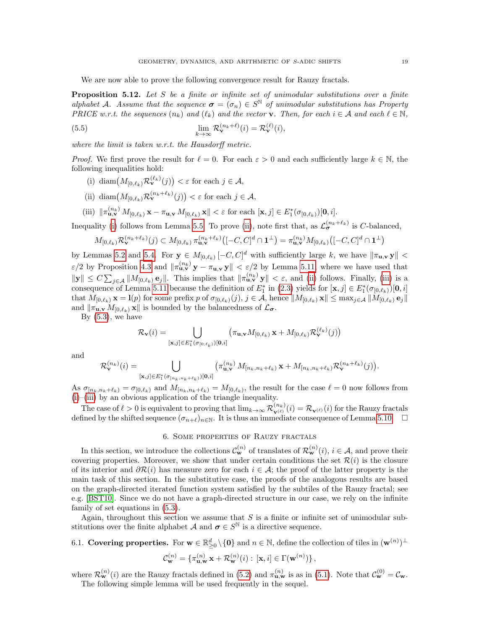We are now able to prove the following convergence result for Rauzy fractals.

<span id="page-18-1"></span>**Proposition 5.12.** Let S be a finite or infinite set of unimodular substitutions over a finite alphabet A. Assume that the sequence  $\sigma = (\sigma_n) \in S^{\mathbb{N}}$  of unimodular substitutions has Property PRICE w.r.t. the sequences  $(n_k)$  and  $(\ell_k)$  and the vector **v**. Then, for each  $i \in A$  and each  $\ell \in \mathbb{N}$ ,

(5.5) 
$$
\lim_{k \to \infty} \mathcal{R}_{\mathbf{v}}^{(n_k + \ell)}(i) = \mathcal{R}_{\mathbf{v}}^{(\ell)}(i),
$$

where the limit is taken w.r.t. the Hausdorff metric.

*Proof.* We first prove the result for  $\ell = 0$ . For each  $\varepsilon > 0$  and each sufficiently large  $k \in \mathbb{N}$ , the following inequalities hold:

- <span id="page-18-2"></span>(i) diam $(M_{[0,\ell_k)} \mathcal{R}_{\mathbf{v}}^{(\ell_k)}(j)) < \varepsilon$  for each  $j \in \mathcal{A}$ ,
- <span id="page-18-3"></span>(ii) diam $(M_{[0,\ell_k)} \mathcal{R}_{\mathbf{v}}^{(n_k+\ell_k)}(j)) < \varepsilon$  for each  $j \in \mathcal{A}$ ,
- <span id="page-18-4"></span>(iii)  $\|\pi_{\mathbf{u},\mathbf{v}}^{(n_k)} M_{[0,\ell_k)} \mathbf{x} - \pi_{\mathbf{u},\mathbf{v}} M_{[0,\ell_k)} \mathbf{x}\| < \varepsilon$  for each  $[\mathbf{x}, j] \in E_1^*(\sigma_{[0,\ell_k)})[\mathbf{0}, i].$

Inequality [\(i\)](#page-18-2) follows from Lemma [5.5.](#page-15-1) To prove [\(ii\)](#page-18-3), note first that, as  $\mathcal{L}_{\sigma}^{(n_k+\ell_k)}$  is C-balanced,

$$
M_{[0,\ell_k)} \mathcal{R}_{\mathbf{v}}^{(n_k+\ell_k)}(j) \subset M_{[0,\ell_k)} \pi_{\mathbf{u},\mathbf{v}}^{(n_k+\ell_k)} \left( [-C,C]^d \cap \mathbf{1}^\perp \right) = \pi_{\mathbf{u},\mathbf{v}}^{(n_k)} M_{[0,\ell_k)} \left( [-C,C]^d \cap \mathbf{1}^\perp \right)
$$

by Lemmas [5.2](#page-14-4) and [5.4.](#page-15-2) For  $y \in M_{[0,\ell_k)}[-C, C]^d$  with sufficiently large k, we have  $\|\pi_{\mathbf{u},\mathbf{v}}\mathbf{y}\|$  <  $\varepsilon/2$  by Proposition [4.3](#page-12-0) and  $\|\pi_{\mathbf{u},\mathbf{v}}^{(n_k)}\mathbf{y} - \pi_{\mathbf{u},\mathbf{v}}\mathbf{y}\| < \varepsilon/2$  by Lemma [5.11,](#page-17-1) where we have used that  $\|\mathbf{y}\| \leq C \sum_{j\in\mathcal{A}} \|M_{[0,\ell_k)}\mathbf{e}_j\|$ . This implies that  $\|\pi_{\mathbf{u},\mathbf{v}}^{(n_k)}\mathbf{y}\| < \varepsilon$ , and [\(ii\)](#page-18-3) follows. Finally, [\(iii\)](#page-18-4) is a consequence of Lemma [5.11](#page-17-1) because the definition of  $E_1^*$  in [\(2.3\)](#page-7-3) yields for  $[\mathbf{x}, j] \in E_1^*(\sigma_{[0,\ell_k)})[\mathbf{0}, i]$ that  $M_{[0,\ell_k)}$   $\mathbf{x} = \mathbf{l}(p)$  for some prefix p of  $\sigma_{[0,\ell_k)}(j), j \in \mathcal{A}$ , hence  $||M_{[0,\ell_k)} \mathbf{x}|| \leq \max_{j \in \mathcal{A}} ||M_{[0,\ell_k)} \mathbf{e}_j||$ and  $\|\pi_{\mathbf{u},\mathbf{v}} M_{[0,\ell_k)} \mathbf{x}\|$  is bounded by the balancedness of  $\mathcal{L}_{\sigma}$ .

By  $(5.3)$ , we have

$$
\mathcal{R}_{\mathbf{v}}(i) = \bigcup_{\left[\mathbf{x},j\right] \in E_{1}^{*}(\sigma_{\left[0,\ell_{k}\right)})\left[\mathbf{0},i\right]} \left(\pi_{\mathbf{u},\mathbf{v}} M_{\left[0,\ell_{k}\right)} \mathbf{x} + M_{\left[0,\ell_{k}\right)} \mathcal{R}_{\mathbf{v}}^{\left(\ell_{k}\right)}(j)\right)
$$

and

$$
\mathcal{R}_{\mathbf{v}}^{(n_k)}(i) = \bigcup_{[\mathbf{x},j] \in E_1^*(\sigma_{[n_k,n_k+\ell_k)})[\mathbf{0},i]} \left(\pi_{\mathbf{u},\mathbf{v}}^{(n_k)} \ M_{[n_k,n_k+\ell_k)} \ \mathbf{x} + M_{[n_k,n_k+\ell_k)} \mathcal{R}_{\mathbf{v}}^{(n_k+\ell_k)}(j)\right).
$$

As  $\sigma_{[n_k,n_k+\ell_k)} = \sigma_{[0,\ell_k)}$  and  $M_{[n_k,n_k+\ell_k)} = M_{[0,\ell_k)}$ , the result for the case  $\ell = 0$  now follows from [\(i\)](#page-18-2)–[\(iii\)](#page-18-4) by an obvious application of the triangle inequality.

The case of  $\ell > 0$  is equivalent to proving that  $\lim_{k \to \infty} \mathcal{R}_{\mathbf{v}^{(\ell)}}^{(n_k)}(i) = \mathcal{R}_{\mathbf{v}^{(\ell)}}(i)$  for the Rauzy fractals defined by the shifted sequence  $(\sigma_{n+\ell})_{n\in\mathbb{N}}$ . It is thus an immediate consequence of Lemma [5.10.](#page-17-2)  $\Box$ 

# 6. Some properties of Rauzy fractals

<span id="page-18-0"></span>In this section, we introduce the collections  $\mathcal{C}_{\mathbf{w}}^{(n)}$  of translates of  $\mathcal{R}_{\mathbf{w}}^{(n)}(i), i \in \mathcal{A}$ , and prove their covering properties. Moreover, we show that under certain conditions the set  $\mathcal{R}(i)$  is the closure of its interior and  $\partial \mathcal{R}(i)$  has measure zero for each  $i \in \mathcal{A}$ ; the proof of the latter property is the main task of this section. In the substitutive case, the proofs of the analogous results are based on the graph-directed iterated function system satisfied by the subtiles of the Rauzy fractal; see e.g. [\[BST10\]](#page-34-1). Since we do not have a graph-directed structure in our case, we rely on the infinite family of set equations in [\(5.3\)](#page-15-0).

Again, throughout this section we assume that  $S$  is a finite or infinite set of unimodular substitutions over the finite alphabet A and  $\sigma \in S^{\mathbb{N}}$  is a directive sequence.

# 6.1. Covering properties. For  $\mathbf{w} \in \mathbb{R}_{\geq 0}^d \setminus \{\mathbf{0}\}\$  and  $n \in \mathbb{N}$ , define the collection of tiles in  $(\mathbf{w}^{(n)})^{\perp}$

$$
\mathcal{C}_{\mathbf{w}}^{(n)} = \{ \pi_{\mathbf{u}, \mathbf{w}}^{(n)} \mathbf{x} + \mathcal{R}_{\mathbf{w}}^{(n)}(i) : [\mathbf{x}, i] \in \Gamma(\mathbf{w}^{(n)}) \},
$$

where  $\mathcal{R}_{\mathbf{w}}^{(n)}(i)$  are the Rauzy fractals defined in [\(5.2\)](#page-15-3) and  $\pi_{\mathbf{u},\mathbf{w}}^{(n)}$  is as in [\(5.1\)](#page-14-5). Note that  $\mathcal{C}_{\mathbf{w}}^{(0)} = \mathcal{C}_{\mathbf{w}}$ . The following simple lemma will be used frequently in the sequel.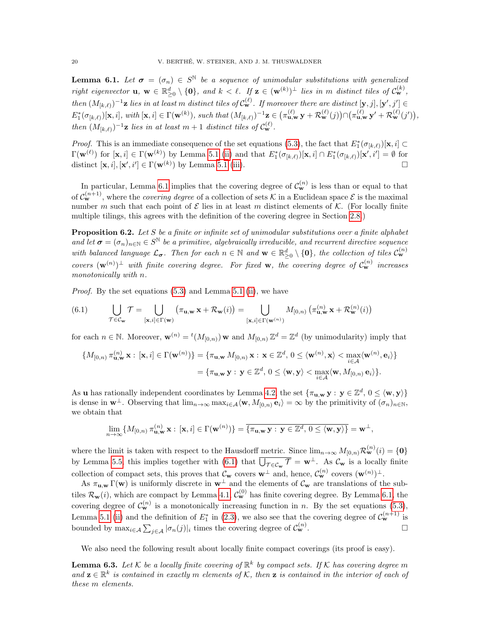<span id="page-19-0"></span>**Lemma 6.1.** Let  $\sigma = (\sigma_n) \in S^{\mathbb{N}}$  be a sequence of unimodular substitutions with generalized right eigenvector  $\mathbf{u}, \mathbf{w} \in \mathbb{R}_{\geq 0}^d \setminus \{\mathbf{0}\}, \text{ and } k < \ell$ . If  $\mathbf{z} \in (\mathbf{w}^{(k)})^{\perp}$  lies in m distinct tiles of  $\mathcal{C}_{\mathbf{w}}^{(k)}$ , then  $(M_{[k,\ell)})^{-1}$ **z** lies in at least m distinct tiles of  $C_{\mathbf{w}}^{(\ell)}$ . If moreover there are distinct  $[\mathbf{y},j],[\mathbf{y}',j'] \in$  $E_1^*(\sigma_{[k,\ell)})[x,i], \text{ with } [x,i] \in \Gamma(\mathbf{w}^{(k)}), \text{ such that } (M_{[k,\ell)})^{-1}\mathbf{z} \in (\pi_{\mathbf{u},\mathbf{w}}^{(\ell)} \mathbf{y} + \mathcal{R}_{\mathbf{w}}^{(\ell)}(j)) \cap (\pi_{\mathbf{u},\mathbf{w}}^{(\ell)} \mathbf{y}' + \mathcal{R}_{\mathbf{w}}^{(\ell)}(j'))$ then  $(M_{[k,\ell)})^{-1}$ **z** lies in at least  $m + 1$  distinct tiles of  $C_{\mathbf{w}}^{(\ell)}$ .

*Proof.* This is an immediate consequence of the set equations [\(5.3\)](#page-15-0), the fact that  $E_1^*(\sigma_{[k,\ell)})[x, i] \subset$  $\Gamma(\mathbf{w}^{(\ell)})$  for  $[\mathbf{x}, i] \in \Gamma(\mathbf{w}^{(k)})$  by Lemma [5.1](#page-14-2) [\(ii\)](#page-14-6) and that  $E_1^*(\sigma_{[k,\ell)})[\mathbf{x}, i] \cap E_1^*(\sigma_{[k,\ell)})[\mathbf{x}', i'] = \emptyset$  for distinct  $[\mathbf{x}, i], [\mathbf{x}', i'] \in \Gamma(\mathbf{w}^{(k)})$  by Lemma [5.1](#page-14-2) [\(iii\)](#page-14-7).

In particular, Lemma [6.1](#page-19-0) implies that the covering degree of  $\mathcal{C}_{\mathbf{w}}^{(n)}$  is less than or equal to that of  $\mathcal{C}_{\mathbf{w}}^{(n+1)}$ , where the *covering degree* of a collection of sets K in a Euclidean space E is the maximal number m such that each point of  $\mathcal E$  lies in at least m distinct elements of  $\mathcal K$ . (For locally finite multiple tilings, this agrees with the definition of the covering degree in Section [2.8.](#page-6-2))

<span id="page-19-2"></span>**Proposition 6.2.** Let  $S$  be a finite or infinite set of unimodular substitutions over a finite alphabet and let  $\sigma = (\sigma_n)_{n \in \mathbb{N}} \in S^{\mathbb{N}}$  be a primitive, algebraically irreducible, and recurrent directive sequence with balanced language  $\mathcal{L}_{\sigma}$ . Then for each  $n \in \mathbb{N}$  and  $\mathbf{w} \in \mathbb{R}_{\geq 0}^d \setminus \{\mathbf{0}\}\$ , the collection of tiles  $\mathcal{C}_{\mathbf{w}}^{(n)}$ covers  $(\mathbf{w}^{(n)})^{\perp}$  with finite covering degree. For fixed **w**, the covering degree of  $\mathcal{C}_{\mathbf{w}}^{(n)}$  increases monotonically with n.

Proof. By the set equations [\(5.3\)](#page-15-0) and Lemma [5.1](#page-14-2) [\(ii\)](#page-14-6), we have

<span id="page-19-1"></span>(6.1) 
$$
\bigcup_{\mathcal{T} \in \mathcal{C}_{\mathbf{w}}} \mathcal{T} = \bigcup_{\left[\mathbf{x}, i\right] \in \Gamma(\mathbf{w})} \left(\pi_{\mathbf{u}, \mathbf{w}} \mathbf{x} + \mathcal{R}_{\mathbf{w}}(i)\right) = \bigcup_{\left[\mathbf{x}, i\right] \in \Gamma(\mathbf{w}^{(n)})} M_{[0, n)}\left(\pi_{\mathbf{u}, \mathbf{w}}^{(n)} \mathbf{x} + \mathcal{R}_{\mathbf{w}}^{(n)}(i)\right)
$$

for each  $n \in \mathbb{N}$ . Moreover,  $\mathbf{w}^{(n)} = {}^{t}(M_{[0,n)}) \mathbf{w}$  and  $M_{[0,n)} \mathbb{Z}^{d} = \mathbb{Z}^{d}$  (by unimodularity) imply that

$$
\{M_{[0,n)}\,\pi_{\mathbf{u},\mathbf{w}}^{(n)}\,\mathbf{x}: \,[\mathbf{x},i]\in\Gamma(\mathbf{w}^{(n)})\} = \{\pi_{\mathbf{u},\mathbf{w}}\,M_{[0,n)}\,\mathbf{x}: \,\mathbf{x}\in\mathbb{Z}^d, \,0\leq\langle\mathbf{w}^{(n)},\mathbf{x}\rangle<\max_{i\in\mathcal{A}}\langle\mathbf{w}^{(n)},\mathbf{e}_i\rangle\} = \{\pi_{\mathbf{u},\mathbf{w}}\,\mathbf{y}: \,\mathbf{y}\in\mathbb{Z}^d, \,0\leq\langle\mathbf{w},\mathbf{y}\rangle<\max_{i\in\mathcal{A}}\langle\mathbf{w},M_{[0,n)}\,\mathbf{e}_i\rangle\}.
$$

As **u** has rationally independent coordinates by Lemma [4.2,](#page-12-1) the set  $\{\pi_{\mathbf{u},\mathbf{w}} \mathbf{y} : \mathbf{y} \in \mathbb{Z}^d, 0 \le \langle \mathbf{w}, \mathbf{y} \rangle\}$ is dense in  $\mathbf{w}^{\perp}$ . Observing that  $\lim_{n\to\infty} \max_{i\in\mathcal{A}}\langle \mathbf{w}, M_{[0,n)}\mathbf{e}_i\rangle = \infty$  by the primitivity of  $(\sigma_n)_{n\in\mathbb{N}}$ , we obtain that

$$
\lim_{n\to\infty}\{M_{[0,n)}\,\pi_{\mathbf{u},\mathbf{w}}^{(n)}\,\mathbf{x}: [\mathbf{x},i]\in\Gamma(\mathbf{w}^{(n)})\}=\overline{\{\pi_{\mathbf{u},\mathbf{w}}\,\mathbf{y}:\,\mathbf{y}\in\mathbb{Z}^d,\,0\leq\langle\mathbf{w},\mathbf{y}\rangle\}}=\mathbf{w}^\perp,
$$

where the limit is taken with respect to the Hausdorff metric. Since  $\lim_{n\to\infty} M_{[0,n)} \mathcal{R}_{\mathbf{w}}^{(n)}(i) = \{\mathbf{0}\}\$ by Lemma [5.5,](#page-15-1) this implies together with [\(6.1\)](#page-19-1) that  $\overline{\bigcup_{\mathcal{T}\in\mathcal{C}_{\mathbf{w}}}\mathcal{T}} = \mathbf{w}^{\perp}$ . As  $\mathcal{C}_{\mathbf{w}}$  is a locally finite collection of compact sets, this proves that  $\mathcal{C}_{\mathbf{w}}$  covers  $\mathbf{w}^{\perp}$  and, hence,  $\mathcal{C}_{\mathbf{w}}^{(n)}$  covers  $(\mathbf{w}^{(n)})^{\perp}$ .

As  $\pi_{\mathbf{u},\mathbf{w}} \Gamma(\mathbf{w})$  is uniformly discrete in  $\mathbf{w}^{\perp}$  and the elements of  $\mathcal{C}_{\mathbf{w}}$  are translations of the subtiles  $\mathcal{R}_{\mathbf{w}}(i)$ , which are compact by Lemma [4.1,](#page-11-2)  $\mathcal{C}_{\mathbf{w}}^{(0)}$  has finite covering degree. By Lemma [6.1,](#page-19-0) the covering degree of  $\mathcal{C}_{\mathbf{w}}^{(n)}$  is a monotonically increasing function in n. By the set equations [\(5.3\)](#page-15-0), Lemma [5.1](#page-14-2) [\(ii\)](#page-14-6) and the definition of  $E_1^*$  in [\(2.3\)](#page-7-3), we also see that the covering degree of  $\mathcal{C}_{\mathbf{w}}^{(n+1)}$  is bounded by  $\max_{i \in A} \sum_{j \in A} |\sigma_n(j)|_i$  times the covering degree of  $\mathcal{C}_{\mathbf{w}}^{(n)}$ .

We also need the following result about locally finite compact coverings (its proof is easy).

<span id="page-19-3"></span>**Lemma 6.3.** Let K be a locally finite covering of  $\mathbb{R}^k$  by compact sets. If K has covering degree m and  $\mathbf{z} \in \mathbb{R}^k$  is contained in exactly m elements of K, then  $\mathbf{z}$  is contained in the interior of each of these m elements.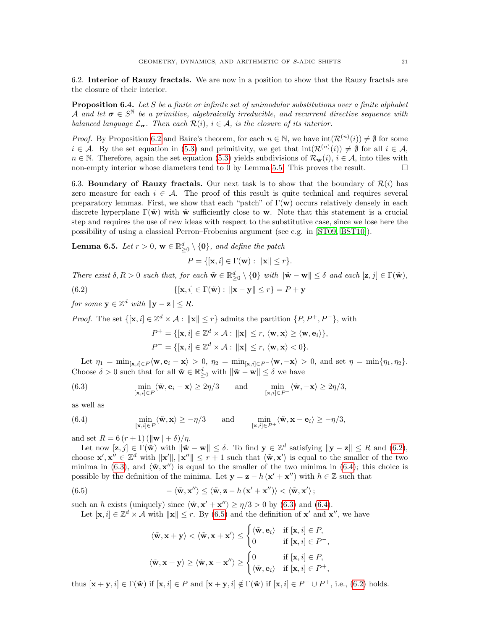6.2. Interior of Rauzy fractals. We are now in a position to show that the Rauzy fractals are the closure of their interior.

**Proposition 6.4.** Let  $S$  be a finite or infinite set of unimodular substitutions over a finite alphabet A and let  $\sigma \in S^{\mathbb{N}}$  be a primitive, algebraically irreducible, and recurrent directive sequence with balanced language  $\mathcal{L}_{\sigma}$ . Then each  $\mathcal{R}(i)$ ,  $i \in \mathcal{A}$ , is the closure of its interior.

*Proof.* By Proposition [6.2](#page-19-2) and Baire's theorem, for each  $n \in \mathbb{N}$ , we have  $\text{int}(\mathcal{R}^{(n)}(i)) \neq \emptyset$  for some  $i \in \mathcal{A}$ . By the set equation in [\(5.3\)](#page-15-0) and primitivity, we get that  $\text{int}(\mathcal{R}^{(n)}(i)) \neq \emptyset$  for all  $i \in \mathcal{A}$ ,  $n \in \mathbb{N}$ . Therefore, again the set equation [\(5.3\)](#page-15-0) yields subdivisions of  $\mathcal{R}_{\mathbf{w}}(i), i \in \mathcal{A}$ , into tiles with non-empty interior whose diameters tend to 0 by Lemma [5.5.](#page-15-1) This proves the result.  $\Box$ 

6.3. Boundary of Rauzy fractals. Our next task is to show that the boundary of  $\mathcal{R}(i)$  has zero measure for each  $i \in \mathcal{A}$ . The proof of this result is quite technical and requires several preparatory lemmas. First, we show that each "patch" of  $\Gamma(\mathbf{w})$  occurs relatively densely in each discrete hyperplane  $\Gamma(\tilde{\mathbf{w}})$  with  $\tilde{\mathbf{w}}$  sufficiently close to w. Note that this statement is a crucial step and requires the use of new ideas with respect to the substitutive case, since we lose here the possibility of using a classical Perron–Frobenius argument (see e.g. in [\[ST09,](#page-36-3) [BST10\]](#page-34-1)).

<span id="page-20-4"></span>**Lemma 6.5.** Let  $r > 0$ ,  $\mathbf{w} \in \mathbb{R}_{\geq 0}^d \setminus \{\mathbf{0}\}$ , and define the patch

<span id="page-20-0"></span>
$$
P = \{ [\mathbf{x}, i] \in \Gamma(\mathbf{w}) : ||\mathbf{x}|| \le r \}.
$$

There exist  $\delta, R > 0$  such that, for each  $\tilde{\mathbf{w}} \in \mathbb{R}_{\geq 0}^d \setminus \{\mathbf{0}\}\$  with  $\|\tilde{\mathbf{w}} - \mathbf{w}\| \leq \delta$  and each  $[\mathbf{z}, j] \in \Gamma(\tilde{\mathbf{w}})$ ,

(6.2) 
$$
\{[\mathbf{x},i] \in \Gamma(\tilde{\mathbf{w}}): \|\mathbf{x}-\mathbf{y}\| \le r\} = P + \mathbf{y}
$$

for some  $y \in \mathbb{Z}^d$  with  $\|y - z\| \leq R$ .

*Proof.* The set  $\{[\mathbf{x}, i] \in \mathbb{Z}^d \times \mathcal{A} : ||\mathbf{x}|| \leq r\}$  admits the partition  $\{P, P^+, P^-\}$ , with

<span id="page-20-1"></span>
$$
P^+ = \{[\mathbf{x}, i] \in \mathbb{Z}^d \times \mathcal{A} : ||\mathbf{x}|| \le r, \langle \mathbf{w}, \mathbf{x} \rangle \ge \langle \mathbf{w}, \mathbf{e}_i \rangle\},
$$
  

$$
P^- = \{[\mathbf{x}, i] \in \mathbb{Z}^d \times \mathcal{A} : ||\mathbf{x}|| \le r, \langle \mathbf{w}, \mathbf{x} \rangle < 0\}.
$$

Let  $\eta_1 = \min_{\mathbf{x}, i \in P} \langle \mathbf{w}, \mathbf{e}_i - \mathbf{x} \rangle > 0, \eta_2 = \min_{\mathbf{x}, i \in P} \langle \mathbf{w}, -\mathbf{x} \rangle > 0, \text{ and set } \eta = \min\{\eta_1, \eta_2\}.$ Choose  $\delta > 0$  such that for all  $\tilde{\mathbf{w}} \in \mathbb{R}_{\geq 0}^d$  with  $\|\tilde{\mathbf{w}} - \mathbf{w}\| \leq \delta$  we have

(6.3) 
$$
\min_{\substack{[\mathbf{x},i]\in P}} \langle \tilde{\mathbf{w}}, \mathbf{e}_i - \mathbf{x} \rangle \geq 2\eta/3 \quad \text{and} \quad \min_{\substack{[\mathbf{x},i]\in P^-}} \langle \tilde{\mathbf{w}}, -\mathbf{x} \rangle \geq 2\eta/3,
$$

as well as

<span id="page-20-2"></span>(6.4) 
$$
\min_{\substack{[\mathbf{x},i]\in P}}\langle \tilde{\mathbf{w}}, \mathbf{x}\rangle \ge -\eta/3 \quad \text{and} \quad \min_{\substack{[\mathbf{x},i]\in P^+}}\langle \tilde{\mathbf{w}}, \mathbf{x}-\mathbf{e}_i\rangle \ge -\eta/3,
$$

and set  $R = 6 (r + 1) (\|\mathbf{w}\| + \delta)/\eta$ .

Let now  $[\mathbf{z}, j] \in \Gamma(\tilde{\mathbf{w}})$  with  $\|\tilde{\mathbf{w}} - \mathbf{w}\| \leq \delta$ . To find  $\mathbf{y} \in \mathbb{Z}^d$  satisfying  $\|\mathbf{y} - \mathbf{z}\| \leq R$  and  $(6.2)$ , choose  $\mathbf{x}', \mathbf{x}'' \in \mathbb{Z}^d$  with  $\|\mathbf{x}'\|, \|\mathbf{x}''\| \leq r+1$  such that  $\langle \tilde{\mathbf{w}}, \mathbf{x}' \rangle$  is equal to the smaller of the two minima in [\(6.3\)](#page-20-1), and  $\langle \tilde{\mathbf{w}}, \mathbf{x}'' \rangle$  is equal to the smaller of the two minima in [\(6.4\)](#page-20-2); this choice is possible by the definition of the minima. Let  $y = z - h(x' + x'')$  with  $h \in \mathbb{Z}$  such that

(6.5) 
$$
-\langle \tilde{\mathbf{w}}, \mathbf{x}'' \rangle \leq \langle \tilde{\mathbf{w}}, \mathbf{z} - h(\mathbf{x}' + \mathbf{x}'') \rangle < \langle \tilde{\mathbf{w}}, \mathbf{x}' \rangle ;
$$

such an h exists (uniquely) since  $\langle \tilde{\mathbf{w}}, \mathbf{x}' + \mathbf{x}'' \rangle \ge \eta/3 > 0$  by [\(6.3\)](#page-20-1) and [\(6.4\)](#page-20-2).

Let  $[\mathbf{x}, i] \in \mathbb{Z}^d \times \mathcal{A}$  with  $\|\mathbf{x}\| \leq r$ . By [\(6.5\)](#page-20-3) and the definition of  $\mathbf{x}'$  and  $\mathbf{x}''$ , we have

<span id="page-20-3"></span>
$$
\langle \tilde{\mathbf{w}}, \mathbf{x} + \mathbf{y} \rangle < \langle \tilde{\mathbf{w}}, \mathbf{x} + \mathbf{x'} \rangle \leq \begin{cases} \langle \tilde{\mathbf{w}}, \mathbf{e}_i \rangle & \text{if } [\mathbf{x}, i] \in P, \\ 0 & \text{if } [\mathbf{x}, i] \in P^-, \\ \langle \tilde{\mathbf{w}}, \mathbf{x} + \mathbf{y} \rangle \geq \langle \tilde{\mathbf{w}}, \mathbf{x} - \mathbf{x''} \rangle \geq \begin{cases} 0 & \text{if } [\mathbf{x}, i] \in P, \\ \langle \tilde{\mathbf{w}}, \mathbf{e}_i \rangle & \text{if } [\mathbf{x}, i] \in P^+, \end{cases}
$$

thus  $[\mathbf{x} + \mathbf{y}, i] \in \Gamma(\tilde{\mathbf{w}})$  if  $[\mathbf{x}, i] \in P$  and  $[\mathbf{x} + \mathbf{y}, i] \notin \Gamma(\tilde{\mathbf{w}})$  if  $[\mathbf{x}, i] \in P^- \cup P^+$ , i.e., [\(6.2\)](#page-20-0) holds.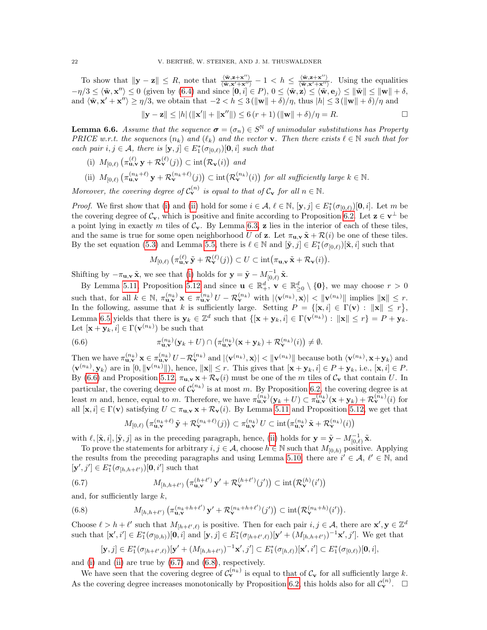To show that  $\|\mathbf{y} - \mathbf{z}\| \leq R$ , note that  $\frac{\langle \tilde{\mathbf{w}}, \mathbf{z} + \mathbf{x}'' \rangle}{\langle \tilde{\mathbf{w}}, \mathbf{x}' + \mathbf{x}'' \rangle} - 1 < h \leq \frac{\langle \tilde{\mathbf{w}}, \mathbf{z} + \mathbf{x}'' \rangle}{\langle \tilde{\mathbf{w}}, \mathbf{x}' + \mathbf{x}'' \rangle}$  $\frac{\langle \mathbf{w}, \mathbf{z}+\mathbf{x} \rangle}{\langle \tilde{\mathbf{w}}, \mathbf{x}'+\mathbf{x}'' \rangle}$ . Using the equalities  $-\eta/3 \leq \langle \tilde{\mathbf{w}}, \mathbf{x}'' \rangle \leq 0$  (given by [\(6.4\)](#page-20-2) and since  $[\mathbf{0}, i] \in P$ ),  $0 \leq \langle \tilde{\mathbf{w}}, \mathbf{z} \rangle \leq \langle \tilde{\mathbf{w}}, \mathbf{e}_j \rangle \leq ||\tilde{\mathbf{w}}|| \leq ||\mathbf{w}|| + \delta$ , and  $\langle \tilde{\mathbf{w}}, \mathbf{x}' + \mathbf{x}'' \rangle \ge \eta/3$ , we obtain that  $-2 < h \le 3 (\|\mathbf{w}\| + \delta)/\eta$ , thus  $|h| \le 3 (\|\mathbf{w}\| + \delta)/\eta$  and

$$
\|\mathbf{y} - \mathbf{z}\| \le |h| (\|\mathbf{x}'\| + \|\mathbf{x}''\|) \le 6 (r+1) (\|\mathbf{w}\| + \delta) / \eta = R.
$$

<span id="page-21-5"></span>**Lemma 6.6.** Assume that the sequence  $\boldsymbol{\sigma} = (\sigma_n) \in S^{\mathbb{N}}$  of unimodular substitutions has Property PRICE w.r.t. the sequences  $(n_k)$  and  $(\ell_k)$  and the vector **v**. Then there exists  $\ell \in \mathbb{N}$  such that for each pair  $i, j \in \mathcal{A}$ , there is  $[\mathbf{y}, j] \in E^*_1(\sigma_{[0,\ell)})[\mathbf{0}, i]$  such that

- <span id="page-21-0"></span>(i)  $M_{[0,\ell)}\left(\pi_{\mathbf{u},\mathbf{v}}^{(\ell)}\mathbf{y} + \mathcal{R}_{\mathbf{v}}^{(\ell)}(j)\right) \subset \text{int}\big(\mathcal{R}_{\mathbf{v}}(i)\big)$  and
- <span id="page-21-1"></span>(ii)  $M_{[0,\ell)}\left(\pi_{\mathbf{u},\mathbf{v}}^{(n_k+\ell)}\mathbf{y}+\mathcal{R}_{\mathbf{v}}^{(n_k+\ell)}(j)\right)\subset \text{int}\left(\mathcal{R}_{\mathbf{v}}^{(n_k)}(i)\right)$  for all sufficiently large  $k\in\mathbb{N}$ .

Moreover, the covering degree of  $C_{\mathbf{v}}^{(n)}$  is equal to that of  $C_{\mathbf{v}}$  for all  $n \in \mathbb{N}$ .

*Proof.* We first show that [\(i\)](#page-21-0) and [\(ii\)](#page-21-1) hold for some  $i \in \mathcal{A}, \ell \in \mathbb{N}, [\mathbf{y}, j] \in E_1^*(\sigma_{[0,\ell)})[\mathbf{0}, i]$ . Let m be the covering degree of  $\mathcal{C}_{\mathbf{v}}$ , which is positive and finite according to Proposition [6.2.](#page-19-2) Let  $\mathbf{z} \in \mathbf{v}^{\perp}$  be a point lying in exactly m tiles of  $C_v$ . By Lemma [6.3,](#page-19-3) z lies in the interior of each of these tiles, and the same is true for some open neighborhood U of z. Let  $\pi_{\mathbf{u},\mathbf{v}}\tilde{\mathbf{x}} + \mathcal{R}(i)$  be one of these tiles. By the set equation [\(5.3\)](#page-15-0) and Lemma [5.5,](#page-15-1) there is  $\ell \in \mathbb{N}$  and  $[\tilde{\mathbf{y}}, j] \in E_1^*(\sigma_{[0,\ell)})[\tilde{\mathbf{x}}, i]$  such that

<span id="page-21-2"></span>
$$
M_{[0,\ell)}\left(\pi_{\mathbf{u},\mathbf{v}}^{(\ell)}\tilde{\mathbf{y}}+\mathcal{R}^{(\ell)}_{\mathbf{v}}(j)\right)\subset U\subset\mathrm{int}\big(\pi_{\mathbf{u},\mathbf{v}}\tilde{\mathbf{x}}+\mathcal{R}_{\mathbf{v}}(i)\big).
$$

Shifting by  $-\pi_{\mathbf{u},\mathbf{v}}\tilde{\mathbf{x}}$ , we see that [\(i\)](#page-21-0) holds for  $\mathbf{y} = \tilde{\mathbf{y}} - M_{[0,\ell)}^{-1}\tilde{\mathbf{x}}$ .

By Lemma [5.11,](#page-17-1) Proposition [5.12](#page-18-1) and since  $\mathbf{u} \in \mathbb{R}_+^d$ ,  $\mathbf{v} \in \mathbb{R}_{\geq 0}^d \setminus \{\mathbf{0}\}$ , we may choose  $r > 0$ such that, for all  $k \in \mathbb{N}$ ,  $\pi_{\mathbf{u},\mathbf{v}}^{(n_k)} \mathbf{x} \in \pi_{\mathbf{u},\mathbf{v}}^{(n_k)} U - \mathcal{R}_{\mathbf{v}}^{(n_k)}$  with  $|\langle \mathbf{v}^{(n_k)}, \mathbf{x} \rangle| < \|\mathbf{v}^{(n_k)}\|$  implies  $\|\mathbf{x}\| \leq r$ . In the following, assume that k is sufficiently large. Setting  $P = \{[\mathbf{x}, i] \in \Gamma(\mathbf{v}) : ||\mathbf{x}|| \leq r\},\$ Lemma [6.5](#page-20-4) yields that there is  $y_k \in \mathbb{Z}^d$  such that  $\{[\mathbf{x} + \mathbf{y}_k, i] \in \Gamma(\mathbf{v}^{(n_k)}) : ||\mathbf{x}|| \leq r\} = P + \mathbf{y}_k$ . Let  $[\mathbf{x} + \mathbf{y}_k, i] \in \Gamma(\mathbf{v}^{(n_k)})$  be such that

(6.6) 
$$
\pi_{\mathbf{u},\mathbf{v}}^{(n_k)}(\mathbf{y}_k+U) \cap \left(\pi_{\mathbf{u},\mathbf{v}}^{(n_k)}(\mathbf{x}+\mathbf{y}_k)+\mathcal{R}_{\mathbf{v}}^{(n_k)}(i)\right) \neq \emptyset.
$$

Then we have  $\pi_{\mathbf{u},\mathbf{v}}^{(n_k)}$   $\mathbf{x} \in \pi_{\mathbf{u},\mathbf{v}}^{(n_k)}$   $U - \mathcal{R}_{\mathbf{v}}^{(n_k)}$  and  $|\langle \mathbf{v}^{(n_k)},\mathbf{x}\rangle| < \|\mathbf{v}^{(n_k)}\|$  because both  $\langle \mathbf{v}^{(n_k)},\mathbf{x}+\mathbf{y}_k\rangle$  and  $\langle \mathbf{v}^{(n_k)}, \mathbf{y}_k \rangle$  are in  $[0, ||\mathbf{v}^{(n_k)}||)$ , hence,  $||\mathbf{x}|| \leq r$ . This gives that  $[\mathbf{x} + \mathbf{y}_k, i] \in P + \mathbf{y}_k$ , i.e.,  $[\mathbf{x}, i] \in P$ . By [\(6.6\)](#page-21-2) and Proposition [5.12,](#page-18-1)  $\pi_{\mathbf{u},\mathbf{v}} \mathbf{x} + \mathcal{R}_{\mathbf{v}}(i)$  must be one of the m tiles of  $\mathcal{C}_{\mathbf{v}}$  that contain U. In particular, the covering degree of  $\mathcal{C}_{\mathbf{v}}^{(n_k)}$  is at most m. By Proposition [6.2,](#page-19-2) the covering degree is at least m and, hence, equal to m. Therefore, we have  $\pi_{\mathbf{u},\mathbf{v}}^{(n_k)}(\mathbf{y}_k+U) \subset \pi_{\mathbf{u},\mathbf{v}}^{(n_k)}(\mathbf{x}+\mathbf{y}_k) + \mathcal{R}_{\mathbf{v}}^{(n_k)}(i)$  for all  $[\mathbf{x}, i] \in \Gamma(\mathbf{v})$  satisfying  $U \subset \pi_{\mathbf{u},\mathbf{v}} \mathbf{x} + \mathcal{R}_{\mathbf{v}}(i)$ . By Lemma [5.11](#page-17-1) and Proposition [5.12,](#page-18-1) we get that

<span id="page-21-3"></span>
$$
M_{[0,\ell)}\left(\pi_{\mathbf{u},\mathbf{v}}^{(n_k+\ell)}\tilde{\mathbf{y}}+\mathcal{R}_{\mathbf{v}}^{(n_k+\ell)}(j)\right)\subset \pi_{\mathbf{u},\mathbf{v}}^{(n_k)} U\subset \mathrm{int}\big(\pi_{\mathbf{u},\mathbf{v}}^{(n_k)}\tilde{\mathbf{x}}+\mathcal{R}_{\mathbf{v}}^{(n_k)}(i)\big)
$$

with  $\ell, [\tilde{\mathbf{x}}, i], [\tilde{\mathbf{y}}, j]$  as in the preceding paragraph, hence, [\(ii\)](#page-21-1) holds for  $\mathbf{y} = \tilde{\mathbf{y}} - M_{[0,\ell)}^{-1} \tilde{\mathbf{x}}$ .

To prove the statements for arbitrary  $i, j \in \mathcal{A}$ , choose  $h \in \mathbb{N}$  such that  $M_{[0,h)}$  positive. Applying the results from the preceding paragraphs and using Lemma [5.10,](#page-17-2) there are  $i' \in A, \ell' \in \mathbb{N}$ , and  $[\mathbf{y}', j'] \in E_1^*(\sigma_{[h,h+\ell')})[\mathbf{0}, i']$  such that

(6.7) 
$$
M_{[h,h+\ell')} \left( \pi_{\mathbf{u},\mathbf{v}}^{(h+\ell')} \mathbf{y}' + \mathcal{R}_{\mathbf{v}}^{(h+\ell')}(j') \right) \subset \mathrm{int} \big( \mathcal{R}_{\mathbf{v}}^{(h)}(i') \big)
$$

and, for sufficiently large  $k$ ,

(6.8) 
$$
M_{[h,h+\ell')} \left( \pi_{\mathbf{u},\mathbf{v}}^{(n_k+h+\ell')} \mathbf{y}' + \mathcal{R}_{\mathbf{v}}^{(n_k+h+\ell')}(j') \right) \subset \mathrm{int} \big( \mathcal{R}_{\mathbf{v}}^{(n_k+h)}(i') \big).
$$

Choose  $\ell > h + \ell'$  such that  $M_{[h+\ell',\ell)}$  is positive. Then for each pair  $i, j \in \mathcal{A}$ , there are  $\mathbf{x}', \mathbf{y} \in \mathbb{Z}^d$ such that  $[\mathbf{x}', i'] \in E_1^*(\sigma_{[0,h)})[\mathbf{0}, i]$  and  $[\mathbf{y}, j] \in E_1^*(\sigma_{[h+\ell',\ell)})[\mathbf{y}' + (M_{[h,h+\ell')})^{-1}\mathbf{x}', j']$ . We get that

<span id="page-21-4"></span>
$$
[\mathbf{y},j] \in E_1^*(\sigma_{[h+\ell',\ell)})[\mathbf{y}' + (M_{[h,h+\ell')})^{-1}\mathbf{x}',j'] \subset E_1^*(\sigma_{[h,\ell)})[\mathbf{x}',i'] \subset E_1^*(\sigma_{[0,\ell)})[\mathbf{0},i],
$$

and [\(i\)](#page-21-0) and [\(ii\)](#page-21-1) are true by [\(6.7\)](#page-21-3) and [\(6.8\)](#page-21-4), respectively.

We have seen that the covering degree of  $\mathcal{C}_{\mathbf{v}}^{(n_k)}$  is equal to that of  $\mathcal{C}_{\mathbf{v}}$  for all sufficiently large k. As the covering degree increases monotonically by Proposition [6.2,](#page-19-2) this holds also for all  $\mathcal{C}_{\mathbf{v}}^{(n)}$ .  $\Box$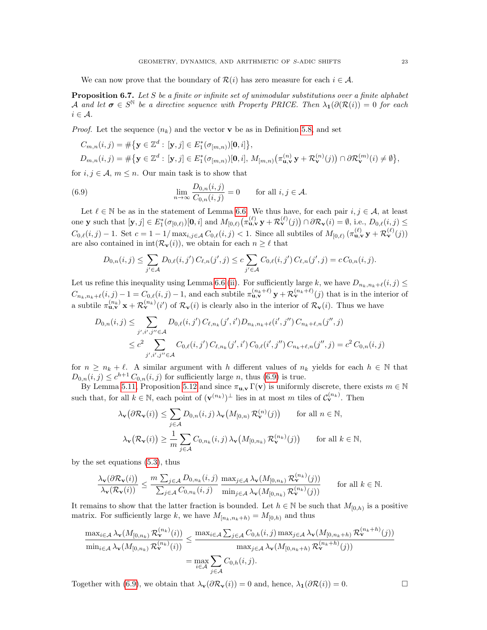We can now prove that the boundary of  $\mathcal{R}(i)$  has zero measure for each  $i \in \mathcal{A}$ .

<span id="page-22-0"></span>**Proposition 6.7.** Let  $S$  be a finite or infinite set of unimodular substitutions over a finite alphabet A and let  $\sigma \in S^{\mathbb{N}}$  be a directive sequence with Property PRICE. Then  $\lambda_1(\partial(\mathcal{R}(i))=0$  for each  $i \in \mathcal{A}$ .

*Proof.* Let the sequence  $(n_k)$  and the vector **v** be as in Definition [5.8,](#page-16-3) and set

$$
C_{m,n}(i,j) = #\{ \mathbf{y} \in \mathbb{Z}^d : [\mathbf{y},j] \in E_1^*(\sigma_{[m,n)})[\mathbf{0},i] \},\
$$
  

$$
D_{m,n}(i,j) = #\{ \mathbf{y} \in \mathbb{Z}^d : [\mathbf{y},j] \in E_1^*(\sigma_{[m,n)})[\mathbf{0},i], M_{[m,n)}(\pi_{\mathbf{u},\mathbf{v}}^{(n)}\mathbf{y} + \mathcal{R}_{\mathbf{v}}^{(n)}(j)) \cap \partial \mathcal{R}_{\mathbf{v}}^{(m)}(i) \neq \emptyset \},\
$$

for  $i, j \in \mathcal{A}, m \leq n$ . Our main task is to show that

(6.9) 
$$
\lim_{n \to \infty} \frac{D_{0,n}(i,j)}{C_{0,n}(i,j)} = 0 \quad \text{for all } i, j \in \mathcal{A}.
$$

Let  $\ell \in \mathbb{N}$  be as in the statement of Lemma [6.6.](#page-21-5) We thus have, for each pair  $i, j \in \mathcal{A}$ , at least one y such that  $[\mathbf{y},j] \in E_1^*(\sigma_{[0,\ell)})[\mathbf{0},i]$  and  $M_{[0,\ell)}(\pi_{\mathbf{u},\mathbf{v}}^{(\ell)} \mathbf{y} + \mathcal{R}_{\mathbf{v}}^{(\ell)}(j)) \cap \partial \mathcal{R}_{\mathbf{v}}(i) = \emptyset$ , i.e.,  $D_{0,\ell}(i,j) \leq$  $C_{0,\ell}(i,j) - 1$ . Set  $c = 1 - 1/\max_{i,j \in A} C_{0,\ell}(i,j) < 1$ . Since all subtiles of  $M_{[0,\ell)}(\pi_{\mathbf{u},\mathbf{v}}^{(\ell)} \mathbf{y} + \mathcal{R}_{\mathbf{v}}^{(\ell)}(j))$ are also contained in  $int(\mathcal{R}_{\mathbf{v}}(i))$ , we obtain for each  $n \geq \ell$  that

<span id="page-22-1"></span>
$$
D_{0,n}(i,j) \leq \sum_{j' \in \mathcal{A}} D_{0,\ell}(i,j') C_{\ell,n}(j',j) \leq c \sum_{j' \in \mathcal{A}} C_{0,\ell}(i,j') C_{\ell,n}(j',j) = c C_{0,n}(i,j).
$$

Let us refine this inequality using Lemma [6.6](#page-21-5) [\(ii\)](#page-21-1). For sufficiently large k, we have  $D_{n_k,n_k+\ell}(i, j) \leq$  $C_{n_k,n_k+\ell}(i, j) - 1 = C_{0,\ell}(i, j) - 1$ , and each subtile  $\pi_{\mathbf{u},\mathbf{v}}^{(n_k+\ell)} \mathbf{y} + \mathcal{R}_{\mathbf{v}}^{(n_k+\ell)}(j)$  that is in the interior of a subtile  $\pi_{\mathbf{u},\mathbf{v}}^{(n_k)} \times + \mathcal{R}_{\mathbf{v}}^{(n_k)}(i')$  of  $\mathcal{R}_{\mathbf{v}}(i)$  is clearly also in the interior of  $\mathcal{R}_{\mathbf{v}}(i)$ . Thus we have

$$
D_{0,n}(i,j) \leq \sum_{j',i',j'' \in \mathcal{A}} D_{0,\ell}(i,j') C_{\ell,n_k}(j',i') D_{n_k,n_k+\ell}(i',j'') C_{n_k+\ell,n}(j'',j)
$$
  

$$
\leq c^2 \sum_{j',i',j'' \in \mathcal{A}} C_{0,\ell}(i,j') C_{\ell,n_k}(j',i') C_{0,\ell}(i',j'') C_{n_k+\ell,n}(j'',j) = c^2 C_{0,n}(i,j)
$$

for  $n \geq n_k + \ell$ . A similar argument with h different values of  $n_k$  yields for each  $h \in \mathbb{N}$  that  $D_{0,n}(i,j) \leq c^{h+1} C_{0,n}(i,j)$  for sufficiently large n, thus [\(6.9\)](#page-22-1) is true.

By Lemma [5.11,](#page-17-1) Proposition [5.12](#page-18-1) and since  $\pi_{u,v} \Gamma(v)$  is uniformly discrete, there exists  $m \in \mathbb{N}$ such that, for all  $k \in \mathbb{N}$ , each point of  $(\mathbf{v}^{(n_k)})^{\perp}$  lies in at most m tiles of  $\mathcal{C}_{\mathbf{v}}^{(n_k)}$ . Then

$$
\lambda_{\mathbf{v}}(\partial \mathcal{R}_{\mathbf{v}}(i)) \leq \sum_{j \in \mathcal{A}} D_{0,n}(i,j) \lambda_{\mathbf{v}}(M_{[0,n)} \mathcal{R}_{\mathbf{v}}^{(n)}(j)) \quad \text{for all } n \in \mathbb{N},
$$
  

$$
\lambda_{\mathbf{v}}(\mathcal{R}_{\mathbf{v}}(i)) \geq \frac{1}{m} \sum_{j \in \mathcal{A}} C_{0,n_k}(i,j) \lambda_{\mathbf{v}}(M_{[0,n_k)} \mathcal{R}_{\mathbf{v}}^{(n_k)}(j)) \quad \text{for all } k \in \mathbb{N},
$$

by the set equations [\(5.3\)](#page-15-0), thus

$$
\frac{\lambda_{\mathbf{v}}(\partial \mathcal{R}_{\mathbf{v}}(i))}{\lambda_{\mathbf{v}}(\mathcal{R}_{\mathbf{v}}(i))} \leq \frac{m \sum_{j \in \mathcal{A}} D_{0,n_k}(i,j)}{\sum_{j \in \mathcal{A}} C_{0,n_k}(i,j)} \frac{\max_{j \in \mathcal{A}} \lambda_{\mathbf{v}}(M_{[0,n_k)} \mathcal{R}_{\mathbf{v}}^{(n_k)}(j))}{\min_{j \in \mathcal{A}} \lambda_{\mathbf{v}}(M_{[0,n_k)} \mathcal{R}_{\mathbf{v}}^{(n_k)}(j))}
$$
 for all  $k \in \mathbb{N}$ .

It remains to show that the latter fraction is bounded. Let  $h \in \mathbb{N}$  be such that  $M_{[0,h)}$  is a positive matrix. For sufficiently large k, we have  $M_{[n_k,n_k+h)} = M_{[0,h)}$  and thus

$$
\frac{\max_{i\in\mathcal{A}}\lambda_{\mathbf{v}}(M_{[0,n_k)}\mathcal{R}_{\mathbf{v}}^{(n_k)}(i))}{\min_{i\in\mathcal{A}}\lambda_{\mathbf{v}}(M_{[0,n_k)}\mathcal{R}_{\mathbf{v}}^{(n_k)}(i))} \leq \frac{\max_{i\in\mathcal{A}}\sum_{j\in\mathcal{A}}C_{0,h}(i,j)\max_{j\in\mathcal{A}}\lambda_{\mathbf{v}}(M_{[0,n_k+h)}\mathcal{R}_{\mathbf{v}}^{(n_k+h)}(j))}{\max_{j\in\mathcal{A}}\lambda_{\mathbf{v}}(M_{[0,n_k+h)}\mathcal{R}_{\mathbf{v}}^{(n_k+h)}(j))}
$$

$$
= \max_{i\in\mathcal{A}}\sum_{j\in\mathcal{A}}C_{0,h}(i,j).
$$

Together with [\(6.9\)](#page-22-1), we obtain that  $\lambda_{\mathbf{v}}(\partial \mathcal{R}_{\mathbf{v}}(i)) = 0$  and, hence,  $\lambda_1(\partial \mathcal{R}(i)) = 0$ .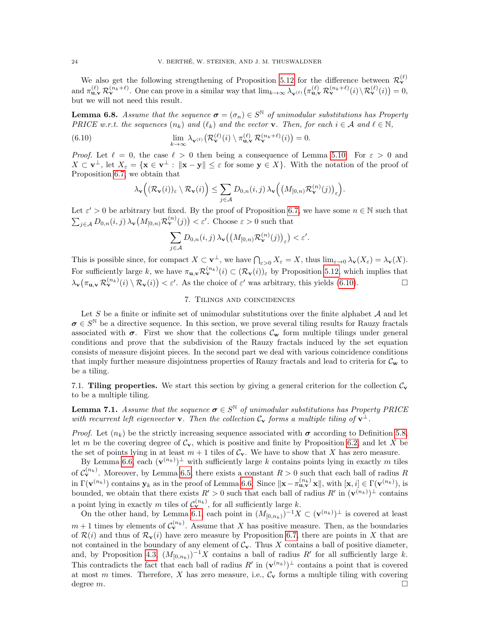We also get the following strengthening of Proposition [5.12](#page-18-1) for the difference between  $\mathcal{R}_{\mathbf{v}}^{(\ell)}$ and  $\pi_{\mathbf{u},\mathbf{v}}^{(\ell)} \mathcal{R}_{\mathbf{v}}^{(n_k+\ell)}$ . One can prove in a similar way that  $\lim_{k\to\infty} \lambda_{\mathbf{v}^{(\ell)}} (\pi_{\mathbf{u},\mathbf{v}}^{(\ell)} \mathcal{R}_{\mathbf{v}}^{(n_k+\ell)}(i) \setminus \mathcal{R}_{\mathbf{v}}^{(\ell)}(i)) = 0$ , but we will not need this result.

<span id="page-23-3"></span>**Lemma 6.8.** Assume that the sequence  $\boldsymbol{\sigma} = (\sigma_n) \in S^{\mathbb{N}}$  of unimodular substitutions has Property PRICE w.r.t. the sequences  $(n_k)$  and  $(\ell_k)$  and the vector v. Then, for each  $i \in \mathcal{A}$  and  $\ell \in \mathbb{N}$ ,

(6.10) 
$$
\lim_{k \to \infty} \lambda_{\mathbf{v}^{(\ell)}} \big( \mathcal{R}_{\mathbf{v}}^{(\ell)}(i) \setminus \pi_{\mathbf{u},\mathbf{v}}^{(\ell)} \mathcal{R}_{\mathbf{v}}^{(n_k+\ell)}(i) \big) = 0.
$$

*Proof.* Let  $\ell = 0$ , the case  $\ell > 0$  then being a consequence of Lemma [5.10.](#page-17-2) For  $\varepsilon > 0$  and  $X \subset \mathbf{v}^{\perp}$ , let  $X_{\varepsilon} = \{ \mathbf{x} \in \mathbf{v}^{\perp} : ||\mathbf{x} - \mathbf{y}|| \leq \varepsilon \text{ for some } \mathbf{y} \in X \}$ . With the notation of the proof of Proposition [6.7,](#page-22-0) we obtain that

<span id="page-23-1"></span>
$$
\lambda_{\mathbf{v}}\Big( (\mathcal{R}_{\mathbf{v}}(i))_{\varepsilon} \setminus \mathcal{R}_{\mathbf{v}}(i) \Big) \leq \sum_{j \in \mathcal{A}} D_{0,n}(i,j) \lambda_{\mathbf{v}}\Big( \big(M_{[0,n)}\mathcal{R}_{\mathbf{v}}^{(n)}(j)\big)_{\varepsilon} \Big).
$$

Let  $\varepsilon' > 0$  be arbitrary but fixed. By the proof of Proposition [6.7,](#page-22-0) we have some  $n \in \mathbb{N}$  such that  $\sum_{j\in\mathcal{A}} D_{0,n}(i,j) \lambda_{\mathbf{v}}(M_{[0,n)} \mathcal{R}_{\mathbf{v}}^{(n)}(j)) < \varepsilon'.$  Choose  $\varepsilon > 0$  such that

$$
\sum_{j\in\mathcal{A}} D_{0,n}(i,j) \,\lambda_{\mathbf{v}}\big(\big(M_{[0,n)}\mathcal{R}^{(n)}_{\mathbf{v}}(j)\big)_{\varepsilon}\big) < \varepsilon'.
$$

This is possible since, for compact  $X \subset \mathbf{v}^{\perp}$ , we have  $\bigcap_{\varepsilon > 0} X_{\varepsilon} = X$ , thus  $\lim_{\varepsilon \to 0} \lambda_{\mathbf{v}}(X_{\varepsilon}) = \lambda_{\mathbf{v}}(X)$ . For sufficiently large k, we have  $\pi_{\mathbf{u},\mathbf{v}} \mathcal{R}_{\mathbf{v}}^{(n_k)}(i) \subset (\mathcal{R}_{\mathbf{v}}(i))_{\varepsilon}$  by Proposition [5.12,](#page-18-1) which implies that  $\lambda_{\mathbf{v}}(\pi_{\mathbf{u},\mathbf{v}}\mathcal{R}^{(n_k)}_{\mathbf{v}}(i)\setminus \mathcal{R}_{\mathbf{v}}(i)) < \varepsilon'.$  As the choice of  $\varepsilon'$  was arbitrary, this yields [\(6.10\)](#page-23-1).

# 7. Tilings and coincidences

<span id="page-23-0"></span>Let S be a finite or infinite set of unimodular substitutions over the finite alphabet  $A$  and let  $\sigma \in S^{\mathbb{N}}$  be a directive sequence. In this section, we prove several tiling results for Rauzy fractals associated with  $\sigma$ . First we show that the collections  $\mathcal{C}_{\mathbf{w}}$  form multiple tilings under general conditions and prove that the subdivision of the Rauzy fractals induced by the set equation consists of measure disjoint pieces. In the second part we deal with various coincidence conditions that imply further measure disjointness properties of Rauzy fractals and lead to criteria for  $\mathcal{C}_{\mathbf{w}}$  to be a tiling.

7.1. Tiling properties. We start this section by giving a general criterion for the collection  $C_{\mathbf{v}}$ to be a multiple tiling.

<span id="page-23-2"></span>**Lemma 7.1.** Assume that the sequence  $\sigma \in S^{\mathbb{N}}$  of unimodular substitutions has Property PRICE with recurrent left eigenvector **v**. Then the collection  $C_v$  forms a multiple tiling of  $v^{\perp}$ .

*Proof.* Let  $(n_k)$  be the strictly increasing sequence associated with  $\sigma$  according to Definition [5.8,](#page-16-3) let m be the covering degree of  $C_v$ , which is positive and finite by Proposition [6.2,](#page-19-2) and let X be the set of points lying in at least  $m + 1$  tiles of  $C_v$ . We have to show that X has zero measure.

By Lemma [6.6,](#page-21-5) each  $(\mathbf{v}^{(n_k)})^{\perp}$  with sufficiently large k contains points lying in exactly m tiles of  $\mathcal{C}_{\mathbf{v}}^{(n_k)}$ . Moreover, by Lemma [6.5,](#page-20-4) there exists a constant  $R > 0$  such that each ball of radius R in  $\Gamma(\mathbf{v}^{(n_k)})$  contains  $\mathbf{y}_k$  as in the proof of Lemma [6.6.](#page-21-5) Since  $\|\mathbf{x}-\pi_{\mathbf{u},\mathbf{v}}^{(n_k)}\mathbf{x}\|$ , with  $[\mathbf{x},i] \in \Gamma(\mathbf{v}^{(n_k)}),$  is bounded, we obtain that there exists  $R' > 0$  such that each ball of radius  $R'$  in  $(\mathbf{v}^{(n_k)})^{\perp}$  contains a point lying in exactly m tiles of  $\mathcal{C}_{\mathbf{v}}^{(n_k)}$ , for all sufficiently large k.

On the other hand, by Lemma [6.1,](#page-19-0) each point in  $(M_{[0,n_k)})^{-1}X \subset (\mathbf{v}^{(n_k)})^{\perp}$  is covered at least  $m+1$  times by elements of  $\mathcal{C}_{\mathbf{v}}^{(n_k)}$ . Assume that X has positive measure. Then, as the boundaries of  $\mathcal{R}(i)$  and thus of  $\mathcal{R}_{\mathbf{v}}(i)$  have zero measure by Proposition [6.7,](#page-22-0) there are points in X that are not contained in the boundary of any element of  $\mathcal{C}_{v}$ . Thus X contains a ball of positive diameter, and, by Proposition [4.3,](#page-12-0)  $(M_{[0,n_k)})^{-1}X$  contains a ball of radius R' for all sufficiently large k. This contradicts the fact that each ball of radius  $R'$  in  $(\mathbf{v}^{(n_k)})^{\perp}$  contains a point that is covered at most m times. Therefore, X has zero measure, i.e.,  $\mathcal{C}_{\mathbf{v}}$  forms a multiple tiling with covering degree  $m$ .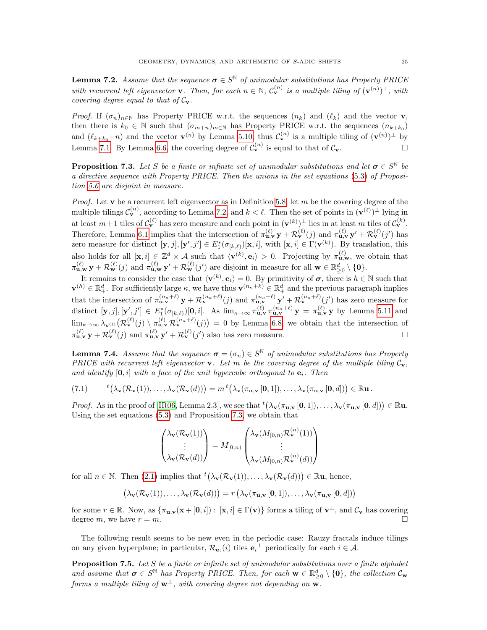<span id="page-24-1"></span>**Lemma 7.2.** Assume that the sequence  $\boldsymbol{\sigma} \in S^{\mathbb{N}}$  of unimodular substitutions has Property PRICE with recurrent left eigenvector **v**. Then, for each  $n \in \mathbb{N}$ ,  $C_{\mathbf{v}}^{(n)}$  is a multiple tiling of  $(\mathbf{v}^{(n)})^{\perp}$ , with covering degree equal to that of  $C_v$ .

*Proof.* If  $(\sigma_n)_{n\in\mathbb{N}}$  has Property PRICE w.r.t. the sequences  $(n_k)$  and  $(\ell_k)$  and the vector **v**, then there is  $k_0 \in \mathbb{N}$  such that  $(\sigma_{m+n})_{m \in \mathbb{N}}$  has Property PRICE w.r.t. the sequences  $(n_{k+k_0})$ and  $(\ell_{k+k_0}-n)$  and the vector  $\mathbf{v}^{(n)}$  by Lemma [5.10,](#page-17-2) thus  $\mathcal{C}_{\mathbf{v}}^{(n)}$  is a multiple tiling of  $(\mathbf{v}^{(n)})^{\perp}$  by Lemma [7.1.](#page-23-2) By Lemma [6.6,](#page-21-5) the covering degree of  $C_{\mathbf{v}}^{(n)}$  is equal to that of  $C_{\mathbf{v}}$ .

<span id="page-24-2"></span>**Proposition 7.3.** Let S be a finite or infinite set of unimodular substitutions and let  $\sigma \in S^{\mathbb{N}}$  be a directive sequence with Property PRICE. Then the unions in the set equations [\(5.3\)](#page-15-0) of Proposition [5.6](#page-15-4) are disjoint in measure.

*Proof.* Let  $\bf{v}$  be a recurrent left eigenvector as in Definition [5.8,](#page-16-3) let  $m$  be the covering degree of the multiple tilings  $\mathcal{C}_{\mathbf{v}}^{(n)}$ , according to Lemma [7.2,](#page-24-1) and  $k < \ell$ . Then the set of points in  $(\mathbf{v}^{(\ell)})^{\perp}$  lying in at least  $m+1$  tiles of  $\mathcal{C}_{\mathbf{v}}^{(\ell)}$  has zero measure and each point in  $(\mathbf{v}^{(k)})^{\perp}$  lies in at least m tiles of  $\mathcal{C}_{\mathbf{v}}^{(k)}$ . Therefore, Lemma [6.1](#page-19-0) implies that the intersection of  $\pi_{\mathbf{u},\mathbf{v}}^{(\ell)} \mathbf{y} + \mathcal{R}_{\mathbf{v}}^{(\ell)}(j)$  and  $\pi_{\mathbf{u},\mathbf{v}}^{(\ell)} \mathbf{y}' + \mathcal{R}_{\mathbf{v}}^{(\ell)}(j')$  has zero measure for distinct  $[\mathbf{y}, j], [\mathbf{y}', j'] \in E^*_1(\sigma_{[k,\ell)})[\mathbf{x}, i],$  with  $[\mathbf{x}, i] \in \Gamma(\mathbf{v}^{(k)})$ . By translation, this also holds for all  $[\mathbf{x}, i] \in \mathbb{Z}^d \times \mathcal{A}$  such that  $\langle \mathbf{v}^{(k)}, \mathbf{e}_i \rangle > 0$ . Projecting by  $\pi_{\mathbf{u}, \mathbf{w}}^{(\ell)}$ , we obtain that  $\pi_{\mathbf{u},\mathbf{w}}^{(\ell)} \mathbf{y} + \mathcal{R}_{\mathbf{w}}^{(\ell)}(j)$  and  $\pi_{\mathbf{u},\mathbf{w}}^{(\ell)} \mathbf{y}' + \mathcal{R}_{\mathbf{w}}^{(\ell)}(j')$  are disjoint in measure for all  $\mathbf{w} \in \mathbb{R}_{\geq 0}^d \setminus \{\mathbf{0}\}.$ 

It remains to consider the case that  $\langle \mathbf{v}^{(k)}, \mathbf{e}_i \rangle = 0$ . By primitivity of  $\boldsymbol{\sigma}$ , there is  $h \in \mathbb{N}$  such that  $\mathbf{v}^{(h)} \in \mathbb{R}_+^d$ . For sufficiently large  $\kappa$ , we have thus  $\mathbf{v}^{(n_{\kappa}+k)} \in \mathbb{R}_+^d$  and the previous paragraph implies that the intersection of  $\pi_{\mathbf{u},\mathbf{v}}^{(n_{\kappa}+\ell)} \mathbf{y} + \mathcal{R}_{\mathbf{v}}^{(n_{\kappa}+\ell)}(j)$  and  $\pi_{\mathbf{u},\mathbf{v}}^{(n_{\kappa}+\ell)} \mathbf{y}' + \mathcal{R}_{\mathbf{v}}^{(n_{\kappa}+\ell)}(j')$  has zero measure for distinct  $[\mathbf{y}, j], [\mathbf{y}', j'] \in E_1^*(\sigma_{[k,\ell)})[0, i].$  As  $\lim_{\kappa \to \infty} \pi_{\mathbf{u},\mathbf{v}}^{(\ell)} \pi_{\mathbf{u},\mathbf{v}}^{(n_{\kappa}+\ell)} \mathbf{y} = \pi_{\mathbf{u},\mathbf{v}}^{(\ell)} \mathbf{y}$  by Lemma [5.11](#page-17-1) and  $\lim_{\kappa\to\infty}\lambda_{\mathbf{v}^{(\ell)}}\big(\mathcal{R}^{(\ell)}_{\mathbf{v}}(j)\setminus \pi_{\mathbf{u},\mathbf{v}}^{(\ell)}\mathcal{R}^{(n_{\kappa}+\ell)}_{\mathbf{v}}(j)\big)=0$  by Lemma [6.8,](#page-23-3) we obtain that the intersection of  $\pi_{\mathbf{u},\mathbf{v}}^{(\ell)} \mathbf{y} + \mathcal{R}_{\mathbf{v}}^{(\ell)}(j)$  and  $\pi_{\mathbf{u},\mathbf{v}}^{(\ell)} \mathbf{y}' + \mathcal{R}_{\mathbf{v}}^{(\ell)}(j')$  also has zero measure.

**Lemma 7.4.** Assume that the sequence  $\boldsymbol{\sigma} = (\sigma_n) \in S^{\mathbb{N}}$  of unimodular substitutions has Property PRICE with recurrent left eigenvector  $\bf{v}$ . Let m be the covering degree of the multiple tiling  $\mathcal{C}_{\bf{v}}$ , and identify  $[0, i]$  with a face of the unit hypercube orthogonal to  $e_i$ . Then

<span id="page-24-3"></span>
$$
(7.1) \qquad {}^t \big(\lambda_\mathbf{v}(\mathcal{R}_\mathbf{v}(1)),\ldots,\lambda_\mathbf{v}(\mathcal{R}_\mathbf{v}(d))\big) = m \, {}^t \big(\lambda_\mathbf{v}(\pi_{\mathbf{u},\mathbf{v}}\left[0,1\right]),\ldots,\lambda_\mathbf{v}(\pi_{\mathbf{u},\mathbf{v}}\left[0,d\right])\big) \in \mathbb{R}\mathbf{u} \, .
$$

*Proof.* As in the proof of [\[IR06,](#page-35-23) Lemma 2.3], we see that  ${}^t(\lambda_{\mathbf{v}}(\pi_{\mathbf{u},\mathbf{v}}[\mathbf{0},1]), \ldots, \lambda_{\mathbf{v}}(\pi_{\mathbf{u},\mathbf{v}}[\mathbf{0},d])) \in \mathbb{R}$ **u**. Using the set equations [\(5.3\)](#page-15-0) and Proposition [7.3,](#page-24-2) we obtain that

$$
\begin{pmatrix} \lambda_{\mathbf{v}}(\mathcal{R}_{\mathbf{v}}(1)) \\ \vdots \\ \lambda_{\mathbf{v}}(\mathcal{R}_{\mathbf{v}}(d)) \end{pmatrix} = M_{[0,n)} \begin{pmatrix} \lambda_{\mathbf{v}}(M_{[0,n)}\mathcal{R}_{\mathbf{v}}^{(n)}(1)) \\ \vdots \\ \lambda_{\mathbf{v}}(M_{[0,n)}\mathcal{R}_{\mathbf{v}}^{(n)}(d)) \end{pmatrix}
$$

for all  $n \in \mathbb{N}$ . Then [\(2.1\)](#page-5-1) implies that  ${}^t(\lambda_{\mathbf{v}}(\mathcal{R}_{\mathbf{v}}(1)), \ldots, \lambda_{\mathbf{v}}(\mathcal{R}_{\mathbf{v}}(d))) \in \mathbb{R}$ u, hence,

$$
\left(\lambda_{\mathbf{v}}(\mathcal{R}_{\mathbf{v}}(1)),\ldots,\lambda_{\mathbf{v}}(\mathcal{R}_{\mathbf{v}}(d))\right)=r\left(\lambda_{\mathbf{v}}(\pi_{\mathbf{u},\mathbf{v}}\left[\mathbf{0},1\right]),\ldots,\lambda_{\mathbf{v}}(\pi_{\mathbf{u},\mathbf{v}}\left[\mathbf{0},d\right])\right)
$$

for some  $r \in \mathbb{R}$ . Now, as  $\{\pi_{\mathbf{u},\mathbf{v}}(\mathbf{x} + [\mathbf{0},i]) : [\mathbf{x},i] \in \Gamma(\mathbf{v})\}$  forms a tiling of  $\mathbf{v}^{\perp}$ , and  $\mathcal{C}_{\mathbf{v}}$  has covering degree m, we have  $r = m$ .

The following result seems to be new even in the periodic case: Rauzy fractals induce tilings on any given hyperplane; in particular,  $\mathcal{R}_{e_i}(i)$  tiles  $e_i^{\perp}$  periodically for each  $i \in \mathcal{A}$ .

<span id="page-24-0"></span>**Proposition 7.5.** Let  $S$  be a finite or infinite set of unimodular substitutions over a finite alphabet and assume that  $\sigma \in S^{\mathbb{N}}$  has Property PRICE. Then, for each  $w \in \mathbb{R}^d_{\geq 0} \setminus \{0\}$ , the collection  $\mathcal{C}_{w}$ forms a multiple tiling of  $w^{\perp}$ , with covering degree not depending on w.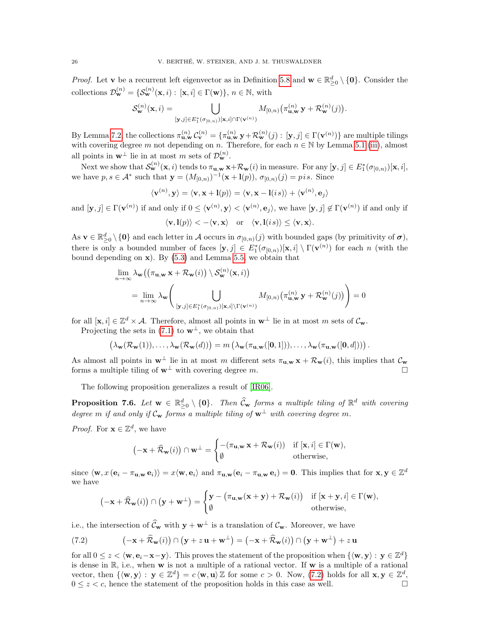*Proof.* Let **v** be a recurrent left eigenvector as in Definition [5.8](#page-16-3) and  $\mathbf{w} \in \mathbb{R}_{\geq 0}^d \setminus \{\mathbf{0}\}\$ . Consider the collections  $\mathcal{D}_{\mathbf{w}}^{(n)} = \{ \mathcal{S}_{\mathbf{w}}^{(n)}(\mathbf{x}, i) : [\mathbf{x}, i] \in \Gamma(\mathbf{w}) \}, n \in \mathbb{N}$ , with

$$
\mathcal{S}_{\mathbf{w}}^{(n)}(\mathbf{x}, i) = \bigcup_{[\mathbf{y}, j] \in E_1^*(\sigma_{[0,n)})[\mathbf{x}, i] \cap \Gamma(\mathbf{v}^{(n)})} M_{[0,n)}(\pi_{\mathbf{u}, \mathbf{w}}^{(n)} \mathbf{y} + \mathcal{R}_{\mathbf{w}}^{(n)}(j)).
$$

By Lemma [7.2,](#page-24-1) the collections  $\pi_{\mathbf{u},\mathbf{w}}^{(n)}\mathcal{C}_{\mathbf{v}}^{(n)} = \{\pi_{\mathbf{u},\mathbf{w}}^{(n)}\mathbf{y} + \mathcal{R}_{\mathbf{w}}^{(n)}(j) : [\mathbf{y},j] \in \Gamma(\mathbf{v}^{(n)})\}$  are multiple tilings with covering degree m not depending on n. Therefore, for each  $n \in \mathbb{N}$  by Lemma [5.1](#page-14-2) [\(iii\)](#page-14-7), almost all points in  $\mathbf{w}^{\perp}$  lie in at most m sets of  $\mathcal{D}_{\mathbf{w}}^{(n)}$ .

Next we show that  $\mathcal{S}_{\mathbf{w}}^{(n)}(\mathbf{x}, i)$  tends to  $\pi_{\mathbf{u}, \mathbf{w}} \mathbf{x} + \mathcal{R}_{\mathbf{w}}(i)$  in measure. For any  $[\mathbf{y}, j] \in E_1^*(\sigma_{[0,n)})[\mathbf{x}, i]$ , we have  $p, s \in \mathcal{A}^*$  such that  $\mathbf{y} = (M_{[0,n)})^{-1}(\mathbf{x} + \mathbf{l}(p)), \sigma_{[0,n)}(j) = p i s$ . Since

$$
\langle \mathbf{v}^{(n)}, \mathbf{y} \rangle = \langle \mathbf{v}, \mathbf{x} + \mathbf{l}(p) \rangle = \langle \mathbf{v}, \mathbf{x} - \mathbf{l}(is) \rangle + \langle \mathbf{v}^{(n)}, \mathbf{e}_j \rangle
$$

and  $[\mathbf{y},j] \in \Gamma(\mathbf{v}^{(n)})$  if and only if  $0 \le \langle \mathbf{v}^{(n)}, \mathbf{y} \rangle < \langle \mathbf{v}^{(n)}, \mathbf{e}_j \rangle$ , we have  $[\mathbf{y},j] \notin \Gamma(\mathbf{v}^{(n)})$  if and only if

$$
\langle \mathbf{v}, \mathbf{l}(p) \rangle < -\langle \mathbf{v}, \mathbf{x} \rangle
$$
 or  $\langle \mathbf{v}, \mathbf{l}(is) \rangle \leq \langle \mathbf{v}, \mathbf{x} \rangle$ .

As  $\mathbf{v} \in \mathbb{R}_{\geq 0}^d \setminus \{\mathbf{0}\}\$ and each letter in A occurs in  $\sigma_{[0,n)}(j)$  with bounded gaps (by primitivity of  $\boldsymbol{\sigma}$ ), there is only a bounded number of faces  $[\mathbf{y},j] \in E_1^*(\sigma_{[0,n)})[\mathbf{x},i] \setminus \Gamma(\mathbf{v}^{(n)})$  for each n (with the bound depending on  $x$ ). By [\(5.3\)](#page-15-0) and Lemma [5.5,](#page-15-1) we obtain that

$$
\lim_{n \to \infty} \lambda_{\mathbf{w}} ((\pi_{\mathbf{u}, \mathbf{w}} \mathbf{x} + \mathcal{R}_{\mathbf{w}}(i)) \setminus \mathcal{S}_{\mathbf{w}}^{(n)}(\mathbf{x}, i))
$$
\n
$$
= \lim_{n \to \infty} \lambda_{\mathbf{w}} \Biggl( \bigcup_{[\mathbf{y}, j] \in E_1^*(\sigma_{[0, n)})(\mathbf{x}, i] \setminus \Gamma(\mathbf{v}^{(n)})} M_{[0, n)}(\pi_{\mathbf{u}, \mathbf{w}}^{(n)} \mathbf{y} + \mathcal{R}_{\mathbf{w}}^{(n)}(j)) \Biggr) = 0
$$

for all  $[\mathbf{x}, i] \in \mathbb{Z}^d \times \mathcal{A}$ . Therefore, almost all points in  $\mathbf{w}^{\perp}$  lie in at most m sets of  $\mathcal{C}_{\mathbf{w}}$ .

Projecting the sets in [\(7.1\)](#page-24-3) to  $\mathbf{w}^{\perp}$ , we obtain that

$$
\left(\lambda_{\mathbf{w}}(\mathcal{R}_{\mathbf{w}}(1)),\ldots,\lambda_{\mathbf{w}}(\mathcal{R}_{\mathbf{w}}(d))\right)=m\left(\lambda_{\mathbf{w}}(\pi_{\mathbf{u},\mathbf{w}}([0,1])),\ldots,\lambda_{\mathbf{w}}(\pi_{\mathbf{u},\mathbf{w}}([0,d]))\right).
$$

As almost all points in  $\mathbf{w}^{\perp}$  lie in at most m different sets  $\pi_{\mathbf{u},\mathbf{w}}\mathbf{x} + \mathcal{R}_{\mathbf{w}}(i)$ , this implies that  $\mathcal{C}_{\mathbf{w}}$ forms a multiple tiling of  $w^{\perp}$  with covering degree m.

The following proposition generalizes a result of [\[IR06\]](#page-35-23).

<span id="page-25-0"></span>**Proposition 7.6.** Let  $\mathbf{w} \in \mathbb{R}^d_{\geq 0} \setminus \{\mathbf{0}\}$ . Then  $\widehat{C}_{\mathbf{w}}$  forms a multiple tiling of  $\mathbb{R}^d$  with covering degree m if and only if  $\mathcal{C}_{\mathbf{w}}$  forms a multiple tiling of  $\mathbf{w}^{\perp}$  with covering degree m.

*Proof.* For  $\mathbf{x} \in \mathbb{Z}^d$ , we have

$$
(-\mathbf{x} + \widehat{\mathcal{R}}_{\mathbf{w}}(i)) \cap \mathbf{w}^{\perp} = \begin{cases} -(\pi_{\mathbf{u},\mathbf{w}} \mathbf{x} + \mathcal{R}_{\mathbf{w}}(i)) & \text{if } [\mathbf{x}, i] \in \Gamma(\mathbf{w}), \\ \emptyset & \text{otherwise}, \end{cases}
$$

since  $\langle \mathbf{w}, x(\mathbf{e}_i - \pi_{\mathbf{u},\mathbf{w}} \mathbf{e}_i) \rangle = x \langle \mathbf{w}, \mathbf{e}_i \rangle$  and  $\pi_{\mathbf{u},\mathbf{w}}(\mathbf{e}_i - \pi_{\mathbf{u},\mathbf{w}} \mathbf{e}_i) = \mathbf{0}$ . This implies that for  $\mathbf{x}, \mathbf{y} \in \mathbb{Z}^d$ we have

<span id="page-25-1"></span>
$$
(-\mathbf{x} + \widehat{\mathcal{R}}_{\mathbf{w}}(i)) \cap (\mathbf{y} + \mathbf{w}^{\perp}) = \begin{cases} \mathbf{y} - (\pi_{\mathbf{u},\mathbf{w}}(\mathbf{x} + \mathbf{y}) + \mathcal{R}_{\mathbf{w}}(i)) & \text{if } [\mathbf{x} + \mathbf{y}, i] \in \Gamma(\mathbf{w}), \\ \emptyset & \text{otherwise,} \end{cases}
$$

i.e., the intersection of  $\widehat{\mathcal{C}}_{\mathbf{w}}$  with  $\mathbf{y} + \mathbf{w}^{\perp}$  is a translation of  $\mathcal{C}_{\mathbf{w}}$ . Moreover, we have

(7.2) 
$$
\left(-\mathbf{x} + \widehat{\mathcal{R}}_{\mathbf{w}}(i)\right) \cap \left(\mathbf{y} + z\,\mathbf{u} + \mathbf{w}^{\perp}\right) = \left(-\mathbf{x} + \widehat{\mathcal{R}}_{\mathbf{w}}(i)\right) \cap \left(\mathbf{y} + \mathbf{w}^{\perp}\right) + z\,\mathbf{u}
$$

for all  $0 \leq z < \langle \mathbf{w}, \mathbf{e}_i - \mathbf{x} - \mathbf{y} \rangle$ . This proves the statement of the proposition when  $\{\langle \mathbf{w}, \mathbf{y} \rangle : \mathbf{y} \in \mathbb{Z}^d\}$ is dense in  $\mathbb{R}$ , i.e., when w is not a multiple of a rational vector. If w is a multiple of a rational vector, then  $\{\langle \mathbf{w}, \mathbf{y} \rangle : \mathbf{y} \in \mathbb{Z}^d\} = c \langle \mathbf{w}, \mathbf{u} \rangle \mathbb{Z}$  for some  $c > 0$ . Now, [\(7.2\)](#page-25-1) holds for all  $\mathbf{x}, \mathbf{y} \in \mathbb{Z}^d$ ,  $0 \leq z \leq c$ , hence the statement of the proposition holds in this case as well.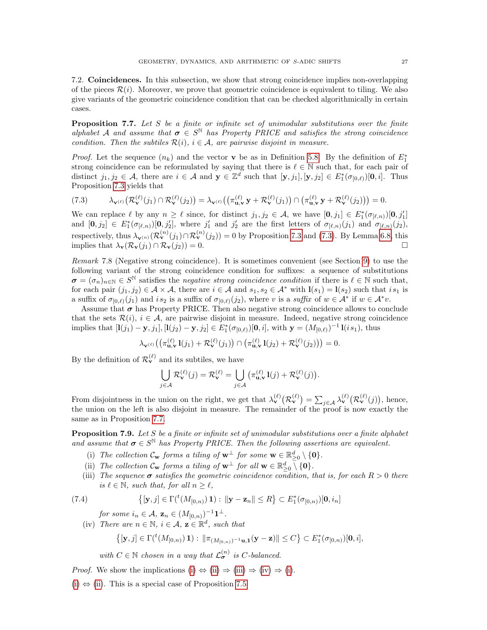7.2. Coincidences. In this subsection, we show that strong coincidence implies non-overlapping of the pieces  $\mathcal{R}(i)$ . Moreover, we prove that geometric coincidence is equivalent to tiling. We also give variants of the geometric coincidence condition that can be checked algorithmically in certain cases.

<span id="page-26-0"></span>**Proposition 7.7.** Let S be a finite or infinite set of unimodular substitutions over the finite alphabet A and assume that  $\sigma \in S^{\mathbb{N}}$  has Property PRICE and satisfies the strong coincidence condition. Then the subtiles  $\mathcal{R}(i)$ ,  $i \in \mathcal{A}$ , are pairwise disjoint in measure.

*Proof.* Let the sequence  $(n_k)$  and the vector **v** be as in Definition [5.8.](#page-16-3) By the definition of  $E_1^*$ strong coincidence can be reformulated by saying that there is  $\ell \in \mathbb{N}$  such that, for each pair of distinct  $j_1, j_2 \in \mathcal{A}$ , there are  $i \in \mathcal{A}$  and  $\mathbf{y} \in \mathbb{Z}^d$  such that  $[\mathbf{y}, j_1], [\mathbf{y}, j_2] \in E^*_1(\sigma_{[0,\ell)})[\mathbf{0}, i]$ . Thus Proposition [7.3](#page-24-2) yields that

<span id="page-26-3"></span>
$$
(7.3) \qquad \lambda_{\mathbf{v}^{(\ell)}}\big(\mathcal{R}^{(\ell)}_{\mathbf{v}}(j_1)\cap\mathcal{R}^{(\ell)}_{\mathbf{v}}(j_2)\big)=\lambda_{\mathbf{v}^{(\ell)}}\big(\big(\pi_{\mathbf{u},\mathbf{v}}^{(\ell)}\mathbf{y}+\mathcal{R}^{(\ell)}_{\mathbf{v}}(j_1)\big)\cap\big(\pi_{\mathbf{u},\mathbf{v}}^{(\ell)}\mathbf{y}+\mathcal{R}^{(\ell)}_{\mathbf{v}}(j_2)\big)\big)=0.
$$

We can replace  $\ell$  by any  $n \geq \ell$  since, for distinct  $j_1, j_2 \in \mathcal{A}$ , we have  $[\mathbf{0}, j_1] \in E^*_1(\sigma_{[\ell,n)})[\mathbf{0}, j'_1]$ and  $[\mathbf{0},j_2] \in E_1^*(\sigma_{[\ell,n)})[\mathbf{0},j'_2]$ , where  $j'_1$  and  $j'_2$  are the first letters of  $\sigma_{[\ell,n)}(j_1)$  and  $\sigma_{[\ell,n)}(j_2)$ , respectively, thus  $\lambda_{\mathbf{v}^{(n)}}(\mathcal{R}_{\mathbf{v}}^{(n)}(j_1) \cap \mathcal{R}_{\mathbf{v}}^{(n)}(j_2)) = 0$  by Proposition [7.3](#page-24-2) and [\(7.3\)](#page-26-3). By Lemma [6.8,](#page-23-3) this implies that  $\lambda_{\mathbf{v}}(\mathcal{R}_{\mathbf{v}}(j_1) \cap \mathcal{R}_{\mathbf{v}}(j_2)) = 0.$ 

<span id="page-26-1"></span>Remark 7.8 (Negative strong coincidence). It is sometimes convenient (see Section [9\)](#page-31-0) to use the following variant of the strong coincidence condition for suffixes: a sequence of substitutions  $\sigma = (\sigma_n)_{n \in \mathbb{N}} \in S^{\mathbb{N}}$  satisfies the *negative strong coincidence condition* if there is  $\ell \in \mathbb{N}$  such that, for each pair  $(j_1, j_2) \in \mathcal{A} \times \mathcal{A}$ , there are  $i \in \mathcal{A}$  and  $s_1, s_2 \in \mathcal{A}^*$  with  $\mathbf{l}(s_1) = \mathbf{l}(s_2)$  such that  $is_1$  is a suffix of  $\sigma_{[0,\ell)}(j_1)$  and is<sub>2</sub> is a suffix of  $\sigma_{[0,\ell)}(j_2)$ , where v is a suffix of  $w \in A^*$  if  $w \in A^*v$ .

Assume that  $\sigma$  has Property PRICE. Then also negative strong coincidence allows to conclude that the sets  $\mathcal{R}(i), i \in \mathcal{A}$ , are pairwise disjoint in measure. Indeed, negative strong coincidence implies that  $[\mathbf{l}(j_1) - \mathbf{y}, j_1], [\mathbf{l}(j_2) - \mathbf{y}, j_2] \in E_1^*(\sigma_{[0,\ell)})[\mathbf{0}, i]$ , with  $\mathbf{y} = (M_{[0,\ell)})^{-1} \mathbf{l}(i s_1)$ , thus

$$
\lambda_{\mathbf{v}^{(\ell)}}\big(\big(\pi_{\mathbf{u},\mathbf{v}}^{(\ell)}\mathbf{l}(j_1)+\mathcal{R}_{\mathbf{v}}^{(\ell)}(j_1)\big)\cap\big(\pi_{\mathbf{u},\mathbf{v}}^{(\ell)}\mathbf{l}(j_2)+\mathcal{R}_{\mathbf{v}}^{(\ell)}(j_2)\big)\big)=0.
$$

By the definition of  $\mathcal{R}_{\mathbf{v}}^{(\ell)}$  and its subtiles, we have

$$
\bigcup_{j \in \mathcal{A}} \mathcal{R}_{\mathbf{v}}^{(\ell)}(j) = \mathcal{R}_{\mathbf{v}}^{(\ell)} = \bigcup_{j \in \mathcal{A}} \left( \pi_{\mathbf{u}, \mathbf{v}}^{(\ell)} \mathbf{1}(j) + \mathcal{R}_{\mathbf{v}}^{(\ell)}(j) \right).
$$

From disjointness in the union on the right, we get that  $\lambda_{\mathbf{v}}^{(\ell)}(\mathcal{R}_{\mathbf{v}}^{(\ell)}) = \sum_{j \in \mathcal{A}} \lambda_{\mathbf{v}}^{(\ell)}(\mathcal{R}_{\mathbf{v}}^{(\ell)}(j))$ , hence, the union on the left is also disjoint in measure. The remainder of the proof is now exactly the same as in Proposition [7.7.](#page-26-0)

<span id="page-26-2"></span>**Proposition 7.9.** Let  $S$  be a finite or infinite set of unimodular substitutions over a finite alphabet and assume that  $\sigma \in S^{\mathbb{N}}$  has Property PRICE. Then the following assertions are equivalent.

- <span id="page-26-4"></span>(i) The collection  $C_w$  forms a tiling of  $w^{\perp}$  for some  $w \in \mathbb{R}^d_{\geq 0} \setminus \{0\}.$
- <span id="page-26-5"></span>(ii) The collection  $\mathcal{C}_{\mathbf{w}}$  forms a tiling of  $\mathbf{w}^{\perp}$  for all  $\mathbf{w} \in \mathbb{R}^d_{\geq 0}$  {  $\{0\}$ .
- <span id="page-26-6"></span>(iii) The sequence  $\sigma$  satisfies the geometric coincidence condition, that is, for each  $R > 0$  there is  $\ell \in \mathbb{N}$ , such that, for all  $n \geq \ell$ ,

(7.4) 
$$
\{[\mathbf{y},j] \in \Gamma({}^{t}(M_{[0,n)})\mathbf{1}) : \|\mathbf{y}-\mathbf{z}_n\| \leq R\} \subset E_1^*(\sigma_{[0,n)})[\mathbf{0},i_n]
$$

<span id="page-26-8"></span>for some  $i_n \in A$ ,  $\mathbf{z}_n \in (M_{[0,n)})^{-1} \mathbf{1}^{\perp}$ .

<span id="page-26-7"></span>(iv) There are  $n \in \mathbb{N}$ ,  $i \in \mathcal{A}$ ,  $\mathbf{z} \in \mathbb{R}^d$ , such that

$$
\left\{ [\mathbf{y},j] \in \Gamma({}^{t}(M_{[0,n)})\, \mathbf{1}) : \, \|\pi_{(M_{[0,n)})^{-1}\mathbf{u},\mathbf{1}}(\mathbf{y}-\mathbf{z})\| \leq C \right\} \subset E_1^*(\sigma_{[0,n)})[\mathbf{0},i],
$$

with  $C \in \mathbb{N}$  chosen in a way that  $\mathcal{L}_{\sigma}^{(n)}$  is C-balanced.

*Proof.* We show the implications [\(i\)](#page-26-4)  $\Leftrightarrow$  [\(ii\)](#page-26-5)  $\Rightarrow$  [\(iii\)](#page-26-6)  $\Rightarrow$  [\(iv\)](#page-26-7)  $\Rightarrow$  [\(i\)](#page-26-4).

[\(i\)](#page-26-4)  $\Leftrightarrow$  [\(ii\)](#page-26-5). This is a special case of Proposition [7.5.](#page-24-0)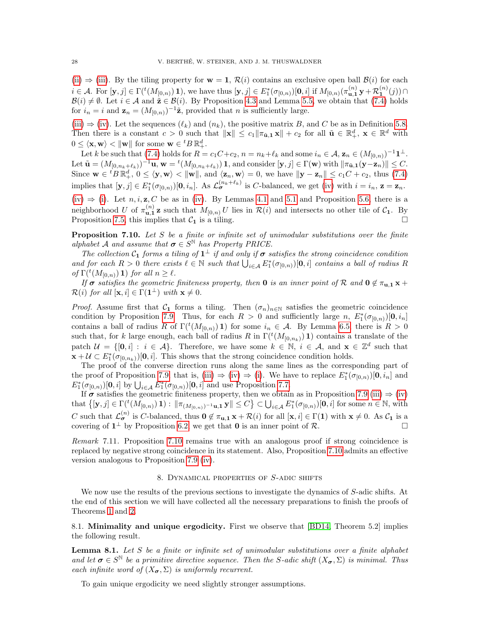[\(ii\)](#page-26-5)  $\Rightarrow$  [\(iii\)](#page-26-6). By the tiling property for  $\mathbf{w} = 1, \mathcal{R}(i)$  contains an exclusive open ball  $\mathcal{B}(i)$  for each  $i \in \mathcal{A}$ . For  $[\mathbf{y}, j] \in \Gamma({}^{t}(M_{[0,n)}) 1)$ , we have thus  $[\mathbf{y}, j] \in E_1^*(\sigma_{[0,n)})[0, i]$  if  $M_{[0,n)}(\pi_{\mathbf{u},\mathbf{1}}^{(n)} \mathbf{y} + \mathcal{R}_{\mathbf{1}}^{(n)}(j))$  $\mathcal{B}(i) \neq \emptyset$ . Let  $i \in \mathcal{A}$  and  $\tilde{\mathbf{z}} \in \mathcal{B}(i)$ . By Proposition [4.3](#page-12-0) and Lemma [5.5,](#page-15-1) we obtain that [\(7.4\)](#page-26-8) holds for  $i_n = i$  and  $\mathbf{z}_n = (M_{[0,n)})^{-1}\tilde{\mathbf{z}}$ , provided that n is sufficiently large.

[\(iii\)](#page-26-6)  $\Rightarrow$  [\(iv\)](#page-26-7). Let the sequences  $(\ell_k)$  and  $(n_k)$ , the positive matrix B, and C be as in Definition [5.8.](#page-16-3) Then there is a constant  $c > 0$  such that  $\|\mathbf{x}\| \le c_1 \|\pi_{\tilde{\mathbf{u}},\mathbf{1}} \mathbf{x}\| + c_2$  for all  $\tilde{\mathbf{u}} \in \mathbb{R}_+^d$ ,  $\mathbf{x} \in \mathbb{R}^d$  with  $0 \leq \langle \mathbf{x}, \mathbf{w} \rangle < ||\mathbf{w}||$  for some  $\mathbf{w} \in {}^{t}B \mathbb{R}^{d}_+$ .

Let k be such that [\(7.4\)](#page-26-8) holds for  $R = c_1 C + c_2$ ,  $n = n_k + \ell_k$  and some  $i_n \in A$ ,  $\mathbf{z}_n \in (M_{[0,n)})^{-1} \mathbf{1}^{\perp}$ . Let  $\tilde{\mathbf{u}} = (M_{[0,n_k+\ell_k)})^{-1}\mathbf{u}, \mathbf{w} = {}^{t}(M_{[0,n_k+\ell_k)})\mathbf{1},$  and consider  $[\mathbf{y},j] \in \Gamma(\mathbf{w})$  with  $\|\pi_{\tilde{\mathbf{u}},\mathbf{1}}(\mathbf{y}-\mathbf{z}_n)\| \leq C$ . Since  $\mathbf{w} \in {}^{t}B \mathbb{R}^{d}_+$ ,  $0 \leq \langle \mathbf{y}, \mathbf{w} \rangle < ||\mathbf{w}||$ , and  $\langle \mathbf{z}_n, \mathbf{w} \rangle = 0$ , we have  $||\mathbf{y} - \mathbf{z}_n|| \leq c_1 C + c_2$ , thus [\(7.4\)](#page-26-8) implies that  $[\mathbf{y}, j] \in E_1^*(\sigma_{[0,n)})[\mathbf{0}, i_n]$ . As  $\mathcal{L}_{\sigma}^{(n_k+\ell_k)}$  is C-balanced, we get [\(iv\)](#page-26-7) with  $i = i_n$ ,  $\mathbf{z} = \mathbf{z}_n$ .

[\(iv\)](#page-26-7)  $\Rightarrow$  [\(i\)](#page-26-4). Let n, i, z, C be as in [\(iv\)](#page-26-7). By Lemmas [4.1](#page-11-2) and [5.1](#page-14-2) and Proposition [5.6,](#page-15-4) there is a neighborhood U of  $\pi_{\mathbf{u},\mathbf{1}}^{(n)}$  z such that  $M_{[0,n]}$  U lies in  $\mathcal{R}(i)$  and intersects no other tile of  $\mathcal{C}_{\mathbf{1}}$ . By Proposition [7.5,](#page-24-0) this implies that  $C_1$  is a tiling.

<span id="page-27-1"></span>**Proposition 7.10.** Let S be a finite or infinite set of unimodular substitutions over the finite alphabet A and assume that  $\sigma \in S^{\mathbb{N}}$  has Property PRICE.

The collection  $C_1$  forms a tiling of  $1^{\perp}$  if and only if  $\sigma$  satisfies the strong coincidence condition and for each  $R > 0$  there exists  $\ell \in \mathbb{N}$  such that  $\bigcup_{i \in A} E_1^*(\sigma_{[0,n)})[0, i]$  contains a ball of radius R of  $\Gamma({}^t(M_{[0,n)})$  1) for all  $n \geq \ell$ .

If  $\sigma$  satisfies the geometric finiteness property, then **0** is an inner point of R and  $0 \notin \pi_{u,1} x +$  $\mathcal{R}(i)$  for all  $[\mathbf{x}, i] \in \Gamma(\mathbf{1}^{\perp})$  with  $\mathbf{x} \neq 0$ .

*Proof.* Assume first that  $C_1$  forms a tiling. Then  $(\sigma_n)_{n\in\mathbb{N}}$  satisfies the geometric coincidence condition by Proposition [7.9.](#page-26-2) Thus, for each  $R > 0$  and sufficiently large n,  $E_1^*(\sigma_{[0,n)})[0, i_n]$ contains a ball of radius R of  $\Gamma({}^t(M_{[0,n)}) 1)$  for some  $i_n \in \mathcal{A}$ . By Lemma [6.5,](#page-20-4) there is  $R > 0$ such that, for k large enough, each ball of radius  $R$  in  $\Gamma({}^t(M_{[0,n_k)}) 1)$  contains a translate of the patch  $\mathcal{U} = \{[\mathbf{0}, i] : i \in \mathcal{A}\}.$  Therefore, we have some  $k \in \mathbb{N}, i \in \mathcal{A}$ , and  $\mathbf{x} \in \mathbb{Z}^d$  such that  $\mathbf{x} + \mathcal{U} \subset E_1^*(\sigma_{[0,n_k)})[\mathbf{0},i].$  This shows that the strong coincidence condition holds.

The proof of the converse direction runs along the same lines as the corresponding part of the proof of Proposition [7.9,](#page-26-2) that is, [\(iii\)](#page-26-6)  $\Rightarrow$  [\(iv\)](#page-26-7)  $\Rightarrow$  [\(i\)](#page-26-4). We have to replace  $E_1^*(\sigma_{[0,n)})[\mathbf{0},i_n]$  and  $E_1^*(\sigma_{[0,n)})[\mathbf{0},i]$  by  $\bigcup_{i\in\mathcal{A}} E_1^*(\sigma_{[0,n)})[\mathbf{0},i]$  and use Proposition [7.7.](#page-26-0)

If  $\sigma$  satisfies the geometric finiteness property, then we obtain as in Proposition [7.9](#page-26-2) [\(iii\)](#page-26-6)  $\Rightarrow$  [\(iv\)](#page-26-7) that  $\{[\mathbf{y},j]\in\Gamma(\mathcal{N}(M_{[0,n)})\mathbf{1}) : \|\pi_{(M_{[0,n)})^{-1}\mathbf{u},\mathbf{1}}\mathbf{y}\| \leq C\} \subset \bigcup_{i\in\mathcal{A}} E_1^*(\sigma_{[0,n)})[\mathbf{0},i]$  for some  $n \in \mathbb{N}$ , with C such that  $\mathcal{L}_{\sigma}^{(n)}$  is C-balanced, thus  $0 \notin \pi_{\mathbf{u},\mathbf{1}} \mathbf{x} + \mathcal{R}(i)$  for all  $[\mathbf{x}, i] \in \Gamma(\mathbf{1})$  with  $\mathbf{x} \neq 0$ . As  $\mathcal{C}_{\mathbf{1}}$  is a covering of  $1^{\perp}$  by Proposition [6.2,](#page-19-2) we get that **0** is an inner point of  $\mathcal{R}$ .

<span id="page-27-3"></span>Remark 7.11. Proposition [7.10](#page-27-1) remains true with an analogous proof if strong coincidence is replaced by negative strong coincidence in its statement. Also, Proposition [7.10](#page-27-1) admits an effective version analogous to Proposition [7.9](#page-26-2) [\(iv\)](#page-26-7).

#### 8. Dynamical properties of S-adic shifts

<span id="page-27-0"></span>We now use the results of the previous sections to investigate the dynamics of S-adic shifts. At the end of this section we will have collected all the necessary preparations to finish the proofs of Theorems [1](#page-7-1) and [2.](#page-8-0)

8.1. **Minimality and unique ergodicity.** First we observe that [\[BD14,](#page-34-3) Theorem 5.2] implies the following result.

<span id="page-27-2"></span>**Lemma 8.1.** Let  $S$  be a finite or infinite set of unimodular substitutions over a finite alphabet and let  $\sigma \in S^{\mathbb{N}}$  be a primitive directive sequence. Then the S-adic shift  $(X_{\sigma}, \Sigma)$  is minimal. Thus each infinite word of  $(X_{\sigma}, \Sigma)$  is uniformly recurrent.

To gain unique ergodicity we need slightly stronger assumptions.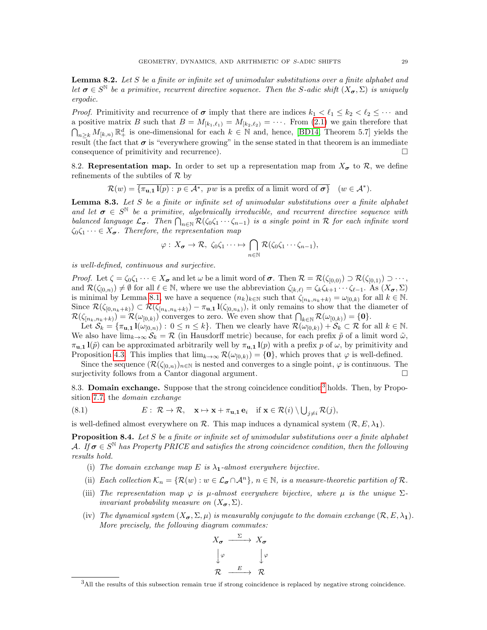<span id="page-28-0"></span>Lemma 8.2. Let S be a finite or infinite set of unimodular substitutions over a finite alphabet and let  $\sigma \in S^{\mathbb{N}}$  be a primitive, recurrent directive sequence. Then the S-adic shift  $(X_{\sigma}, \Sigma)$  is uniquely ergodic.

*Proof.* Primitivity and recurrence of  $\sigma$  imply that there are indices  $k_1 < \ell_1 \leq k_2 < \ell_2 \leq \cdots$  and a positive matrix B such that  $B = M_{[k_1,\ell_1)} = M_{[k_2,\ell_2)} = \cdots$ . From [\(2.1\)](#page-5-1) we gain therefore that  $\bigcap_{n\geq k} M_{[k,n)} \mathbb{R}^d_+$  is one-dimensional for each  $k \in \mathbb{N}$  and, hence, [\[BD14,](#page-34-3) Theorem 5.7] yields the result (the fact that  $\sigma$  is "everywhere growing" in the sense stated in that theorem is an immediate consequence of primitivity and recurrence).  $\Box$ 

8.2. Representation map. In order to set up a representation map from  $X_{\sigma}$  to  $\mathcal{R}$ , we define refinements of the subtiles of  $\mathcal{R}$  by

$$
\mathcal{R}(w) = \overline{\{\pi_{\mathbf{u},\mathbf{1}}\mathbf{l}(p) : p \in \mathcal{A}^*, \; pw \text{ is a prefix of a limit word of } \boldsymbol{\sigma}\}} \quad (w \in \mathcal{A}^*).
$$

<span id="page-28-4"></span>**Lemma 8.3.** Let  $S$  be a finite or infinite set of unimodular substitutions over a finite alphabet and let  $\sigma \in S^{\mathbb{N}}$  be a primitive, algebraically irreducible, and recurrent directive sequence with balanced language  $\mathcal{L}_{\sigma}$ . Then  $\bigcap_{n\in\mathbb{N}}\mathcal{R}(\zeta_0\zeta_1\cdots\zeta_{n-1})$  is a single point in R for each infinite word  $\zeta_0\zeta_1\cdots\in X_{\sigma}$ . Therefore, the representation map

$$
\varphi: X_{\sigma} \to \mathcal{R}, \ \zeta_0 \zeta_1 \cdots \mapsto \bigcap_{n \in \mathbb{N}} \mathcal{R}(\zeta_0 \zeta_1 \cdots \zeta_{n-1}),
$$

is well-defined, continuous and surjective.

*Proof.* Let  $\zeta = \zeta_0 \zeta_1 \cdots \in X_{\sigma}$  and let  $\omega$  be a limit word of  $\sigma$ . Then  $\mathcal{R} = \mathcal{R}(\zeta_{[0,0)}) \supset \mathcal{R}(\zeta_{[0,1]}) \supset \cdots$ , and  $\mathcal{R}(\zeta_{[0,n)}) \neq \emptyset$  for all  $\ell \in \mathbb{N}$ , where we use the abbreviation  $\zeta_{[k,\ell)} = \zeta_k \zeta_{k+1} \cdots \zeta_{\ell-1}$ . As  $(X_{\sigma}, \Sigma)$ is minimal by Lemma [8.1,](#page-27-2) we have a sequence  $(n_k)_{k\in\mathbb{N}}$  such that  $\zeta_{[n_k,n_k+k)} = \omega_{[0,k)}$  for all  $k \in \mathbb{N}$ . Since  $\mathcal{R}(\zeta_{[0,n_k+k)}) \subset \mathcal{R}(\zeta_{[n_k,n_k+k)}) - \pi_{\mathbf{u},\mathbf{1}} \mathbf{1}(\zeta_{[0,n_k)})$ , it only remains to show that the diameter of  $\mathcal{R}(\zeta_{[n_k,n_k+k)}) = \mathcal{R}(\omega_{[0,k)})$  converges to zero. We even show that  $\bigcap_{k \in \mathbb{N}} \mathcal{R}(\omega_{[0,k)}) = \{0\}.$ 

Let  $S_k = \{\pi_{\mathbf{u},\mathbf{1}} \mathbf{1}(\omega_{[0,n)}) : 0 \leq n \leq k\}$ . Then we clearly have  $\mathcal{R}(\omega_{[0,k)}) + S_k \subset \mathcal{R}$  for all  $k \in \mathbb{N}$ . We also have  $\lim_{k\to\infty} \mathcal{S}_k = \mathcal{R}$  (in Hausdorff metric) because, for each prefix  $\tilde{p}$  of a limit word  $\tilde{\omega}$ ,  $\pi_{\mathbf{u},\mathbf{1}} \mathbf{l}(\tilde{p})$  can be approximated arbitrarily well by  $\pi_{\mathbf{u},\mathbf{1}} \mathbf{l}(p)$  with a prefix p of  $\omega$ , by primitivity and Proposition [4.3.](#page-12-0) This implies that  $\lim_{k\to\infty} \mathcal{R}(\omega_{[0,k)}) = \{0\}$ , which proves that  $\varphi$  is well-defined.

Since the sequence  $(\mathcal{R}(\zeta_{[0,n)})_{n\in\mathbb{N}}$  is nested and converges to a single point,  $\varphi$  is continuous. The surjectivity follows from a Cantor diagonal argument.

8.[3](#page-28-1). **Domain exchange.** Suppose that the strong coincidence condition<sup>3</sup> holds. Then, by Proposition [7.7,](#page-26-0) the domain exchange

(8.1) 
$$
E: \mathcal{R} \to \mathcal{R}, \quad \mathbf{x} \mapsto \mathbf{x} + \pi_{\mathbf{u},\mathbf{1}} \mathbf{e}_i \quad \text{if } \mathbf{x} \in \mathcal{R}(i) \setminus \bigcup_{j \neq i} \mathcal{R}(j),
$$

is well-defined almost everywhere on  $\mathcal R$ . This map induces a dynamical system  $(\mathcal R, E, \lambda_1)$ .

<span id="page-28-7"></span>**Proposition 8.4.** Let  $S$  be a finite or infinite set of unimodular substitutions over a finite alphabet A. If  $\sigma \in S^{\mathbb{N}}$  has Property PRICE and satisfies the strong coincidence condition, then the following results hold.

- <span id="page-28-2"></span>(i) The domain exchange map E is  $\lambda_1$ -almost everywhere bijective.
- <span id="page-28-3"></span>(ii) Each collection  $\mathcal{K}_n = \{ \mathcal{R}(w) : w \in \mathcal{L}_{\sigma} \cap \mathcal{A}^n \}, n \in \mathbb{N}, \text{ is a measure-theoretic partition of } \mathcal{R}.$
- <span id="page-28-5"></span>(iii) The representation map  $\varphi$  is  $\mu$ -almost everywhere bijective, where  $\mu$  is the unique  $\Sigma$ invariant probability measure on  $(X_{\sigma}, \Sigma)$ .
- <span id="page-28-6"></span>(iv) The dynamical system  $(X_{\sigma}, \Sigma, \mu)$  is measurably conjugate to the domain exchange  $(\mathcal{R}, E, \lambda_1)$ . More precisely, the following diagram commutes:

$$
X_{\sigma} \xrightarrow{\Sigma} X_{\sigma}
$$

$$
\downarrow \varphi \qquad \downarrow \varphi
$$

$$
\mathcal{R} \xrightarrow{E} \mathcal{R}
$$

<span id="page-28-1"></span> $3$ All the results of this subsection remain true if strong coincidence is replaced by negative strong coincidence.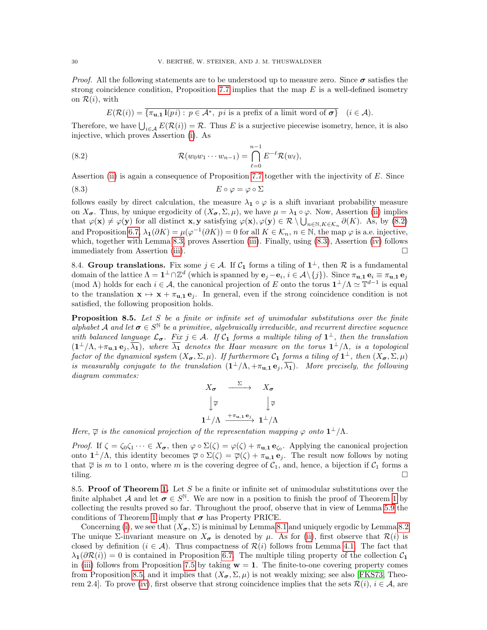*Proof.* All the following statements are to be understood up to measure zero. Since  $\sigma$  satisfies the strong coincidence condition, Proposition [7.7](#page-26-0) implies that the map  $E$  is a well-defined isometry on  $\mathcal{R}(i)$ , with

<span id="page-29-1"></span><span id="page-29-0"></span>
$$
E(\mathcal{R}(i)) = \overline{\{\pi_{\mathbf{u},\mathbf{1}}\mathbf{l}(pi): p \in \mathcal{A}^*, \pi \text{ is a prefix of a limit word of } \sigma\}} \quad (i \in \mathcal{A}).
$$

Therefore, we have  $\bigcup_{i\in\mathcal{A}} E(\mathcal{R}(i)) = \mathcal{R}$ . Thus E is a surjective piecewise isometry, hence, it is also injective, which proves Assertion [\(i\)](#page-28-2). As

(8.2) 
$$
\mathcal{R}(w_0w_1\cdots w_{n-1}) = \bigcap_{\ell=0}^{n-1} E^{-\ell} \mathcal{R}(w_\ell),
$$

Assertion [\(ii\)](#page-28-3) is again a consequence of Proposition [7.7](#page-26-0) together with the injectivity of  $E$ . Since

$$
(8.3) \t\t\t E \circ \varphi = \varphi \circ \Sigma
$$

follows easily by direct calculation, the measure  $\lambda_1 \circ \varphi$  is a shift invariant probability measure on  $X_{\sigma}$ . Thus, by unique ergodicity of  $(X_{\sigma}, \Sigma, \mu)$ , we have  $\mu = \lambda_1 \circ \varphi$ . Now, Assertion [\(ii\)](#page-28-3) implies that  $\varphi(\mathbf{x}) \neq \varphi(\mathbf{y})$  for all distinct  $\mathbf{x}, \mathbf{y}$  satisfying  $\varphi(\mathbf{x}), \varphi(\mathbf{y}) \in \mathcal{R} \setminus \bigcup_{n \in \mathbb{N}, K \in \mathcal{K}_n} \partial(K)$ . As, by [\(8.2\)](#page-29-0) and Proposition [6.7,](#page-22-0)  $\lambda_1(\partial K) = \mu(\varphi^{-1}(\partial K)) = 0$  for all  $K \in \mathcal{K}_n$ ,  $n \in \mathbb{N}$ , the map  $\varphi$  is a.e. injective, which, together with Lemma [8.3,](#page-28-4) proves Assertion [\(iii\)](#page-28-5). Finally, using  $(8.3)$ , Assertion [\(iv\)](#page-28-6) follows immediately from Assertion [\(iii\)](#page-28-5).

8.4. Group translations. Fix some  $j \in \mathcal{A}$ . If  $\mathcal{C}_1$  forms a tiling of  $1^{\perp}$ , then  $\mathcal{R}$  is a fundamental domain of the lattice  $\Lambda = \mathbf{1}^{\perp} \cap \mathbb{Z}^{d}$  (which is spanned by  $\mathbf{e}_j - \mathbf{e}_i$ ,  $i \in \mathcal{A} \setminus \{j\}$ ). Since  $\pi_{\mathbf{u},\mathbf{1}} \mathbf{e}_i \equiv \pi_{\mathbf{u},\mathbf{1}} \mathbf{e}_j$ (mod  $\Lambda$ ) holds for each  $i \in \mathcal{A}$ , the canonical projection of E onto the torus  $\mathbf{1}^{\perp}/\Lambda \simeq \mathbb{T}^{d-1}$  is equal to the translation  $\mathbf{x} \mapsto \mathbf{x} + \pi_{\mathbf{u},1} \mathbf{e}_i$ . In general, even if the strong coincidence condition is not satisfied, the following proposition holds.

<span id="page-29-2"></span>**Proposition 8.5.** Let S be a finite or infinite set of unimodular substitutions over the finite alphabet A and let  $\sigma \in S^{\mathbb{N}}$  be a primitive, algebraically irreducible, and recurrent directive sequence with balanced language  $\mathcal{L}_{\sigma}$ . Fix  $j \in \mathcal{A}$ . If  $\mathcal{C}_1$  forms a multiple tiling of  $1^{\perp}$ , then the translation  $(1^{\perp}/\Lambda, +\pi_{\mathbf{u},\mathbf{1}} \mathbf{e}_j, \overline{\lambda_1})$ , where  $\overline{\lambda_1}$  denotes the Haar measure on the torus  $1^{\perp}/\Lambda$ , is a topological factor of the dynamical system  $(X_{\boldsymbol{\sigma}}, \Sigma, \mu)$ . If furthermore  $\mathcal{C}_1$  forms a tiling of  $\mathbf{1}^{\perp}$ , then  $(X_{\boldsymbol{\sigma}}, \Sigma, \mu)$ is measurably conjugate to the translation  $(1^{\perp}/\Lambda, +\pi_{\mathbf{u},\mathbf{1}} \mathbf{e}_j, \overline{\lambda_{\mathbf{1}}})$ . More precisely, the following diagram commutes:

$$
X_{\sigma} \xrightarrow{\Sigma} X_{\sigma}
$$

$$
\downarrow \overline{\varphi} \qquad \qquad \downarrow \overline{\varphi}
$$

$$
1^{\perp}/\Lambda \xrightarrow{+\pi_{u,1} e_j} 1^{\perp}/\Lambda
$$

Here,  $\overline{\varphi}$  is the canonical projection of the representation mapping  $\varphi$  onto  $\mathbf{1}^{\perp}/\Lambda$ .

*Proof.* If  $\zeta = \zeta_0 \zeta_1 \cdots \in X_{\sigma}$ , then  $\varphi \circ \Sigma(\zeta) = \varphi(\zeta) + \pi_{\mathbf{u},\mathbf{1}} \mathbf{e}_{\zeta_0}$ . Applying the canonical projection onto  $\mathbf{1}^{\perp}/\Lambda$ , this identity becomes  $\overline{\varphi} \circ \Sigma(\zeta) = \overline{\varphi}(\zeta) + \pi_{\mathbf{u},\mathbf{1}} \mathbf{e}_j$ . The result now follows by noting that  $\overline{\varphi}$  is m to 1 onto, where m is the covering degree of  $\mathcal{C}_1$ , and, hence, a bijection if  $\mathcal{C}_1$  forms a tiling.

8.5. Proof of Theorem [1.](#page-7-1) Let  $S$  be a finite or infinite set of unimodular substitutions over the finite alphabet A and let  $\sigma \in S^{\mathbb{N}}$ . We are now in a position to finish the proof of Theorem [1](#page-7-1) by collecting the results proved so far. Throughout the proof, observe that in view of Lemma [5.9](#page-17-0) the conditions of Theorem [1](#page-7-1) imply that  $\sigma$  has Property PRICE.

Concerning [\(i\)](#page-7-2), we see that  $(X_{\sigma}, \Sigma)$  is minimal by Lemma [8.1](#page-27-2) and uniquely ergodic by Lemma [8.2.](#page-28-0) The unique  $\Sigma$ -invariant measure on  $X_{\sigma}$  is denoted by  $\mu$ . As for [\(ii\)](#page-7-4), first observe that  $\mathcal{R}(i)$  is closed by definition  $(i \in \mathcal{A})$ . Thus compactness of  $\mathcal{R}(i)$  follows from Lemma [4.1.](#page-11-2) The fact that  $\lambda_1(\partial \mathcal{R}(i)) = 0$  is contained in Proposition [6.7.](#page-22-0) The multiple tiling property of the collection  $\mathcal{C}_1$ in [\(iii\)](#page-8-4) follows from Proposition [7.5](#page-24-0) by taking  $w = 1$ . The finite-to-one covering property comes from Proposition [8.5,](#page-29-2) and it implies that  $(X_{\sigma}, \Sigma, \mu)$  is not weakly mixing; see also [\[FKS73,](#page-35-31) Theo-rem 2.4]. To prove [\(iv\)](#page-8-5), first observe that strong coincidence implies that the sets  $\mathcal{R}(i)$ ,  $i \in \mathcal{A}$ , are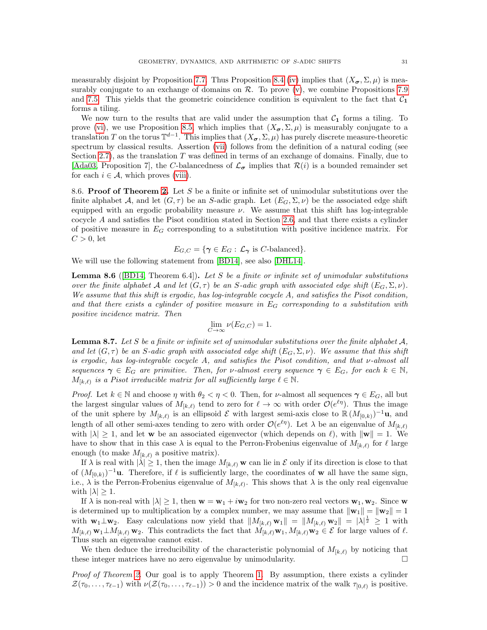measurably disjoint by Proposition [7.7.](#page-26-0) Thus Proposition [8.4](#page-28-7) [\(iv\)](#page-28-6) implies that  $(X_{\sigma}, \Sigma, \mu)$  is measurably conjugate to an exchange of domains on  $\mathcal{R}$ . To prove  $(v)$ , we combine Propositions [7.9](#page-26-2) and [7.5.](#page-24-0) This yields that the geometric coincidence condition is equivalent to the fact that  $C_1$ forms a tiling.

We now turn to the results that are valid under the assumption that  $C_1$  forms a tiling. To prove [\(vi\)](#page-8-2), we use Proposition [8.5,](#page-29-2) which implies that  $(X_{\sigma}, \Sigma, \mu)$  is measurably conjugate to a translation T on the torus  $\mathbb{T}^{d-1}$ . This implies that  $(X_{\sigma}, \Sigma, \mu)$  has purely discrete measure-theoretic spectrum by classical results. Assertion [\(vii\)](#page-8-6) follows from the definition of a natural coding (see Section [2.7\)](#page-5-0), as the translation  $T$  was defined in terms of an exchange of domains. Finally, due to [\[Ada03,](#page-33-9) Proposition 7], the C-balancedness of  $\mathcal{L}_{\sigma}$  implies that  $\mathcal{R}(i)$  is a bounded remainder set for each  $i \in \mathcal{A}$ , which proves [\(viii\)](#page-8-3).

8.6. Proof of Theorem [2.](#page-8-0) Let S be a finite or infinite set of unimodular substitutions over the finite alphabet A, and let  $(G, \tau)$  be an S-adic graph. Let  $(E_G, \Sigma, \nu)$  be the associated edge shift equipped with an ergodic probability measure  $\nu$ . We assume that this shift has log-integrable cocycle A and satisfies the Pisot condition stated in Section [2.6,](#page-5-3) and that there exists a cylinder of positive measure in  $E_G$  corresponding to a substitution with positive incidence matrix. For  $C > 0$ , let

$$
E_{G,C} = \{ \gamma \in E_G : \mathcal{L}_{\gamma} \text{ is } C\text{-balanced} \}.
$$

We will use the following statement from [\[BD14\]](#page-34-3), see also [\[DHL14\]](#page-34-30).

<span id="page-30-1"></span>**Lemma 8.6** ([\[BD14,](#page-34-3) Theorem 6.4]). Let S be a finite or infinite set of unimodular substitutions over the finite alphabet A and let  $(G, \tau)$  be an S-adic graph with associated edge shift  $(E_G, \Sigma, \nu)$ . We assume that this shift is ergodic, has log-integrable cocycle A, and satisfies the Pisot condition, and that there exists a cylinder of positive measure in  $E_G$  corresponding to a substitution with positive incidence matrix. Then

$$
\lim_{C \to \infty} \nu(E_{G,C}) = 1.
$$

<span id="page-30-0"></span>**Lemma 8.7.** Let S be a finite or infinite set of unimodular substitutions over the finite alphabet  $A$ , and let  $(G, \tau)$  be an S-adic graph with associated edge shift  $(E_G, \Sigma, \nu)$ . We assume that this shift is ergodic, has log-integrable cocycle A, and satisfies the Pisot condition, and that ν-almost all sequences  $\gamma \in E_G$  are primitive. Then, for v-almost every sequence  $\gamma \in E_G$ , for each  $k \in \mathbb{N}$ ,  $M_{[k,\ell)}$  is a Pisot irreducible matrix for all sufficiently large  $\ell \in \mathbb{N}$ .

*Proof.* Let  $k \in \mathbb{N}$  and choose  $\eta$  with  $\theta_2 < \eta < 0$ . Then, for *v*-almost all sequences  $\gamma \in E_G$ , all but the largest singular values of  $M_{[k,\ell)}$  tend to zero for  $\ell \to \infty$  with order  $\mathcal{O}(e^{\ell\eta})$ . Thus the image of the unit sphere by  $M_{[k,\ell)}$  is an ellipsoid  $\mathcal E$  with largest semi-axis close to  $\mathbb R (M_{[0,k)})^{-1}$ **u**, and length of all other semi-axes tending to zero with order  $\mathcal{O}(e^{\ell\eta})$ . Let  $\lambda$  be an eigenvalue of  $M_{[k,\ell)}$ with  $|\lambda| \geq 1$ , and let w be an associated eigenvector (which depends on  $\ell$ ), with  $\|\mathbf{w}\| = 1$ . We have to show that in this case  $\lambda$  is equal to the Perron-Frobenius eigenvalue of  $M_{[k,\ell)}$  for  $\ell$  large enough (to make  $M_{[k,\ell)}$  a positive matrix).

If  $\lambda$  is real with  $|\lambda| \geq 1$ , then the image  $M_{[k,\ell)}$  w can lie in  $\mathcal E$  only if its direction is close to that of  $(M_{[0,k)})^{-1}$ **u**. Therefore, if  $\ell$  is sufficiently large, the coordinates of **w** all have the same sign, i.e.,  $\lambda$  is the Perron-Frobenius eigenvalue of  $M_{[k,\ell)}$ . This shows that  $\lambda$  is the only real eigenvalue with  $|\lambda| \geq 1$ .

If  $\lambda$  is non-real with  $|\lambda| \geq 1$ , then  $w = w_1 + i w_2$  for two non-zero real vectors  $w_1, w_2$ . Since w is determined up to multiplication by a complex number, we may assume that  $\|\mathbf{w}_1\| = \|\mathbf{w}_2\| = 1$ with  $\mathbf{w}_1 \perp \mathbf{w}_2$ . Easy calculations now yield that  $||M_{[k,\ell)} \mathbf{w}_1|| = ||M_{[k,\ell)} \mathbf{w}_2|| = |\lambda|^{\frac{1}{2}} \geq 1$  with  $M_{[k,\ell)}$  w<sub>1</sub>⊥ $M_{[k,\ell)}$  w<sub>2</sub>. This contradicts the fact that  $M_{[k,\ell)}$ w<sub>1</sub>,  $M_{[k,\ell)}$ w<sub>2</sub> ∈  $\mathcal E$  for large values of  $\ell$ . Thus such an eigenvalue cannot exist.

We then deduce the irreducibility of the characteristic polynomial of  $M_{k,\ell}$  by noticing that these integer matrices have no zero eigenvalue by unimodularity.

Proof of Theorem [2.](#page-8-0) Our goal is to apply Theorem [1.](#page-7-1) By assumption, there exists a cylinder  $\mathcal{Z}(\tau_0,\ldots,\tau_{\ell-1})$  with  $\nu(\mathcal{Z}(\tau_0,\ldots,\tau_{\ell-1})) > 0$  and the incidence matrix of the walk  $\tau_{[0,\ell)}$  is positive.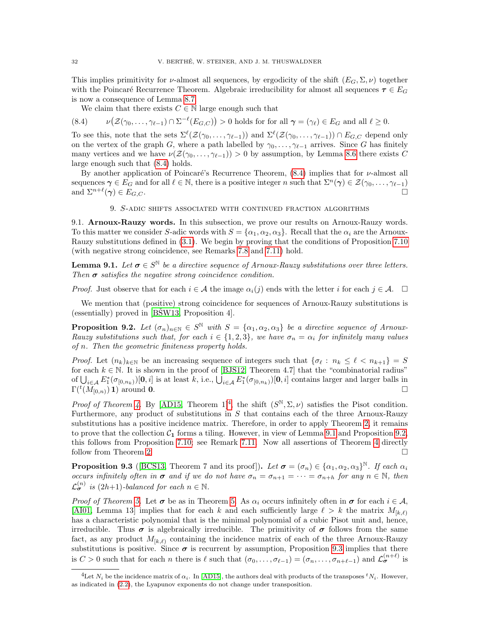This implies primitivity for *ν*-almost all sequences, by ergodicity of the shift  $(E_G, \Sigma, \nu)$  together with the Poincaré Recurrence Theorem. Algebraic irreducibility for almost all sequences  $\tau \in E_G$ is now a consequence of Lemma [8.7.](#page-30-0)

<span id="page-31-1"></span>We claim that there exists  $C \in \mathbb{N}$  large enough such that

 $(8.4)$  $(\mathcal{Z}(\gamma_0,\ldots,\gamma_{\ell-1})\cap\Sigma^{-\ell}(E_{G,C}))>0$  holds for for all  $\gamma=(\gamma_{\ell})\in E_G$  and all  $\ell\geq 0$ .

To see this, note that the sets  $\Sigma^{\ell}(\mathcal{Z}(\gamma_0,\ldots,\gamma_{\ell-1}))$  and  $\Sigma^{\ell}(\mathcal{Z}(\gamma_0,\ldots,\gamma_{\ell-1})) \cap E_{G,C}$  depend only on the vertex of the graph G, where a path labelled by  $\gamma_0, \ldots, \gamma_{\ell-1}$  arrives. Since G has finitely many vertices and we have  $\nu(\mathcal{Z}(\gamma_0, \ldots, \gamma_{\ell-1})) > 0$  by assumption, by Lemma [8.6](#page-30-1) there exists C large enough such that [\(8.4\)](#page-31-1) holds.

By another application of Poincaré's Recurrence Theorem,  $(8.4)$  implies that for  $\nu$ -almost all sequences  $\gamma \in E_G$  and for all  $\ell \in \mathbb{N}$ , there is a positive integer n such that  $\Sigma^n(\gamma) \in \mathcal{Z}(\gamma_0, \ldots, \gamma_{\ell-1})$ and  $\Sigma^{n+\ell}(\gamma) \in E_{G,C}$ .

9. S-adic shifts associated with continued fraction algorithms

<span id="page-31-0"></span>9.1. Arnoux-Rauzy words. In this subsection, we prove our results on Arnoux-Rauzy words. To this matter we consider S-adic words with  $S = \{\alpha_1, \alpha_2, \alpha_3\}$ . Recall that the  $\alpha_i$  are the Arnoux-Rauzy substitutions defined in [\(3.1\)](#page-9-3). We begin by proving that the conditions of Proposition [7.10](#page-27-1) (with negative strong coincidence, see Remarks [7.8](#page-26-1) and [7.11\)](#page-27-3) hold.

<span id="page-31-3"></span>**Lemma 9.1.** Let  $\sigma \in S^{\mathbb{N}}$  be a directive sequence of Arnoux-Rauzy substitutions over three letters. Then  $\sigma$  satisfies the negative strong coincidence condition.

*Proof.* Just observe that for each  $i \in \mathcal{A}$  the image  $\alpha_i(j)$  ends with the letter i for each  $j \in \mathcal{A}$ .  $\Box$ 

We mention that (positive) strong coincidence for sequences of Arnoux-Rauzy substitutions is  $(essentially)$  proved in [\[BSW13,](#page-34-9) Proposition 4].

<span id="page-31-4"></span>**Proposition 9.2.** Let  $(\sigma_n)_{n \in \mathbb{N}} \in S^{\mathbb{N}}$  with  $S = {\alpha_1, \alpha_2, \alpha_3}$  be a directive sequence of Arnoux-Rauzy substitutions such that, for each  $i \in \{1,2,3\}$ , we have  $\sigma_n = \alpha_i$  for infinitely many values of n. Then the geometric finiteness property holds.

*Proof.* Let  $(n_k)_{k\in\mathbb{N}}$  be an increasing sequence of integers such that  $\{\sigma_\ell : n_k \leq \ell < n_{k+1}\} = S$ for each  $k \in \mathbb{N}$ . It is shown in the proof of [\[BJS12,](#page-34-8) Theorem 4.7] that the "combinatorial radius" of  $\bigcup_{i\in\mathcal{A}} E_1^*(\sigma_{[0,n_k)})[\mathbf{0},i]$  is at least k, i.e.,  $\bigcup_{i\in\mathcal{A}} E_1^*(\sigma_{[0,n_k)})[\mathbf{0},i]$  contains larger and larger balls in  $\Gamma(t(M_{[0,n)})$  1) around 0.

Proof of Theorem [4.](#page-9-2) By [\[AD15,](#page-33-4) Theorem 1<sup>1[4](#page-31-2)</sup>, the shift  $(S^{\mathbb{N}}, \Sigma, \nu)$  satisfies the Pisot condition. Furthermore, any product of substitutions in  $S$  that contains each of the three Arnoux-Rauzy substitutions has a positive incidence matrix. Therefore, in order to apply Theorem [2,](#page-8-0) it remains to prove that the collection  $C_1$  forms a tiling. However, in view of Lemma [9.1](#page-31-3) and Proposition [9.2,](#page-31-4) this follows from Proposition [7.10;](#page-27-1) see Remark [7.11.](#page-27-3) Now all assertions of Theorem [4](#page-9-2) directly follow from Theorem [2.](#page-8-0)

<span id="page-31-5"></span>**Proposition 9.3** ([\[BCS13,](#page-34-26) Theorem 7 and its proof]). Let  $\sigma = (\sigma_n) \in {\{\alpha_1, \alpha_2, \alpha_3\}}^{\mathbb{N}}$ . If each  $\alpha_i$ occurs infinitely often in  $\sigma$  and if we do not have  $\sigma_n = \sigma_{n+1} = \cdots = \sigma_{n+h}$  for any  $n \in \mathbb{N}$ , then  $\mathcal{L}_{\sigma}^{(n)}$  is  $(2h+1)$ -balanced for each  $n \in \mathbb{N}$ .

*Proof of Theorem [5.](#page-10-4)* Let  $\sigma$  be as in Theorem 5. As  $\alpha_i$  occurs infinitely often in  $\sigma$  for each  $i \in A$ , [\[AI01,](#page-33-8) Lemma 13] implies that for each k and each sufficiently large  $\ell > k$  the matrix  $M_{[k,\ell)}$ has a characteristic polynomial that is the minimal polynomial of a cubic Pisot unit and, hence, irreducible. Thus  $\sigma$  is algebraically irreducible. The primitivity of  $\sigma$  follows from the same fact, as any product  $M_{[k,\ell)}$  containing the incidence matrix of each of the three Arnoux-Rauzy substitutions is positive. Since  $\sigma$  is recurrent by assumption, Proposition [9.3](#page-31-5) implies that there is  $C > 0$  such that for each n there is  $\ell$  such that  $(\sigma_0, \ldots, \sigma_{\ell-1}) = (\sigma_n, \ldots, \sigma_{n+\ell-1})$  and  $\mathcal{L}_{\sigma}^{(n+\ell)}$  is

<span id="page-31-2"></span><sup>&</sup>lt;sup>4</sup>Let  $N_i$  be the incidence matrix of  $\alpha_i$ . In [\[AD15\]](#page-33-4), the authors deal with products of the transposes  $N_i$ . However, as indicated in [\(2.2\)](#page-5-4), the Lyapunov exponents do not change under transposition.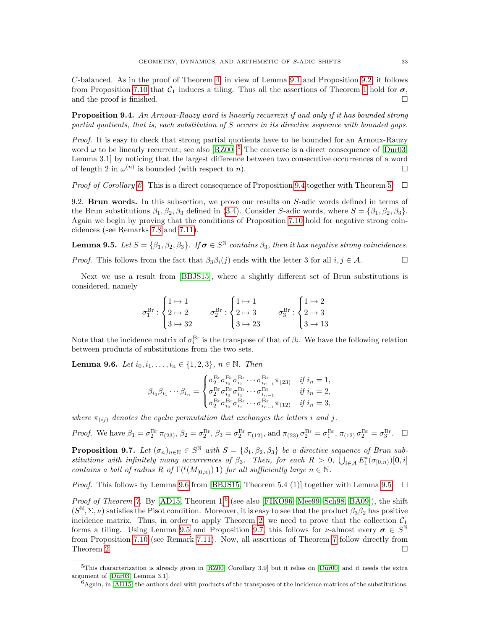C-balanced. As in the proof of Theorem [4,](#page-9-2) in view of Lemma [9.1](#page-31-3) and Proposition [9.2,](#page-31-4) it follows from Proposition [7.10](#page-27-1) that  $\mathcal{C}_1$  induces a tiling. Thus all the assertions of Theorem [1](#page-7-1) hold for  $\sigma$ , and the proof is finished.

<span id="page-32-0"></span>**Proposition 9.4.** An Arnoux-Rauzy word is linearly recurrent if and only if it has bounded strong partial quotients, that is, each substitution of S occurs in its directive sequence with bounded gaps.

Proof. It is easy to check that strong partial quotients have to be bounded for an Arnoux-Rauzy word  $\omega$  to be linearly recurrent; see also [\[RZ00\]](#page-36-7).<sup>[5](#page-32-1)</sup> The converse is a direct consequence of [\[Dur03,](#page-35-17) Lemma 3.1] by noticing that the largest difference between two consecutive occurrences of a word of length 2 in  $\omega^{(n)}$  is bounded (with respect to n).

*Proof of Corollary [6.](#page-10-1)* This is a direct consequence of Proposition [9.4](#page-32-0) together with Theorem [5.](#page-10-4)  $\Box$ 

9.2. **Brun words.** In this subsection, we prove our results on S-adic words defined in terms of the Brun substitutions  $\beta_1, \beta_2, \beta_3$  defined in [\(3.4\)](#page-10-5). Consider S-adic words, where  $S = {\beta_1, \beta_2, \beta_3}$ . Again we begin by proving that the conditions of Proposition [7.10](#page-27-1) hold for negative strong coincidences (see Remarks [7.8](#page-26-1) and [7.11\)](#page-27-3).

<span id="page-32-3"></span>**Lemma 9.5.** Let  $S = {\beta_1, \beta_2, \beta_3}$ . If  $\sigma \in S^{\mathbb{N}}$  contains  $\beta_3$ , then it has negative strong coincidences.

*Proof.* This follows from the fact that  $\beta_3\beta_i(j)$  ends with the letter 3 for all  $i, j \in \mathcal{A}$ .

Next we use a result from [\[BBJS15\]](#page-34-7), where a slightly different set of Brun substitutions is considered, namely

$$
\sigma_1^{\text{Br}}:\begin{cases}1\mapsto 1\\2\mapsto 2\\3\mapsto 32\end{cases}\qquad \sigma_2^{\text{Br}}:\begin{cases}1\mapsto 1\\2\mapsto 3\\3\mapsto 23\end{cases}\qquad \sigma_3^{\text{Br}}:\begin{cases}1\mapsto 2\\2\mapsto 3\\3\mapsto 13\end{cases}
$$

Note that the incidence matrix of  $\sigma_i^{\text{Br}}$  is the transpose of that of  $\beta_i$ . We have the following relation between products of substitutions from the two sets.

<span id="page-32-2"></span>**Lemma 9.6.** Let  $i_0, i_1, \ldots, i_n \in \{1, 2, 3\}, n \in \mathbb{N}$ . Then

$$
\beta_{i_0}\beta_{i_1}\cdots\beta_{i_n} = \begin{cases}\n\sigma_2^{\rm Br}\sigma_{i_0}^{\rm Br}\sigma_{i_1}^{\rm Br}\cdots\sigma_{i_{n-1}}^{\rm Br}\pi_{(23)} & if i_n = 1, \\
\sigma_2^{\rm Br}\sigma_{i_0}^{\rm Br}\sigma_{i_1}^{\rm Br}\cdots\sigma_{i_{n-1}}^{\rm Br} & if i_n = 2, \\
\sigma_2^{\rm Br}\sigma_{i_0}^{\rm Br}\sigma_{i_1}^{\rm Br}\cdots\sigma_{i_{n-1}}^{\rm Br}\pi_{(12)} & if i_n = 3,\n\end{cases}
$$

where  $\pi_{(ij)}$  denotes the cyclic permutation that exchanges the letters i and j.

Proof. We have  $\beta_1 = \sigma_2^{\text{Br}} \pi_{(23)}, \beta_2 = \sigma_2^{\text{Br}}, \beta_3 = \sigma_2^{\text{Br}} \pi_{(12)}, \text{ and } \pi_{(23)} \sigma_2^{\text{Br}} = \sigma_1^{\text{Br}}, \pi_{(12)} \sigma_2^{\text{Br}} = \sigma_3^{\text{Br}}. \square$ 

<span id="page-32-5"></span>**Proposition 9.7.** Let  $(\sigma_n)_{n \in \mathbb{N}} \in S^{\mathbb{N}}$  with  $S = {\beta_1, \beta_2, \beta_3}$  be a directive sequence of Brun substitutions with infinitely many occurrences of  $\beta_3$ . Then, for each  $R > 0$ ,  $\bigcup_{i \in A} E_1^*(\sigma_{[0,n)})[0,i]$ contains a ball of radius R of  $\Gamma({}^t(M_{[0,n)}) 1)$  for all sufficiently large  $n \in \mathbb{N}$ .

*Proof.* This follows by Lemma [9.6](#page-32-2) from [\[BBJS15,](#page-34-7) Theorem 5.4 (1)] together with Lemma [9.5.](#page-32-3)  $\Box$ 

*Proof of Theorem [7.](#page-11-3)* By [\[AD15,](#page-33-4) Theorem  $1$ <sup>[[6](#page-32-4)</sup> (see also [\[FIKO96,](#page-35-10) [Mee99,](#page-35-11) [Sch98,](#page-36-5) [BA09\]](#page-34-14)), the shift  $(S^{\mathbb{N}}, \Sigma, \nu)$  satisfies the Pisot condition. Moreover, it is easy to see that the product  $\beta_3\beta_2$  has positive incidence matrix. Thus, in order to apply Theorem [2,](#page-8-0) we need to prove that the collection  $C_1$ forms a tiling. Using Lemma [9.5](#page-32-3) and Proposition [9.7,](#page-32-5) this follows for  $\nu$ -almost every  $\sigma \in S^{\mathbb{N}}$ from Proposition [7.10](#page-27-1) (see Remark [7.11\)](#page-27-3). Now, all assertions of Theorem [7](#page-11-3) follow directly from Theorem [2.](#page-8-0)  $\Box$ 

<span id="page-32-1"></span><sup>5</sup>This characterization is already given in [\[RZ00,](#page-36-7) Corollary 3.9] but it relies on [\[Dur00\]](#page-34-17) and it needs the extra argument of [\[Dur03,](#page-35-17) Lemma 3.1].

<span id="page-32-4"></span> $6A$ gain, in [\[AD15\]](#page-33-4) the authors deal with products of the transposes of the incidence matrices of the substitutions.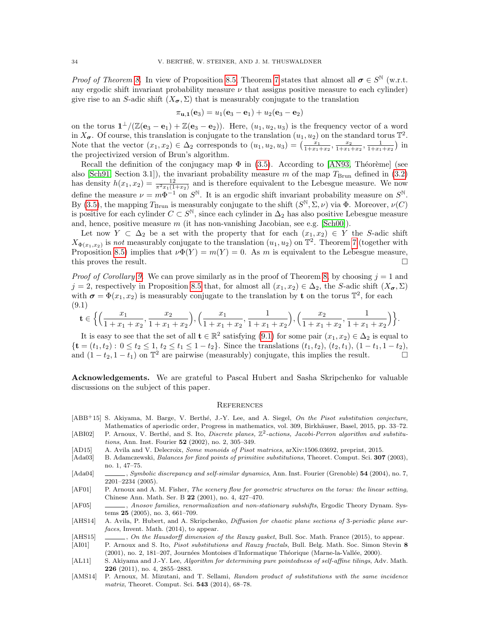*Proof of Theorem [8.](#page-11-1)* In view of Proposition [8.5,](#page-29-2) Theorem [7](#page-11-3) states that almost all  $\sigma \in S^{\mathbb{N}}$  (w.r.t. any ergodic shift invariant probability measure  $\nu$  that assigns positive measure to each cylinder) give rise to an S-adic shift  $(X_{\sigma}, \Sigma)$  that is measurably conjugate to the translation

$$
\pi_{u,1}(e_3) = u_1(e_3 - e_1) + u_2(e_3 - e_2)
$$

on the torus  $1^{\perp}/(\mathbb{Z}(e_3 - e_1) + \mathbb{Z}(e_3 - e_2))$ . Here,  $(u_1, u_2, u_3)$  is the frequency vector of a word in  $X_{\sigma}$ . Of course, this translation is conjugate to the translation  $(u_1, u_2)$  on the standard torus  $\mathbb{T}^2$ . Note that the vector  $(x_1, x_2) \in \Delta_2$  corresponds to  $(u_1, u_2, u_3) = \left(\frac{x_1}{1+x_1+x_2}, \frac{x_2}{1+x_1+x_2}, \frac{1}{1+x_1+x_2}\right)$  in the projectivized version of Brun's algorithm.

Recall the definition of the conjugacy map  $\Phi$  in [\(3.5\)](#page-11-4). According to [\[AN93,](#page-34-15) Théorème] (see also [\[Sch91,](#page-36-8) Section 3.1]), the invariant probability measure m of the map  $T_{\text{Brun}}$  defined in [\(3.2\)](#page-10-2) has density  $h(x_1, x_2) = \frac{12}{\pi^2 x_1(1+x_2)}$  and is therefore equivalent to the Lebesgue measure. We now define the measure  $\nu = m\Phi^{-1}$  on  $S^{\mathbb{N}}$ . It is an ergodic shift invariant probability measure on  $S^{\mathbb{N}}$ . By [\(3.5\)](#page-11-4), the mapping  $T_{\rm Brun}$  is measurably conjugate to the shift  $(S^{\mathbb{N}}, \Sigma, \nu)$  via  $\Phi$ . Moreover,  $\nu(C)$ is positive for each cylinder  $C \subset S^{\mathbb{N}}$ , since each cylinder in  $\Delta_2$  has also positive Lebesgue measure and, hence, positive measure  $m$  (it has non-vanishing Jacobian, see e.g.  $[\text{Sch}00]$ ).

Let now  $Y \subset \Delta_2$  be a set with the property that for each  $(x_1, x_2) \in Y$  the S-adic shift  $X_{\Phi(x_1,x_2)}$  is not measurably conjugate to the translation  $(u_1, u_2)$  on  $\mathbb{T}^2$ . Theorem [7](#page-11-3) (together with Proposition [8.5\)](#page-29-2) implies that  $\nu\Phi(Y) = m(Y) = 0$ . As m is equivalent to the Lebesgue measure, this proves the result.

*Proof of Corollary [9.](#page-11-5)* We can prove similarly as in the proof of Theorem [8,](#page-11-1) by choosing  $j = 1$  and  $j = 2$ , respectively in Proposition [8.5](#page-29-2) that, for almost all  $(x_1, x_2) \in \Delta_2$ , the S-adic shift  $(X_{\sigma}, \Sigma)$ with  $\sigma = \Phi(x_1, x_2)$  is measurably conjugate to the translation by t on the torus  $\mathbb{T}^2$ , for each (9.1)

<span id="page-33-13"></span>
$$
\mathbf{t} \in \Big\{ \Big( \frac{x_1}{1+x_1+x_2}, \frac{x_2}{1+x_1+x_2} \Big), \Big( \frac{x_1}{1+x_1+x_2}, \frac{1}{1+x_1+x_2} \Big), \Big( \frac{x_2}{1+x_1+x_2}, \frac{1}{1+x_1+x_2} \Big) \Big\}.
$$

It is easy to see that the set of all  $\mathbf{t} \in \mathbb{R}^2$  satisfying  $(9.1)$  for some pair  $(x_1, x_2) \in \Delta_2$  is equal to  ${\mathbf t} = (t_1, t_2) : 0 \le t_2 \le 1, t_2 \le t_1 \le 1 - t_2$ . Since the translations  $(t_1, t_2), (t_2, t_1), (1 - t_1, 1 - t_2),$ and  $(1-t_2, 1-t_1)$  on  $\mathbb{T}^2$  are pairwise (measurably) conjugate, this implies the result.

Acknowledgements. We are grateful to Pascal Hubert and Sasha Skripchenko for valuable discussions on the subject of this paper.

#### <span id="page-33-0"></span>**REFERENCES**

- <span id="page-33-1"></span> $[ABB<sup>+</sup>15]$  S. Akiyama, M. Barge, V. Berthé, J.-Y. Lee, and A. Siegel, On the Pisot substitution conjecture, Mathematics of aperiodic order, Progress in mathematics, vol. 309, Birkhäuser, Basel, 2015, pp. 33–72.
- <span id="page-33-6"></span>[ABI02] P. Arnoux, V. Berthé, and S. Ito, *Discrete planes*,  $\mathbb{Z}^2$ -actions, Jacobi-Perron algorithm and substitutions, Ann. Inst. Fourier 52 (2002), no. 2, 305-349.
- <span id="page-33-4"></span>[AD15] A. Avila and V. Delecroix, Some monoids of Pisot matrices, arXiv:1506.03692, preprint, 2015.
- <span id="page-33-9"></span>[Ada03] B. Adamczewski, Balances for fixed points of primitive substitutions, Theoret. Comput. Sci. 307 (2003), no. 1, 47–75.
- <span id="page-33-10"></span>[Ada04] , Symbolic discrepancy and self-similar dynamics, Ann. Inst. Fourier (Grenoble) 54 (2004), no. 7, 2201–2234 (2005).
- <span id="page-33-2"></span>[AF01] P. Arnoux and A. M. Fisher, The scenery flow for geometric structures on the torus: the linear setting, Chinese Ann. Math. Ser. B 22 (2001), no. 4, 427–470.
- <span id="page-33-3"></span>[AF05] , Anosov families, renormalization and non-stationary subshifts, Ergodic Theory Dynam. Systems 25 (2005), no. 3, 661–709.
- <span id="page-33-12"></span>[AHS14] A. Avila, P. Hubert, and A. Skripchenko, *Diffusion for chaotic plane sections of 3-periodic plane sur*faces, Invent. Math. (2014), to appear.
- <span id="page-33-11"></span><span id="page-33-8"></span>[AHS15] , On the Hausdorff dimension of the Rauzy gasket, Bull. Soc. Math. France (2015), to appear. [AI01] P. Arnoux and S. Ito, Pisot substitutions and Rauzy fractals, Bull. Belg. Math. Soc. Simon Stevin 8
- (2001), no. 2, 181–207, Journées Montoises d'Informatique Théorique (Marne-la-Vallée, 2000).
- <span id="page-33-5"></span>[AL11] S. Akiyama and J.-Y. Lee, Algorithm for determining pure pointedness of self-affine tilings, Adv. Math. 226 (2011), no. 4, 2855–2883.
- <span id="page-33-7"></span>[AMS14] P. Arnoux, M. Mizutani, and T. Sellami, Random product of substitutions with the same incidence matrix, Theoret. Comput. Sci. 543 (2014), 68–78.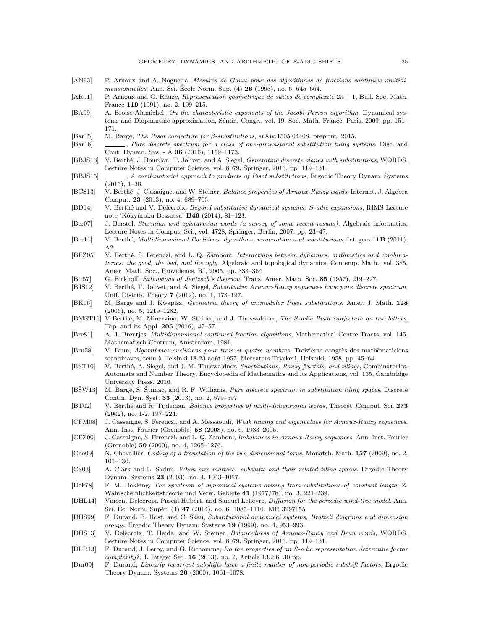- <span id="page-34-15"></span>[AN93] P. Arnoux and A. Nogueira, Mesures de Gauss pour des algorithmes de fractions continues multidimensionnelles, Ann. Sci. Ecole Norm. Sup.  $(4)$  **26** (1993), no. 6, 645–664.
- <span id="page-34-24"></span>[AR91] P. Arnoux and G. Rauzy, Représentation géométrique de suites de complexité  $2n + 1$ , Bull. Soc. Math. France 119 (1991), no. 2, 199–215.
- <span id="page-34-14"></span>[BA09] A. Broise-Alamichel, On the characteristic exponents of the Jacobi-Perron algorithm, Dynamical systems and Diophantine approximation, Sémin. Congr., vol. 19, Soc. Math. France, Paris, 2009, pp. 151– 171.
- <span id="page-34-21"></span>[Bar15] M. Barge, The Pisot conjecture for β-substitutions, arXiv:1505.04408, preprint, 2015.
- <span id="page-34-16"></span>[Bar16] , Pure discrete spectrum for a class of one-dimensional substitution tiling systems, Disc. and Cont. Dynam. Sys. - A 36 (2016), 1159–1173.
- <span id="page-34-6"></span>[BBJS13] V. Berthé, J. Bourdon, T. Jolivet, and A. Siegel, *Generating discrete planes with substitutions*, WORDS, Lecture Notes in Computer Science, vol. 8079, Springer, 2013, pp. 119–131.
- <span id="page-34-7"></span>[BBJS15] , A combinatorial approach to products of Pisot substitutions, Ergodic Theory Dynam. Systems (2015), 1–38.
- <span id="page-34-26"></span>[BCS13] V. Berthé, J. Cassaigne, and W. Steiner, Balance properties of Arnoux-Rauzy words, Internat. J. Algebra Comput. 23 (2013), no. 4, 689–703.
- <span id="page-34-3"></span>[BD14] V. Berthé and V. Delecroix, Beyond substitutive dynamical systems: S-adic expansions, RIMS Lecture note 'Kôkyûroku Bessatsu' **B46** (2014), 81-123.
- <span id="page-34-25"></span>[Ber07] J. Berstel, Sturmian and episturmian words (a survey of some recent results), Algebraic informatics, Lecture Notes in Comput. Sci., vol. 4728, Springer, Berlin, 2007, pp. 23–47.
- <span id="page-34-2"></span>[Ber11] V. Berthé, *Multidimensional Euclidean algorithms, numeration and substitutions*, Integers 11B (2011), A2.
- <span id="page-34-4"></span>[BFZ05] V. Berthé, S. Ferenczi, and L. Q. Zamboni, *Interactions between dynamics, arithmetics and combina*torics: the good, the bad, and the ugly, Algebraic and topological dynamics, Contemp. Math., vol. 385, Amer. Math. Soc., Providence, RI, 2005, pp. 333–364.
- <span id="page-34-29"></span>[Bir57] G. Birkhoff, Extensions of Jentzsch's theorem, Trans. Amer. Math. Soc. 85 (1957), 219–227.
- <span id="page-34-8"></span>[BJS12] V. Berthé, T. Jolivet, and A. Siegel, Substitutive Arnoux-Rauzy sequences have pure discrete spectrum, Unif. Distrib. Theory 7 (2012), no. 1, 173–197.
- <span id="page-34-0"></span>[BK06] M. Barge and J. Kwapisz, Geometric theory of unimodular Pisot substitutions, Amer. J. Math. 128 (2006), no. 5, 1219–1282.
- <span id="page-34-22"></span>[BMST16] V Berthé, M. Minervino, W. Steiner, and J. Thuswaldner, The S-adic Pisot conjecture on two letters, Top. and its Appl. 205 (2016), 47–57.
- <span id="page-34-13"></span>[Bre81] A. J. Brentjes, Multidimensional continued fraction algorithms, Mathematical Centre Tracts, vol. 145, Mathematisch Centrum, Amsterdam, 1981.
- <span id="page-34-12"></span>[Bru58] V. Brun, Algorithmes euclidiens pour trois et quatre nombres, Treizième congrès des mathèmaticiens scandinaves, tenu à Helsinki 18-23 août 1957, Mercators Tryckeri, Helsinki, 1958, pp. 45–64.
- <span id="page-34-1"></span>[BST10] V. Berthé, A. Siegel, and J. M. Thuswaldner, Substitutions, Rauzy fractals, and tilings, Combinatorics, Automata and Number Theory, Encyclopedia of Mathematics and its Applications, vol. 135, Cambridge University Press, 2010.
- <span id="page-34-9"></span>[BSW13] M. Barge, S. Stimac, and R. F. Williams, *Pure discrete spectrum in substitution tiling spaces*, Discrete Contin. Dyn. Syst. 33 (2013), no. 2, 579–597.
- <span id="page-34-19"></span>[BT02] V. Berthé and R. Tijdeman, Balance properties of multi-dimensional words, Theoret. Comput. Sci. 273 (2002), no. 1-2, 197–224.
- <span id="page-34-11"></span>[CFM08] J. Cassaigne, S. Ferenczi, and A. Messaoudi, Weak mixing and eigenvalues for Arnoux-Rauzy sequences, Ann. Inst. Fourier (Grenoble) 58 (2008), no. 6, 1983–2005.
- <span id="page-34-10"></span>[CFZ00] J. Cassaigne, S. Ferenczi, and L. Q. Zamboni, Imbalances in Arnoux-Rauzy sequences, Ann. Inst. Fourier (Grenoble) 50 (2000), no. 4, 1265–1276.
- <span id="page-34-28"></span>[Che09] N. Chevallier, *Coding of a translation of the two-dimensional torus*, Monatsh. Math. **157** (2009), no. 2, 101–130.
- <span id="page-34-23"></span>[CS03] A. Clark and L. Sadun, When size matters: subshifts and their related tiling spaces, Ergodic Theory Dynam. Systems 23 (2003), no. 4, 1043–1057.
- <span id="page-34-5"></span>[Dek78] F. M. Dekking, The spectrum of dynamical systems arising from substitutions of constant length, Z. Wahrscheinlichkeitstheorie und Verw. Gebiete 41 (1977/78), no. 3, 221–239.
- <span id="page-34-30"></span>[DHL14] Vincent Delecroix, Pascal Hubert, and Samuel Lelièvre, Diffusion for the periodic wind-tree model, Ann. Sci. Ec. Norm. Supér. (4)  $47$  (2014), no. 6, 1085–1110. MR 3297155
- <span id="page-34-20"></span>[DHS99] F. Durand, B. Host, and C. Skau, Substitutional dynamical systems, Bratteli diagrams and dimension groups, Ergodic Theory Dynam. Systems 19 (1999), no. 4, 953–993.
- <span id="page-34-27"></span>[DHS13] V. Delecroix, T. Hejda, and W. Steiner, Balancedness of Arnoux-Rauzy and Brun words, WORDS, Lecture Notes in Computer Science, vol. 8079, Springer, 2013, pp. 119–131.
- <span id="page-34-18"></span>[DLR13] F. Durand, J. Leroy, and G. Richomme, Do the properties of an S-adic representation determine factor  $complexity$ ?, J. Integer Seq. 16 (2013), no. 2, Article 13.2.6, 30 pp.
- <span id="page-34-17"></span>[Dur00] F. Durand, Linearly recurrent subshifts have a finite number of non-periodic subshift factors, Ergodic Theory Dynam. Systems 20 (2000), 1061–1078.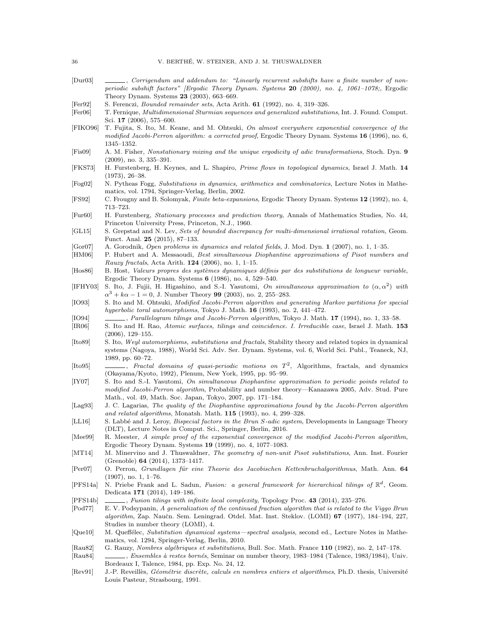- <span id="page-35-17"></span>[Dur03]  $\qquad \qquad \qquad$ , Corrigendum and addendum to: "Linearly recurrent subshifts have a finite number of nonperiodic subshift factors" [Ergodic Theory Dynam. Systems 20 (2000), no. 4, 1061–1078;, Ergodic Theory Dynam. Systems 23 (2003), 663–669.
- <span id="page-35-21"></span>[Fer92] S. Ferenczi, Bounded remainder sets, Acta Arith. 61 (1992), no. 4, 319–326.
- <span id="page-35-30"></span>[Fer06] T. Fernique, Multidimensional Sturmian sequences and generalized substitutions, Int. J. Found. Comput. Sci. 17 (2006), 575–600.
- <span id="page-35-10"></span>[FIKO96] T. Fujita, S. Ito, M. Keane, and M. Ohtsuki, On almost everywhere exponential convergence of the modified Jacobi-Perron algorithm: a corrected proof, Ergodic Theory Dynam. Systems 16 (1996), no. 6, 1345–1352.
- <span id="page-35-2"></span>[Fis09] A. M. Fisher, Nonstationary mixing and the unique ergodicity of adic transformations, Stoch. Dyn. 9 (2009), no. 3, 335–391.
- <span id="page-35-31"></span>[FKS73] H. Furstenberg, H. Keynes, and L. Shapiro, Prime flows in topological dynamics, Israel J. Math. 14 (1973), 26–38.
- <span id="page-35-1"></span>[Fog02] N. Pytheas Fogg, Substitutions in dynamics, arithmetics and combinatorics, Lecture Notes in Mathematics, vol. 1794, Springer-Verlag, Berlin, 2002.
- <span id="page-35-25"></span>[FS92] C. Frougny and B. Solomyak, Finite beta-expansions, Ergodic Theory Dynam. Systems 12 (1992), no. 4, 713–723.
- <span id="page-35-19"></span>[Fur60] H. Furstenberg, Stationary processes and prediction theory, Annals of Mathematics Studies, No. 44, Princeton University Press, Princeton, N.J., 1960.
- <span id="page-35-29"></span>[GL15] S. Grepstad and N. Lev, Sets of bounded discrepancy for multi-dimensional irrational rotation, Geom. Funct. Anal. 25 (2015), 87–133.
- <span id="page-35-15"></span>[Gor07] A. Gorodnik, Open problems in dynamics and related fields, J. Mod. Dyn. 1 (2007), no. 1, 1–35.
- <span id="page-35-12"></span>[HM06] P. Hubert and A. Messaoudi, Best simultaneous Diophantine approximations of Pisot numbers and Rauzy fractals, Acta Arith.  $124$  (2006), no. 1, 1-15.
- <span id="page-35-16"></span>[Hos86] B. Host, Valeurs propres des systèmes dynamiques définis par des substitutions de longueur variable, Ergodic Theory Dynam. Systems 6 (1986), no. 4, 529–540.
- <span id="page-35-13"></span>[IFHY03] S. Ito, J. Fujii, H. Higashino, and S.-I. Yasutomi, On simultaneous approximation to  $(\alpha, \alpha^2)$  with  $\alpha^3 + k\alpha - 1 = 0$ , J. Number Theory 99 (2003), no. 2, 255–283.
- <span id="page-35-7"></span>[IO93] S. Ito and M. Ohtsuki, *Modified Jacobi-Perron algorithm and generating Markov partitions for special* hyperbolic toral automorphisms, Tokyo J. Math. 16 (1993), no. 2, 441–472.
- <span id="page-35-8"></span>[IO94] , Parallelogram tilings and Jacobi-Perron algorithm, Tokyo J. Math. 17 (1994), no. 1, 33–58.
- <span id="page-35-23"></span>[IR06] S. Ito and H. Rao, Atomic surfaces, tilings and coincidence. I. Irreducible case, Israel J. Math. 153 (2006), 129–155.
- <span id="page-35-5"></span>[Ito89] S. Ito, Weyl automorphisms, substitutions and fractals, Stability theory and related topics in dynamical systems (Nagoya, 1988), World Sci. Adv. Ser. Dynam. Systems, vol. 6, World Sci. Publ., Teaneck, NJ, 1989, pp. 60–72.
- <span id="page-35-6"></span>[Ito95] \_\_\_, Fractal domains of quasi-periodic motions on  $T^2$ , Algorithms, fractals, and dynamics (Okayama/Kyoto, 1992), Plenum, New York, 1995, pp. 95–99.
- <span id="page-35-14"></span>[IY07] S. Ito and S.-I. Yasutomi, On simultaneous Diophantine approximation to periodic points related to modified Jacobi-Perron algorithm, Probability and number theory—Kanazawa 2005, Adv. Stud. Pure Math., vol. 49, Math. Soc. Japan, Tokyo, 2007, pp. 171–184.
- <span id="page-35-27"></span>[Lag93] J. C. Lagarias, The quality of the Diophantine approximations found by the Jacobi-Perron algorithm and related algorithms, Monatsh. Math. 115 (1993), no. 4, 299–328.
- <span id="page-35-28"></span>[LL16] S. Labbé and J. Leroy, *Bispecial factors in the Brun S-adic system*, Developments in Language Theory (DLT), Lecture Notes in Comput. Sci., Springer, Berlin, 2016.
- <span id="page-35-11"></span>[Mee99] R. Meester, A simple proof of the exponential convergence of the modified Jacobi-Perron algorithm, Ergodic Theory Dynam. Systems 19 (1999), no. 4, 1077–1083.
- <span id="page-35-24"></span>[MT14] M. Minervino and J. Thuswaldner, The geometry of non-unit Pisot substitutions, Ann. Inst. Fourier (Grenoble) 64 (2014), 1373–1417.
- <span id="page-35-26"></span>[Per07] O. Perron, Grundlagen für eine Theorie des Jacobischen Kettenbruchalgorithmus, Math. Ann. 64 (1907), no. 1, 1–76.
- <span id="page-35-3"></span>[PFS14a] N. Priebe Frank and L. Sadun, Fusion: a general framework for hierarchical tilings of  $\mathbb{R}^d$ , Geom. Dedicata 171 (2014), 149–186.
- <span id="page-35-4"></span>[PFS14b] , Fusion tilings with infinite local complexity, Topology Proc. 43 (2014), 235-276.
- <span id="page-35-9"></span>[Pod77] E. V. Podsypanin, A generalization of the continued fraction algorithm that is related to the Viggo Brun algorithm, Zap. Naučn. Sem. Leningrad. Otdel. Mat. Inst. Steklov. (LOMI) 67 (1977), 184-194, 227, Studies in number theory (LOMI), 4.
- <span id="page-35-18"></span>[Que10] M. Queffélec, Substitution dynamical systems—spectral analysis, second ed., Lecture Notes in Mathematics, vol. 1294, Springer-Verlag, Berlin, 2010.
- <span id="page-35-0"></span>[Rau82] G. Rauzy, Nombres algébriques et substitutions, Bull. Soc. Math. France 110 (1982), no. 2, 147–178.
- <span id="page-35-20"></span>[Rau84] , Ensembles à restes bornés, Seminar on number theory, 1983–1984 (Talence, 1983/1984), Univ. Bordeaux I, Talence, 1984, pp. Exp. No. 24, 12.
- <span id="page-35-22"></span>[Rev91] J.-P. Reveillès, Géométrie discrète, calculs en nombres entiers et algorithmes, Ph.D. thesis, Université Louis Pasteur, Strasbourg, 1991.